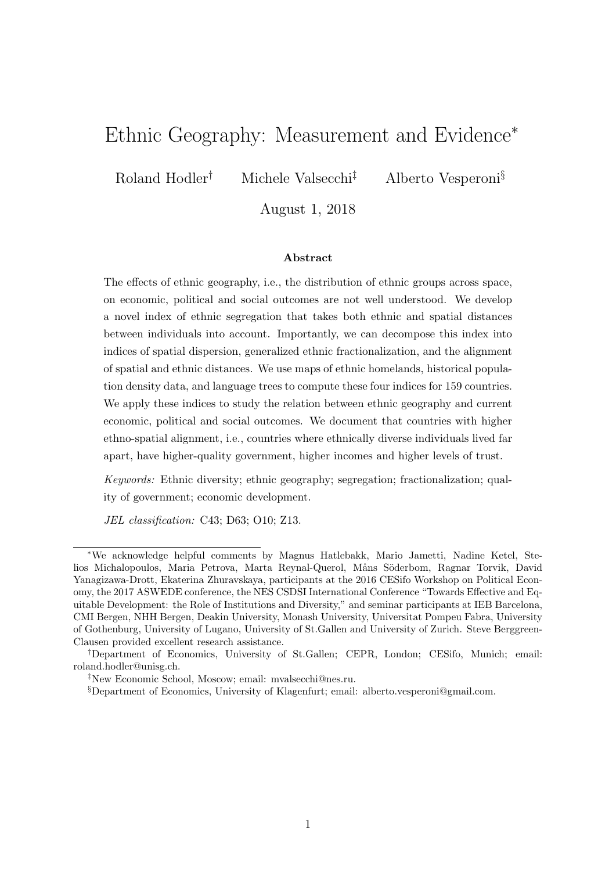# Ethnic Geography: Measurement and Evidence<sup>∗</sup>

Roland Hodler<sup>†</sup> Michele Valsecchi<sup>‡</sup> Alberto Vesperoni<sup>§</sup>

August 1, 2018

#### Abstract

The effects of ethnic geography, i.e., the distribution of ethnic groups across space, on economic, political and social outcomes are not well understood. We develop a novel index of ethnic segregation that takes both ethnic and spatial distances between individuals into account. Importantly, we can decompose this index into indices of spatial dispersion, generalized ethnic fractionalization, and the alignment of spatial and ethnic distances. We use maps of ethnic homelands, historical population density data, and language trees to compute these four indices for 159 countries. We apply these indices to study the relation between ethnic geography and current economic, political and social outcomes. We document that countries with higher ethno-spatial alignment, i.e., countries where ethnically diverse individuals lived far apart, have higher-quality government, higher incomes and higher levels of trust.

Keywords: Ethnic diversity; ethnic geography; segregation; fractionalization; quality of government; economic development.

JEL classification: C43; D63; O10; Z13.

<sup>∗</sup>We acknowledge helpful comments by Magnus Hatlebakk, Mario Jametti, Nadine Ketel, Stelios Michalopoulos, Maria Petrova, Marta Reynal-Querol, Måns Söderbom, Ragnar Torvik, David Yanagizawa-Drott, Ekaterina Zhuravskaya, participants at the 2016 CESifo Workshop on Political Economy, the 2017 ASWEDE conference, the NES CSDSI International Conference "Towards Effective and Equitable Development: the Role of Institutions and Diversity," and seminar participants at IEB Barcelona, CMI Bergen, NHH Bergen, Deakin University, Monash University, Universitat Pompeu Fabra, University of Gothenburg, University of Lugano, University of St.Gallen and University of Zurich. Steve Berggreen-Clausen provided excellent research assistance.

<sup>†</sup>Department of Economics, University of St.Gallen; CEPR, London; CESifo, Munich; email: roland.hodler@unisg.ch.

<sup>‡</sup>New Economic School, Moscow; email: mvalsecchi@nes.ru.

<sup>§</sup>Department of Economics, University of Klagenfurt; email: alberto.vesperoni@gmail.com.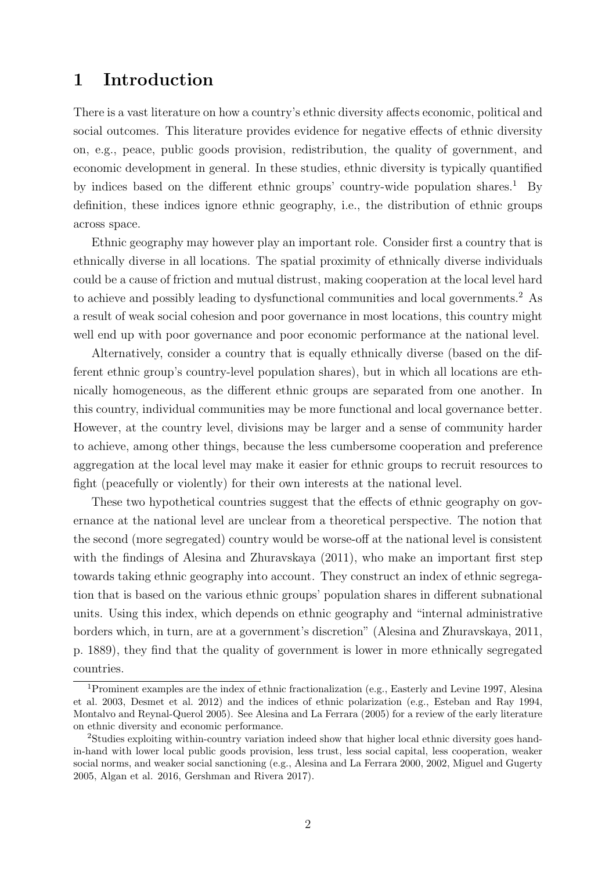# 1 Introduction

There is a vast literature on how a country's ethnic diversity affects economic, political and social outcomes. This literature provides evidence for negative effects of ethnic diversity on, e.g., peace, public goods provision, redistribution, the quality of government, and economic development in general. In these studies, ethnic diversity is typically quantified by indices based on the different ethnic groups' country-wide population shares.<sup>1</sup> By definition, these indices ignore ethnic geography, i.e., the distribution of ethnic groups across space.

Ethnic geography may however play an important role. Consider first a country that is ethnically diverse in all locations. The spatial proximity of ethnically diverse individuals could be a cause of friction and mutual distrust, making cooperation at the local level hard to achieve and possibly leading to dysfunctional communities and local governments.<sup>2</sup> As a result of weak social cohesion and poor governance in most locations, this country might well end up with poor governance and poor economic performance at the national level.

Alternatively, consider a country that is equally ethnically diverse (based on the different ethnic group's country-level population shares), but in which all locations are ethnically homogeneous, as the different ethnic groups are separated from one another. In this country, individual communities may be more functional and local governance better. However, at the country level, divisions may be larger and a sense of community harder to achieve, among other things, because the less cumbersome cooperation and preference aggregation at the local level may make it easier for ethnic groups to recruit resources to fight (peacefully or violently) for their own interests at the national level.

These two hypothetical countries suggest that the effects of ethnic geography on governance at the national level are unclear from a theoretical perspective. The notion that the second (more segregated) country would be worse-off at the national level is consistent with the findings of Alesina and Zhuravskaya  $(2011)$ , who make an important first step towards taking ethnic geography into account. They construct an index of ethnic segregation that is based on the various ethnic groups' population shares in different subnational units. Using this index, which depends on ethnic geography and "internal administrative borders which, in turn, are at a government's discretion" (Alesina and Zhuravskaya, 2011, p. 1889), they find that the quality of government is lower in more ethnically segregated countries.

<sup>1</sup>Prominent examples are the index of ethnic fractionalization (e.g., Easterly and Levine 1997, Alesina et al. 2003, Desmet et al. 2012) and the indices of ethnic polarization (e.g., Esteban and Ray 1994, Montalvo and Reynal-Querol 2005). See Alesina and La Ferrara (2005) for a review of the early literature on ethnic diversity and economic performance.

<sup>2</sup>Studies exploiting within-country variation indeed show that higher local ethnic diversity goes handin-hand with lower local public goods provision, less trust, less social capital, less cooperation, weaker social norms, and weaker social sanctioning (e.g., Alesina and La Ferrara 2000, 2002, Miguel and Gugerty 2005, Algan et al. 2016, Gershman and Rivera 2017).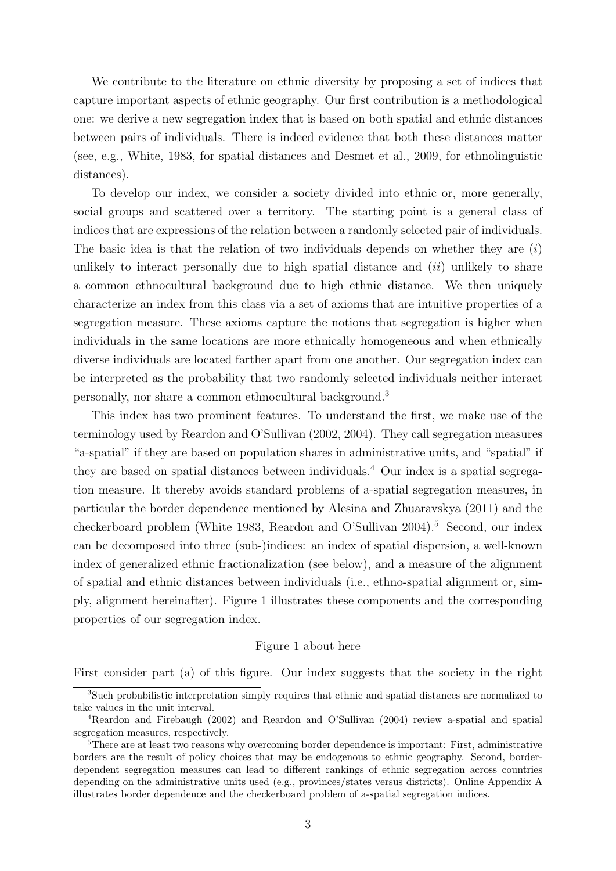We contribute to the literature on ethnic diversity by proposing a set of indices that capture important aspects of ethnic geography. Our first contribution is a methodological one: we derive a new segregation index that is based on both spatial and ethnic distances between pairs of individuals. There is indeed evidence that both these distances matter (see, e.g., White, 1983, for spatial distances and Desmet et al., 2009, for ethnolinguistic distances).

To develop our index, we consider a society divided into ethnic or, more generally, social groups and scattered over a territory. The starting point is a general class of indices that are expressions of the relation between a randomly selected pair of individuals. The basic idea is that the relation of two individuals depends on whether they are  $(i)$ unlikely to interact personally due to high spatial distance and  $(ii)$  unlikely to share a common ethnocultural background due to high ethnic distance. We then uniquely characterize an index from this class via a set of axioms that are intuitive properties of a segregation measure. These axioms capture the notions that segregation is higher when individuals in the same locations are more ethnically homogeneous and when ethnically diverse individuals are located farther apart from one another. Our segregation index can be interpreted as the probability that two randomly selected individuals neither interact personally, nor share a common ethnocultural background.<sup>3</sup>

This index has two prominent features. To understand the first, we make use of the terminology used by Reardon and O'Sullivan (2002, 2004). They call segregation measures "a-spatial" if they are based on population shares in administrative units, and "spatial" if they are based on spatial distances between individuals.<sup>4</sup> Our index is a spatial segregation measure. It thereby avoids standard problems of a-spatial segregation measures, in particular the border dependence mentioned by Alesina and Zhuaravskya (2011) and the checkerboard problem (White 1983, Reardon and O'Sullivan 2004).<sup>5</sup> Second, our index can be decomposed into three (sub-)indices: an index of spatial dispersion, a well-known index of generalized ethnic fractionalization (see below), and a measure of the alignment of spatial and ethnic distances between individuals (i.e., ethno-spatial alignment or, simply, alignment hereinafter). Figure 1 illustrates these components and the corresponding properties of our segregation index.

#### Figure 1 about here

First consider part (a) of this figure. Our index suggests that the society in the right

<sup>3</sup>Such probabilistic interpretation simply requires that ethnic and spatial distances are normalized to take values in the unit interval.

<sup>4</sup>Reardon and Firebaugh (2002) and Reardon and O'Sullivan (2004) review a-spatial and spatial segregation measures, respectively.

<sup>&</sup>lt;sup>5</sup>There are at least two reasons why overcoming border dependence is important: First, administrative borders are the result of policy choices that may be endogenous to ethnic geography. Second, borderdependent segregation measures can lead to different rankings of ethnic segregation across countries depending on the administrative units used (e.g., provinces/states versus districts). Online Appendix A illustrates border dependence and the checkerboard problem of a-spatial segregation indices.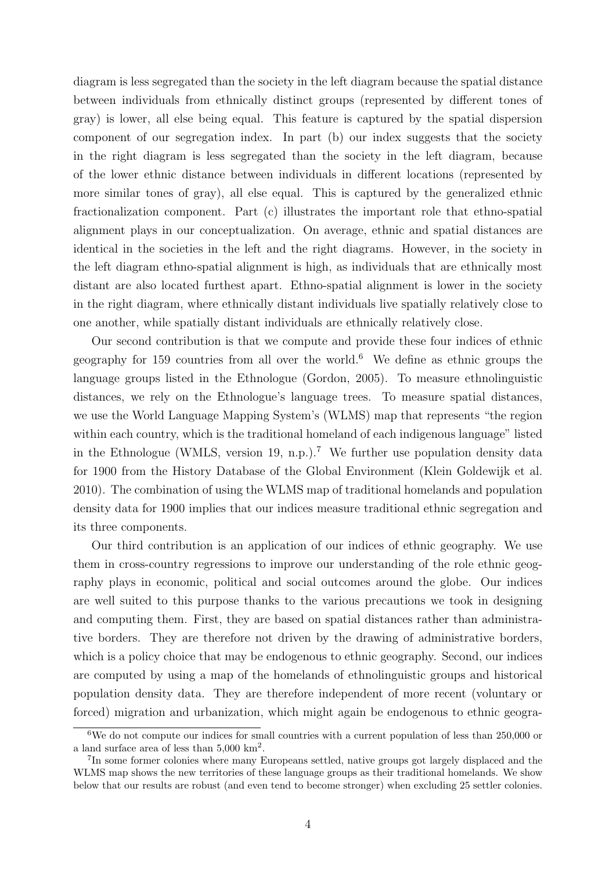diagram is less segregated than the society in the left diagram because the spatial distance between individuals from ethnically distinct groups (represented by different tones of gray) is lower, all else being equal. This feature is captured by the spatial dispersion component of our segregation index. In part (b) our index suggests that the society in the right diagram is less segregated than the society in the left diagram, because of the lower ethnic distance between individuals in different locations (represented by more similar tones of gray), all else equal. This is captured by the generalized ethnic fractionalization component. Part (c) illustrates the important role that ethno-spatial alignment plays in our conceptualization. On average, ethnic and spatial distances are identical in the societies in the left and the right diagrams. However, in the society in the left diagram ethno-spatial alignment is high, as individuals that are ethnically most distant are also located furthest apart. Ethno-spatial alignment is lower in the society in the right diagram, where ethnically distant individuals live spatially relatively close to one another, while spatially distant individuals are ethnically relatively close.

Our second contribution is that we compute and provide these four indices of ethnic geography for 159 countries from all over the world.<sup>6</sup> We define as ethnic groups the language groups listed in the Ethnologue (Gordon, 2005). To measure ethnolinguistic distances, we rely on the Ethnologue's language trees. To measure spatial distances, we use the World Language Mapping System's (WLMS) map that represents "the region within each country, which is the traditional homeland of each indigenous language" listed in the Ethnologue (WMLS, version 19, n.p.).<sup>7</sup> We further use population density data for 1900 from the History Database of the Global Environment (Klein Goldewijk et al. 2010). The combination of using the WLMS map of traditional homelands and population density data for 1900 implies that our indices measure traditional ethnic segregation and its three components.

Our third contribution is an application of our indices of ethnic geography. We use them in cross-country regressions to improve our understanding of the role ethnic geography plays in economic, political and social outcomes around the globe. Our indices are well suited to this purpose thanks to the various precautions we took in designing and computing them. First, they are based on spatial distances rather than administrative borders. They are therefore not driven by the drawing of administrative borders, which is a policy choice that may be endogenous to ethnic geography. Second, our indices are computed by using a map of the homelands of ethnolinguistic groups and historical population density data. They are therefore independent of more recent (voluntary or forced) migration and urbanization, which might again be endogenous to ethnic geogra-

 $6$ We do not compute our indices for small countries with a current population of less than 250,000 or a land surface area of less than  $5,000 \text{ km}^2$ .

<sup>&</sup>lt;sup>7</sup>In some former colonies where many Europeans settled, native groups got largely displaced and the WLMS map shows the new territories of these language groups as their traditional homelands. We show below that our results are robust (and even tend to become stronger) when excluding 25 settler colonies.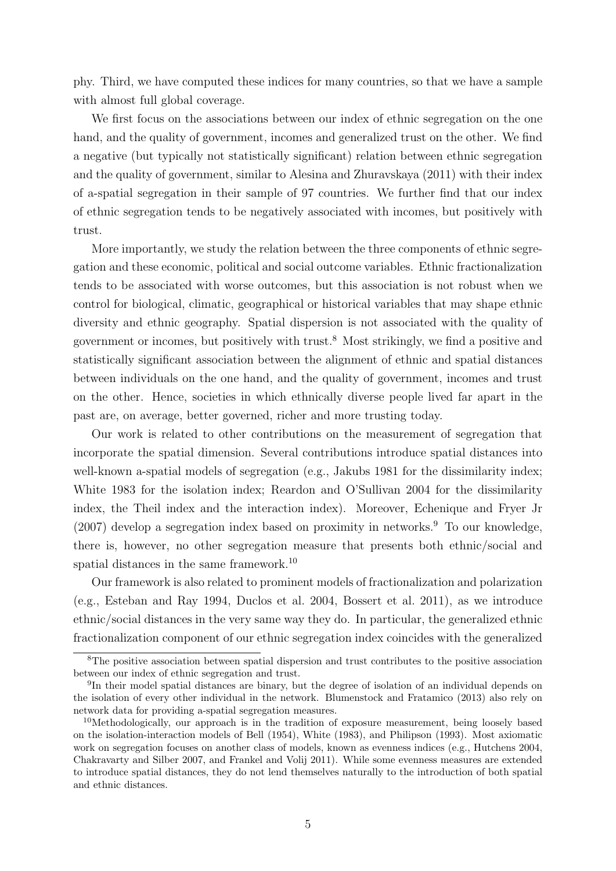phy. Third, we have computed these indices for many countries, so that we have a sample with almost full global coverage.

We first focus on the associations between our index of ethnic segregation on the one hand, and the quality of government, incomes and generalized trust on the other. We find a negative (but typically not statistically significant) relation between ethnic segregation and the quality of government, similar to Alesina and Zhuravskaya (2011) with their index of a-spatial segregation in their sample of 97 countries. We further find that our index of ethnic segregation tends to be negatively associated with incomes, but positively with trust.

More importantly, we study the relation between the three components of ethnic segregation and these economic, political and social outcome variables. Ethnic fractionalization tends to be associated with worse outcomes, but this association is not robust when we control for biological, climatic, geographical or historical variables that may shape ethnic diversity and ethnic geography. Spatial dispersion is not associated with the quality of government or incomes, but positively with trust.<sup>8</sup> Most strikingly, we find a positive and statistically significant association between the alignment of ethnic and spatial distances between individuals on the one hand, and the quality of government, incomes and trust on the other. Hence, societies in which ethnically diverse people lived far apart in the past are, on average, better governed, richer and more trusting today.

Our work is related to other contributions on the measurement of segregation that incorporate the spatial dimension. Several contributions introduce spatial distances into well-known a-spatial models of segregation (e.g., Jakubs 1981 for the dissimilarity index; White 1983 for the isolation index; Reardon and O'Sullivan 2004 for the dissimilarity index, the Theil index and the interaction index). Moreover, Echenique and Fryer Jr  $(2007)$  develop a segregation index based on proximity in networks.<sup>9</sup> To our knowledge, there is, however, no other segregation measure that presents both ethnic/social and spatial distances in the same framework.<sup>10</sup>

Our framework is also related to prominent models of fractionalization and polarization (e.g., Esteban and Ray 1994, Duclos et al. 2004, Bossert et al. 2011), as we introduce ethnic/social distances in the very same way they do. In particular, the generalized ethnic fractionalization component of our ethnic segregation index coincides with the generalized

<sup>8</sup>The positive association between spatial dispersion and trust contributes to the positive association between our index of ethnic segregation and trust.

<sup>&</sup>lt;sup>9</sup>In their model spatial distances are binary, but the degree of isolation of an individual depends on the isolation of every other individual in the network. Blumenstock and Fratamico (2013) also rely on network data for providing a-spatial segregation measures.

<sup>&</sup>lt;sup>10</sup>Methodologically, our approach is in the tradition of exposure measurement, being loosely based on the isolation-interaction models of Bell (1954), White (1983), and Philipson (1993). Most axiomatic work on segregation focuses on another class of models, known as evenness indices (e.g., Hutchens 2004, Chakravarty and Silber 2007, and Frankel and Volij 2011). While some evenness measures are extended to introduce spatial distances, they do not lend themselves naturally to the introduction of both spatial and ethnic distances.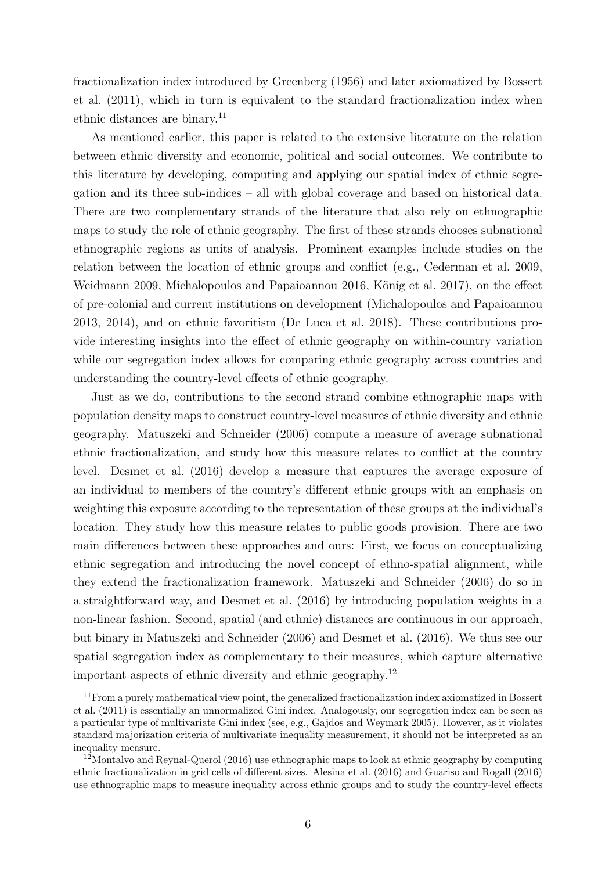fractionalization index introduced by Greenberg (1956) and later axiomatized by Bossert et al. (2011), which in turn is equivalent to the standard fractionalization index when ethnic distances are binary.<sup>11</sup>

As mentioned earlier, this paper is related to the extensive literature on the relation between ethnic diversity and economic, political and social outcomes. We contribute to this literature by developing, computing and applying our spatial index of ethnic segregation and its three sub-indices – all with global coverage and based on historical data. There are two complementary strands of the literature that also rely on ethnographic maps to study the role of ethnic geography. The first of these strands chooses subnational ethnographic regions as units of analysis. Prominent examples include studies on the relation between the location of ethnic groups and conflict (e.g., Cederman et al. 2009, Weidmann 2009, Michalopoulos and Papaioannou 2016, König et al. 2017), on the effect of pre-colonial and current institutions on development (Michalopoulos and Papaioannou 2013, 2014), and on ethnic favoritism (De Luca et al. 2018). These contributions provide interesting insights into the effect of ethnic geography on within-country variation while our segregation index allows for comparing ethnic geography across countries and understanding the country-level effects of ethnic geography.

Just as we do, contributions to the second strand combine ethnographic maps with population density maps to construct country-level measures of ethnic diversity and ethnic geography. Matuszeki and Schneider (2006) compute a measure of average subnational ethnic fractionalization, and study how this measure relates to conflict at the country level. Desmet et al. (2016) develop a measure that captures the average exposure of an individual to members of the country's different ethnic groups with an emphasis on weighting this exposure according to the representation of these groups at the individual's location. They study how this measure relates to public goods provision. There are two main differences between these approaches and ours: First, we focus on conceptualizing ethnic segregation and introducing the novel concept of ethno-spatial alignment, while they extend the fractionalization framework. Matuszeki and Schneider (2006) do so in a straightforward way, and Desmet et al. (2016) by introducing population weights in a non-linear fashion. Second, spatial (and ethnic) distances are continuous in our approach, but binary in Matuszeki and Schneider (2006) and Desmet et al. (2016). We thus see our spatial segregation index as complementary to their measures, which capture alternative important aspects of ethnic diversity and ethnic geography.<sup>12</sup>

<sup>&</sup>lt;sup>11</sup>From a purely mathematical view point, the generalized fractionalization index axiomatized in Bossert et al. (2011) is essentially an unnormalized Gini index. Analogously, our segregation index can be seen as a particular type of multivariate Gini index (see, e.g., Gajdos and Weymark 2005). However, as it violates standard majorization criteria of multivariate inequality measurement, it should not be interpreted as an inequality measure.

<sup>&</sup>lt;sup>12</sup>Montalvo and Reynal-Querol (2016) use ethnographic maps to look at ethnic geography by computing ethnic fractionalization in grid cells of different sizes. Alesina et al. (2016) and Guariso and Rogall (2016) use ethnographic maps to measure inequality across ethnic groups and to study the country-level effects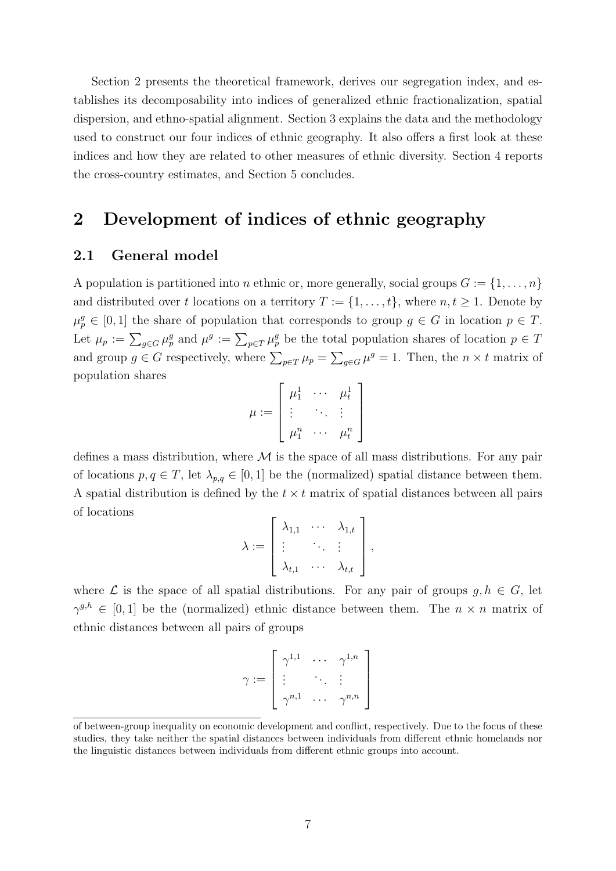Section 2 presents the theoretical framework, derives our segregation index, and establishes its decomposability into indices of generalized ethnic fractionalization, spatial dispersion, and ethno-spatial alignment. Section 3 explains the data and the methodology used to construct our four indices of ethnic geography. It also offers a first look at these indices and how they are related to other measures of ethnic diversity. Section 4 reports the cross-country estimates, and Section 5 concludes.

# 2 Development of indices of ethnic geography

### 2.1 General model

A population is partitioned into *n* ethnic or, more generally, social groups  $G := \{1, \ldots, n\}$ and distributed over t locations on a territory  $T := \{1, \ldots, t\}$ , where  $n, t \geq 1$ . Denote by  $\mu_p^g \in [0,1]$  the share of population that corresponds to group  $g \in G$  in location  $p \in T$ . Let  $\mu_p := \sum_{g \in G} \mu_p^g$  and  $\mu^g := \sum_{p \in T} \mu_p^g$  be the total population shares of location  $p \in T$ and group  $g \in G$  respectively, where  $\sum_{p \in T} \mu_p = \sum_{g \in G} \mu^g = 1$ . Then, the  $n \times t$  matrix of population shares

$$
\mu := \left[ \begin{array}{ccc} \mu_1^1 & \cdots & \mu_t^1 \\ \vdots & \ddots & \vdots \\ \mu_1^n & \cdots & \mu_t^n \end{array} \right]
$$

defines a mass distribution, where  $\mathcal M$  is the space of all mass distributions. For any pair of locations  $p, q \in T$ , let  $\lambda_{p,q} \in [0,1]$  be the (normalized) spatial distance between them. A spatial distribution is defined by the  $t \times t$  matrix of spatial distances between all pairs of locations

$$
\lambda := \left[\begin{array}{ccc} \lambda_{1,1} & \cdots & \lambda_{1,t} \\ \vdots & \ddots & \vdots \\ \lambda_{t,1} & \cdots & \lambda_{t,t} \end{array}\right],
$$

where  $\mathcal L$  is the space of all spatial distributions. For any pair of groups  $g, h \in G$ , let  $\gamma^{g,h} \in [0,1]$  be the (normalized) ethnic distance between them. The  $n \times n$  matrix of ethnic distances between all pairs of groups

$$
\gamma := \left[ \begin{array}{ccc} \gamma^{1,1} & \cdots & \gamma^{1,n} \\ \vdots & & \ddots & \vdots \\ \gamma^{n,1} & \cdots & \gamma^{n,n} \end{array} \right]
$$

of between-group inequality on economic development and conflict, respectively. Due to the focus of these studies, they take neither the spatial distances between individuals from different ethnic homelands nor the linguistic distances between individuals from different ethnic groups into account.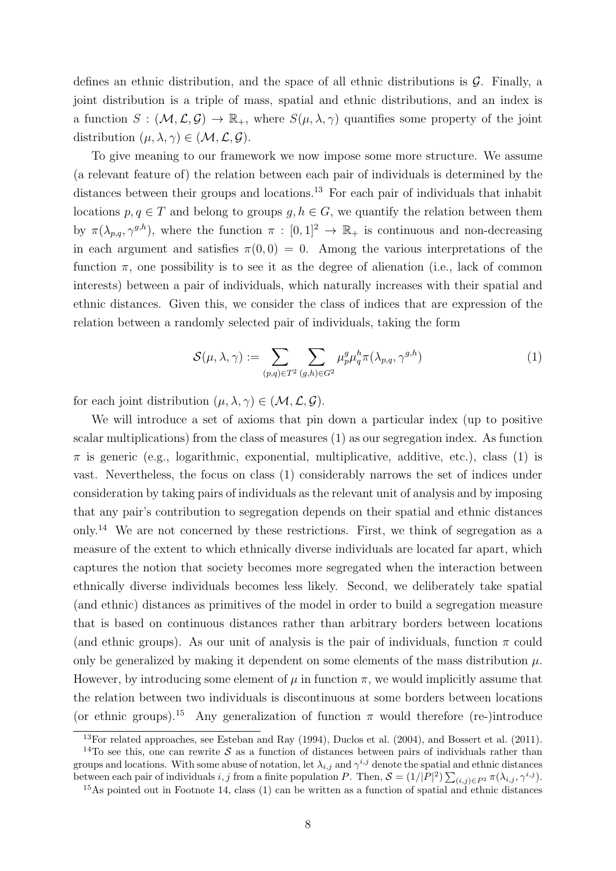defines an ethnic distribution, and the space of all ethnic distributions is  $\mathcal{G}$ . Finally, a joint distribution is a triple of mass, spatial and ethnic distributions, and an index is a function  $S : (\mathcal{M}, \mathcal{L}, \mathcal{G}) \to \mathbb{R}_+$ , where  $S(\mu, \lambda, \gamma)$  quantifies some property of the joint distribution  $(\mu, \lambda, \gamma) \in (\mathcal{M}, \mathcal{L}, \mathcal{G}).$ 

To give meaning to our framework we now impose some more structure. We assume (a relevant feature of) the relation between each pair of individuals is determined by the distances between their groups and locations.<sup>13</sup> For each pair of individuals that inhabit locations  $p, q \in T$  and belong to groups  $q, h \in G$ , we quantify the relation between them by  $\pi(\lambda_{p,q}, \gamma^{g,h})$ , where the function  $\pi : [0,1]^2 \to \mathbb{R}_+$  is continuous and non-decreasing in each argument and satisfies  $\pi(0,0) = 0$ . Among the various interpretations of the function  $\pi$ , one possibility is to see it as the degree of alienation (i.e., lack of common interests) between a pair of individuals, which naturally increases with their spatial and ethnic distances. Given this, we consider the class of indices that are expression of the relation between a randomly selected pair of individuals, taking the form

$$
\mathcal{S}(\mu,\lambda,\gamma) := \sum_{(p,q)\in T^2} \sum_{(g,h)\in G^2} \mu_p^g \mu_q^h \pi(\lambda_{p,q},\gamma^{g,h}) \tag{1}
$$

for each joint distribution  $(\mu, \lambda, \gamma) \in (\mathcal{M}, \mathcal{L}, \mathcal{G})$ .

We will introduce a set of axioms that pin down a particular index (up to positive scalar multiplications) from the class of measures (1) as our segregation index. As function  $\pi$  is generic (e.g., logarithmic, exponential, multiplicative, additive, etc.), class (1) is vast. Nevertheless, the focus on class (1) considerably narrows the set of indices under consideration by taking pairs of individuals as the relevant unit of analysis and by imposing that any pair's contribution to segregation depends on their spatial and ethnic distances only.<sup>14</sup> We are not concerned by these restrictions. First, we think of segregation as a measure of the extent to which ethnically diverse individuals are located far apart, which captures the notion that society becomes more segregated when the interaction between ethnically diverse individuals becomes less likely. Second, we deliberately take spatial (and ethnic) distances as primitives of the model in order to build a segregation measure that is based on continuous distances rather than arbitrary borders between locations (and ethnic groups). As our unit of analysis is the pair of individuals, function  $\pi$  could only be generalized by making it dependent on some elements of the mass distribution  $\mu$ . However, by introducing some element of  $\mu$  in function  $\pi$ , we would implicitly assume that the relation between two individuals is discontinuous at some borders between locations (or ethnic groups).<sup>15</sup> Any generalization of function  $\pi$  would therefore (re-)introduce

 $13$ For related approaches, see Esteban and Ray (1994), Duclos et al. (2004), and Bossert et al. (2011).

<sup>&</sup>lt;sup>14</sup>To see this, one can rewrite S as a function of distances between pairs of individuals rather than groups and locations. With some abuse of notation, let  $\lambda_{i,j}$  and  $\gamma^{i,j}$  denote the spatial and ethnic distances between each pair of individuals i, j from a finite population P. Then,  $S = (1/|P|^2) \sum_{(i,j) \in P^2} \pi(\lambda_{i,j}, \gamma^{i,j}).$ 

<sup>15</sup>As pointed out in Footnote 14, class (1) can be written as a function of spatial and ethnic distances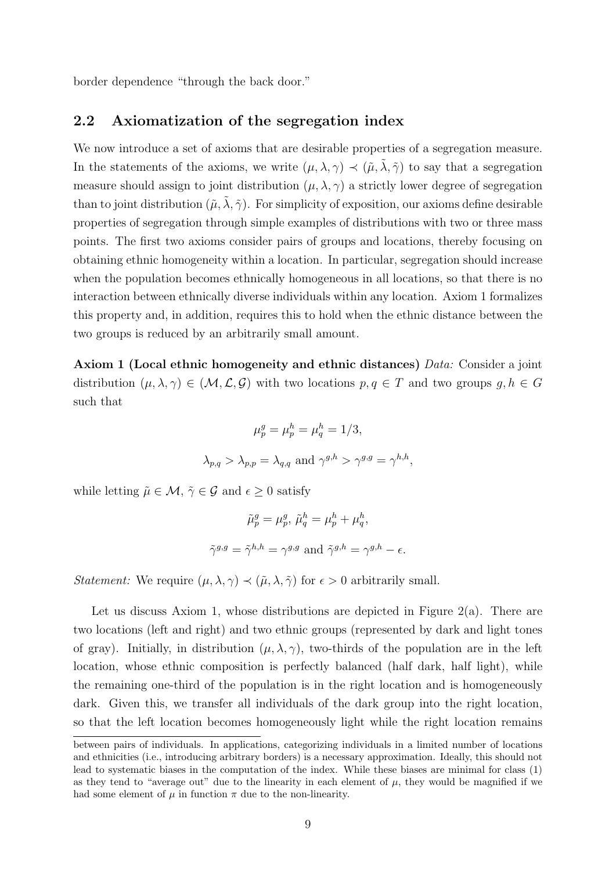border dependence "through the back door."

### 2.2 Axiomatization of the segregation index

We now introduce a set of axioms that are desirable properties of a segregation measure. In the statements of the axioms, we write  $(\mu, \lambda, \gamma) \prec (\tilde{\mu}, \tilde{\lambda}, \tilde{\gamma})$  to say that a segregation measure should assign to joint distribution  $(\mu, \lambda, \gamma)$  a strictly lower degree of segregation than to joint distribution  $(\tilde{\mu}, \tilde{\lambda}, \tilde{\gamma})$ . For simplicity of exposition, our axioms define desirable properties of segregation through simple examples of distributions with two or three mass points. The first two axioms consider pairs of groups and locations, thereby focusing on obtaining ethnic homogeneity within a location. In particular, segregation should increase when the population becomes ethnically homogeneous in all locations, so that there is no interaction between ethnically diverse individuals within any location. Axiom 1 formalizes this property and, in addition, requires this to hold when the ethnic distance between the two groups is reduced by an arbitrarily small amount.

Axiom 1 (Local ethnic homogeneity and ethnic distances) *Data:* Consider a joint distribution  $(\mu, \lambda, \gamma) \in (\mathcal{M}, \mathcal{L}, \mathcal{G})$  with two locations  $p, q \in \mathcal{T}$  and two groups  $g, h \in \mathcal{G}$ such that

$$
\mu_p^g = \mu_p^h = \mu_q^h = 1/3,
$$
  

$$
\lambda_{p,q} > \lambda_{p,p} = \lambda_{q,q} \text{ and } \gamma^{g,h} > \gamma^{g,g} = \gamma^{h,h},
$$

while letting  $\tilde{\mu} \in \mathcal{M}, \tilde{\gamma} \in \mathcal{G}$  and  $\epsilon \geq 0$  satisfy

$$
\tilde{\mu}_p^g = \mu_p^g, \, \tilde{\mu}_q^h = \mu_p^h + \mu_q^h,
$$
  

$$
\tilde{\gamma}^{g,g} = \tilde{\gamma}^{h,h} = \gamma^{g,g} \text{ and } \tilde{\gamma}^{g,h} = \gamma^{g,h} - \epsilon.
$$

*Statement:* We require  $(\mu, \lambda, \gamma) \prec (\tilde{\mu}, \lambda, \tilde{\gamma})$  for  $\epsilon > 0$  arbitrarily small.

Let us discuss Axiom 1, whose distributions are depicted in Figure 2(a). There are two locations (left and right) and two ethnic groups (represented by dark and light tones of gray). Initially, in distribution  $(\mu, \lambda, \gamma)$ , two-thirds of the population are in the left location, whose ethnic composition is perfectly balanced (half dark, half light), while the remaining one-third of the population is in the right location and is homogeneously dark. Given this, we transfer all individuals of the dark group into the right location, so that the left location becomes homogeneously light while the right location remains

between pairs of individuals. In applications, categorizing individuals in a limited number of locations and ethnicities (i.e., introducing arbitrary borders) is a necessary approximation. Ideally, this should not lead to systematic biases in the computation of the index. While these biases are minimal for class (1) as they tend to "average out" due to the linearity in each element of  $\mu$ , they would be magnified if we had some element of  $\mu$  in function  $\pi$  due to the non-linearity.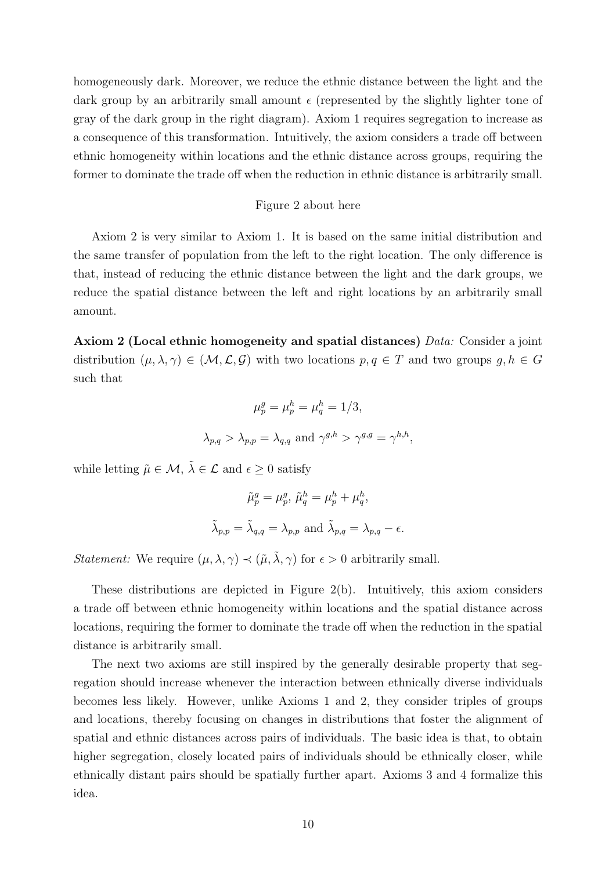homogeneously dark. Moreover, we reduce the ethnic distance between the light and the dark group by an arbitrarily small amount  $\epsilon$  (represented by the slightly lighter tone of gray of the dark group in the right diagram). Axiom 1 requires segregation to increase as a consequence of this transformation. Intuitively, the axiom considers a trade off between ethnic homogeneity within locations and the ethnic distance across groups, requiring the former to dominate the trade off when the reduction in ethnic distance is arbitrarily small.

#### Figure 2 about here

Axiom 2 is very similar to Axiom 1. It is based on the same initial distribution and the same transfer of population from the left to the right location. The only difference is that, instead of reducing the ethnic distance between the light and the dark groups, we reduce the spatial distance between the left and right locations by an arbitrarily small amount.

Axiom 2 (Local ethnic homogeneity and spatial distances)  $Data:$  Consider a joint distribution  $(\mu, \lambda, \gamma) \in (\mathcal{M}, \mathcal{L}, \mathcal{G})$  with two locations  $p, q \in \mathcal{T}$  and two groups  $g, h \in \mathcal{G}$ such that

$$
\mu_p^g = \mu_p^h = \mu_q^h = 1/3,
$$
  

$$
\lambda_{p,q} > \lambda_{p,p} = \lambda_{q,q} \text{ and } \gamma^{g,h} > \gamma^{g,g} = \gamma^{h,h},
$$

while letting  $\tilde{\mu} \in \mathcal{M}$ ,  $\tilde{\lambda} \in \mathcal{L}$  and  $\epsilon \geq 0$  satisfy

$$
\tilde{\mu}_p^g = \mu_p^g, \, \tilde{\mu}_q^h = \mu_p^h + \mu_q^h,
$$
  

$$
\tilde{\lambda}_{p,p} = \tilde{\lambda}_{q,q} = \lambda_{p,p} \text{ and } \tilde{\lambda}_{p,q} = \lambda_{p,q} - \epsilon.
$$

*Statement:* We require  $(\mu, \lambda, \gamma) \prec (\tilde{\mu}, \tilde{\lambda}, \gamma)$  for  $\epsilon > 0$  arbitrarily small.

These distributions are depicted in Figure 2(b). Intuitively, this axiom considers a trade off between ethnic homogeneity within locations and the spatial distance across locations, requiring the former to dominate the trade off when the reduction in the spatial distance is arbitrarily small.

The next two axioms are still inspired by the generally desirable property that segregation should increase whenever the interaction between ethnically diverse individuals becomes less likely. However, unlike Axioms 1 and 2, they consider triples of groups and locations, thereby focusing on changes in distributions that foster the alignment of spatial and ethnic distances across pairs of individuals. The basic idea is that, to obtain higher segregation, closely located pairs of individuals should be ethnically closer, while ethnically distant pairs should be spatially further apart. Axioms 3 and 4 formalize this idea.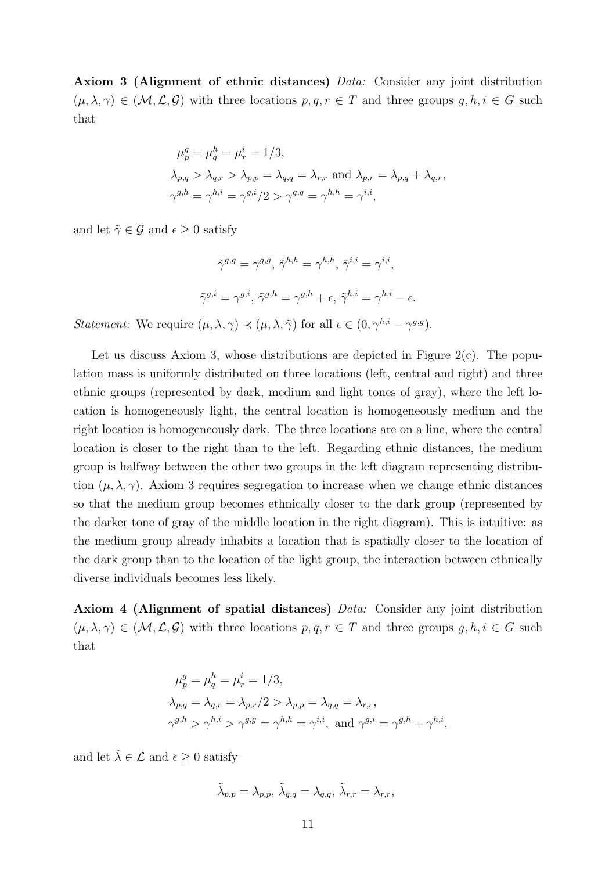Axiom 3 (Alignment of ethnic distances) Data: Consider any joint distribution  $(\mu, \lambda, \gamma) \in (\mathcal{M}, \mathcal{L}, \mathcal{G})$  with three locations  $p, q, r \in \mathcal{T}$  and three groups  $g, h, i \in \mathcal{G}$  such that

$$
\mu_p^g = \mu_q^h = \mu_r^i = 1/3,
$$
  
\n
$$
\lambda_{p,q} > \lambda_{q,r} > \lambda_{p,p} = \lambda_{q,q} = \lambda_{r,r} \text{ and } \lambda_{p,r} = \lambda_{p,q} + \lambda_{q,r},
$$
  
\n
$$
\gamma^{g,h} = \gamma^{h,i} = \gamma^{g,i}/2 > \gamma^{g,g} = \gamma^{h,h} = \gamma^{i,i},
$$

and let  $\tilde{\gamma} \in \mathcal{G}$  and  $\epsilon \geq 0$  satisfy

$$
\tilde{\gamma}^{g,g} = \gamma^{g,g}, \ \tilde{\gamma}^{h,h} = \gamma^{h,h}, \ \tilde{\gamma}^{i,i} = \gamma^{i,i},
$$
  

$$
\tilde{\gamma}^{g,i} = \gamma^{g,i}, \ \tilde{\gamma}^{g,h} = \gamma^{g,h} + \epsilon, \ \tilde{\gamma}^{h,i} = \gamma^{h,i} - \epsilon.
$$

*Statement:* We require  $(\mu, \lambda, \gamma) \prec (\mu, \lambda, \tilde{\gamma})$  for all  $\epsilon \in (0, \gamma^{h,i} - \gamma^{g,g}).$ 

Let us discuss Axiom 3, whose distributions are depicted in Figure  $2(c)$ . The population mass is uniformly distributed on three locations (left, central and right) and three ethnic groups (represented by dark, medium and light tones of gray), where the left location is homogeneously light, the central location is homogeneously medium and the right location is homogeneously dark. The three locations are on a line, where the central location is closer to the right than to the left. Regarding ethnic distances, the medium group is halfway between the other two groups in the left diagram representing distribution  $(\mu, \lambda, \gamma)$ . Axiom 3 requires segregation to increase when we change ethnic distances so that the medium group becomes ethnically closer to the dark group (represented by the darker tone of gray of the middle location in the right diagram). This is intuitive: as the medium group already inhabits a location that is spatially closer to the location of the dark group than to the location of the light group, the interaction between ethnically diverse individuals becomes less likely.

Axiom 4 (Alignment of spatial distances) Data: Consider any joint distribution  $(\mu, \lambda, \gamma) \in (\mathcal{M}, \mathcal{L}, \mathcal{G})$  with three locations  $p, q, r \in \mathcal{T}$  and three groups  $g, h, i \in \mathcal{G}$  such that

$$
\mu_p^g = \mu_q^h = \mu_r^i = 1/3,
$$
  
\n
$$
\lambda_{p,q} = \lambda_{q,r} = \lambda_{p,r}/2 > \lambda_{p,p} = \lambda_{q,q} = \lambda_{r,r},
$$
  
\n
$$
\gamma^{g,h} > \gamma^{h,i} > \gamma^{g,g} = \gamma^{h,h} = \gamma^{i,i}, \text{ and } \gamma^{g,i} = \gamma^{g,h} + \gamma^{h,i},
$$

and let  $\tilde{\lambda} \in \mathcal{L}$  and  $\epsilon \geq 0$  satisfy

$$
\tilde{\lambda}_{p,p} = \lambda_{p,p}, \ \tilde{\lambda}_{q,q} = \lambda_{q,q}, \ \tilde{\lambda}_{r,r} = \lambda_{r,r},
$$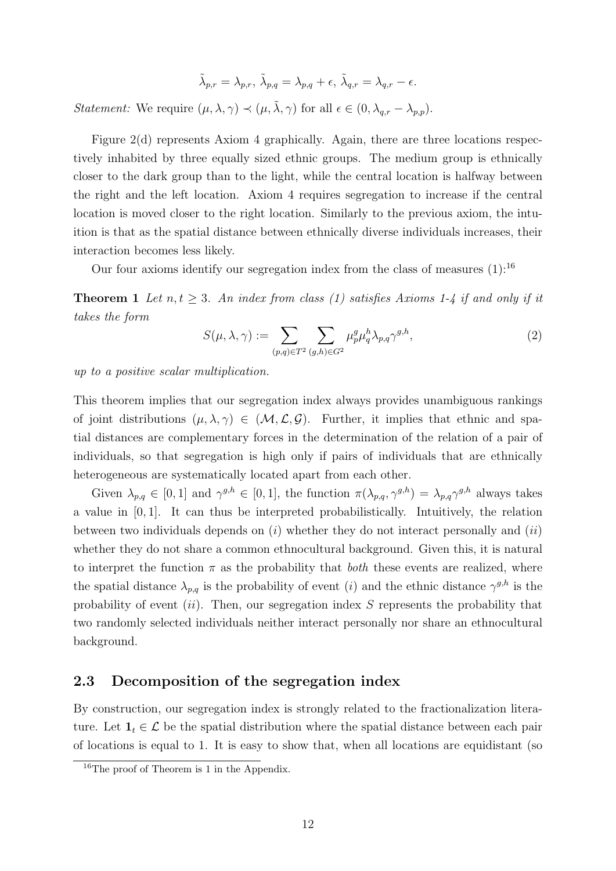$$
\tilde{\lambda}_{p,r}=\lambda_{p,r},\,\tilde{\lambda}_{p,q}=\lambda_{p,q}+\epsilon,\,\tilde{\lambda}_{q,r}=\lambda_{q,r}-\epsilon.
$$

*Statement:* We require  $(\mu, \lambda, \gamma) \prec (\mu, \tilde{\lambda}, \gamma)$  for all  $\epsilon \in (0, \lambda_{q,r} - \lambda_{p,p})$ .

Figure 2(d) represents Axiom 4 graphically. Again, there are three locations respectively inhabited by three equally sized ethnic groups. The medium group is ethnically closer to the dark group than to the light, while the central location is halfway between the right and the left location. Axiom 4 requires segregation to increase if the central location is moved closer to the right location. Similarly to the previous axiom, the intuition is that as the spatial distance between ethnically diverse individuals increases, their interaction becomes less likely.

Our four axioms identify our segregation index from the class of measures  $(1)$ :<sup>16</sup>

**Theorem 1** Let  $n, t \geq 3$ . An index from class (1) satisfies Axioms 1-4 if and only if it takes the form

$$
S(\mu, \lambda, \gamma) := \sum_{(p,q)\in T^2} \sum_{(g,h)\in G^2} \mu_p^g \mu_q^h \lambda_{p,q} \gamma^{g,h}, \qquad (2)
$$

up to a positive scalar multiplication.

This theorem implies that our segregation index always provides unambiguous rankings of joint distributions  $(\mu, \lambda, \gamma) \in (\mathcal{M}, \mathcal{L}, \mathcal{G})$ . Further, it implies that ethnic and spatial distances are complementary forces in the determination of the relation of a pair of individuals, so that segregation is high only if pairs of individuals that are ethnically heterogeneous are systematically located apart from each other.

Given  $\lambda_{p,q} \in [0,1]$  and  $\gamma^{g,h} \in [0,1]$ , the function  $\pi(\lambda_{p,q}, \gamma^{g,h}) = \lambda_{p,q} \gamma^{g,h}$  always takes a value in [0, 1]. It can thus be interpreted probabilistically. Intuitively, the relation between two individuals depends on  $(i)$  whether they do not interact personally and  $(ii)$ whether they do not share a common ethnocultural background. Given this, it is natural to interpret the function  $\pi$  as the probability that *both* these events are realized, where the spatial distance  $\lambda_{p,q}$  is the probability of event (i) and the ethnic distance  $\gamma^{g,h}$  is the probability of event  $(ii)$ . Then, our segregation index S represents the probability that two randomly selected individuals neither interact personally nor share an ethnocultural background.

### 2.3 Decomposition of the segregation index

By construction, our segregation index is strongly related to the fractionalization literature. Let  $\mathbf{1}_t \in \mathcal{L}$  be the spatial distribution where the spatial distance between each pair of locations is equal to 1. It is easy to show that, when all locations are equidistant (so

<sup>&</sup>lt;sup>16</sup>The proof of Theorem is 1 in the Appendix.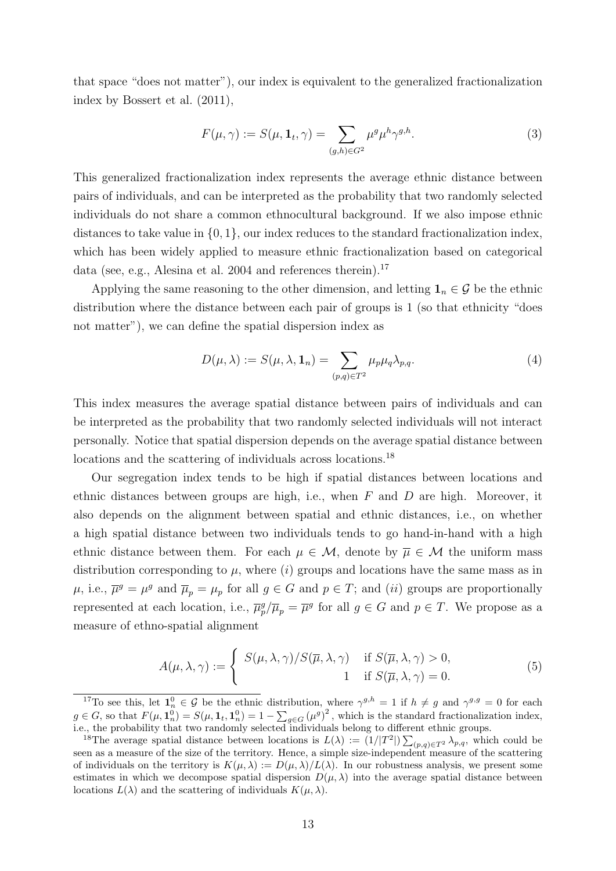that space "does not matter"), our index is equivalent to the generalized fractionalization index by Bossert et al. (2011),

$$
F(\mu, \gamma) := S(\mu, \mathbf{1}_t, \gamma) = \sum_{(g, h) \in G^2} \mu^g \mu^h \gamma^{g, h}.
$$
 (3)

This generalized fractionalization index represents the average ethnic distance between pairs of individuals, and can be interpreted as the probability that two randomly selected individuals do not share a common ethnocultural background. If we also impose ethnic distances to take value in  $\{0, 1\}$ , our index reduces to the standard fractionalization index, which has been widely applied to measure ethnic fractionalization based on categorical data (see, e.g., Alesina et al. 2004 and references therein).<sup>17</sup>

Applying the same reasoning to the other dimension, and letting  $\mathbf{1}_n \in \mathcal{G}$  be the ethnic distribution where the distance between each pair of groups is 1 (so that ethnicity "does not matter"), we can define the spatial dispersion index as

$$
D(\mu, \lambda) := S(\mu, \lambda, \mathbf{1}_n) = \sum_{(p,q) \in T^2} \mu_p \mu_q \lambda_{p,q}.
$$
 (4)

This index measures the average spatial distance between pairs of individuals and can be interpreted as the probability that two randomly selected individuals will not interact personally. Notice that spatial dispersion depends on the average spatial distance between locations and the scattering of individuals across locations.<sup>18</sup>

Our segregation index tends to be high if spatial distances between locations and ethnic distances between groups are high, i.e., when  $F$  and  $D$  are high. Moreover, it also depends on the alignment between spatial and ethnic distances, i.e., on whether a high spatial distance between two individuals tends to go hand-in-hand with a high ethnic distance between them. For each  $\mu \in \mathcal{M}$ , denote by  $\overline{\mu} \in \mathcal{M}$  the uniform mass distribution corresponding to  $\mu$ , where  $(i)$  groups and locations have the same mass as in  $\mu$ , i.e.,  $\overline{\mu}^g = \mu^g$  and  $\overline{\mu}_p = \mu_p$  for all  $g \in G$  and  $p \in T$ ; and  $(ii)$  groups are proportionally represented at each location, i.e.,  $\overline{\mu}_p^g/\overline{\mu}_p = \overline{\mu}^g$  for all  $g \in G$  and  $p \in T$ . We propose as a measure of ethno-spatial alignment

$$
A(\mu, \lambda, \gamma) := \begin{cases} S(\mu, \lambda, \gamma) / S(\overline{\mu}, \lambda, \gamma) & \text{if } S(\overline{\mu}, \lambda, \gamma) > 0, \\ 1 & \text{if } S(\overline{\mu}, \lambda, \gamma) = 0. \end{cases}
$$
(5)

<sup>&</sup>lt;sup>17</sup>To see this, let  $\mathbf{1}_n^0 \in \mathcal{G}$  be the ethnic distribution, where  $\gamma^{g,h} = 1$  if  $h \neq g$  and  $\gamma^{g,g} = 0$  for each  $g \in G$ , so that  $F(\mu, \mathbf{1}_n^0) = S(\mu, \mathbf{1}_t, \mathbf{1}_n^0) = 1 - \sum_{g \in G} (\mu^g)^2$ , which is the standard fractionalization index, i.e., the probability that two randomly selected individuals belong to different ethnic groups.

<sup>&</sup>lt;sup>18</sup>The average spatial distance between locations is  $L(\lambda) := (1/|T^2|) \sum_{(p,q) \in T^2} \lambda_{p,q}$ , which could be seen as a measure of the size of the territory. Hence, a simple size-independent measure of the scattering of individuals on the territory is  $K(\mu, \lambda) := D(\mu, \lambda)/L(\lambda)$ . In our robustness analysis, we present some estimates in which we decompose spatial dispersion  $D(\mu, \lambda)$  into the average spatial distance between locations  $L(\lambda)$  and the scattering of individuals  $K(\mu, \lambda)$ .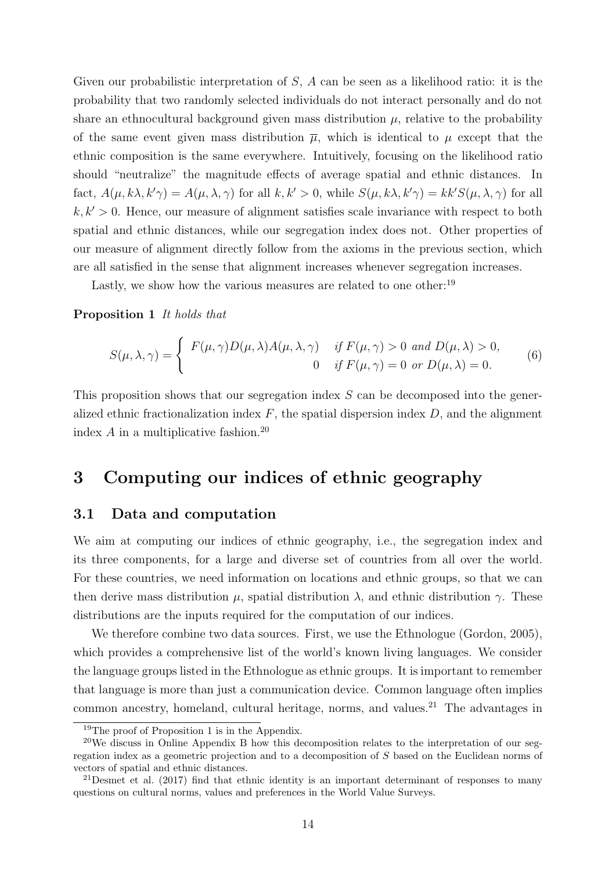Given our probabilistic interpretation of S, A can be seen as a likelihood ratio: it is the probability that two randomly selected individuals do not interact personally and do not share an ethnocultural background given mass distribution  $\mu$ , relative to the probability of the same event given mass distribution  $\bar{\mu}$ , which is identical to  $\mu$  except that the ethnic composition is the same everywhere. Intuitively, focusing on the likelihood ratio should "neutralize" the magnitude effects of average spatial and ethnic distances. In fact,  $A(\mu, k\lambda, k'\gamma) = A(\mu, \lambda, \gamma)$  for all  $k, k' > 0$ , while  $S(\mu, k\lambda, k'\gamma) = kk'S(\mu, \lambda, \gamma)$  for all  $k, k' > 0$ . Hence, our measure of alignment satisfies scale invariance with respect to both spatial and ethnic distances, while our segregation index does not. Other properties of our measure of alignment directly follow from the axioms in the previous section, which are all satisfied in the sense that alignment increases whenever segregation increases.

Lastly, we show how the various measures are related to one other:<sup>19</sup>

Proposition 1 It holds that

$$
S(\mu, \lambda, \gamma) = \begin{cases} F(\mu, \gamma)D(\mu, \lambda)A(\mu, \lambda, \gamma) & \text{if } F(\mu, \gamma) > 0 \text{ and } D(\mu, \lambda) > 0, \\ 0 & \text{if } F(\mu, \gamma) = 0 \text{ or } D(\mu, \lambda) = 0. \end{cases}
$$
(6)

This proposition shows that our segregation index S can be decomposed into the generalized ethnic fractionalization index  $F$ , the spatial dispersion index  $D$ , and the alignment index  $A$  in a multiplicative fashion.<sup>20</sup>

# 3 Computing our indices of ethnic geography

### 3.1 Data and computation

We aim at computing our indices of ethnic geography, i.e., the segregation index and its three components, for a large and diverse set of countries from all over the world. For these countries, we need information on locations and ethnic groups, so that we can then derive mass distribution  $\mu$ , spatial distribution  $\lambda$ , and ethnic distribution  $\gamma$ . These distributions are the inputs required for the computation of our indices.

We therefore combine two data sources. First, we use the Ethnologue (Gordon, 2005), which provides a comprehensive list of the world's known living languages. We consider the language groups listed in the Ethnologue as ethnic groups. It is important to remember that language is more than just a communication device. Common language often implies common ancestry, homeland, cultural heritage, norms, and values.<sup>21</sup> The advantages in

<sup>19</sup>The proof of Proposition 1 is in the Appendix.

<sup>&</sup>lt;sup>20</sup>We discuss in Online Appendix B how this decomposition relates to the interpretation of our segregation index as a geometric projection and to a decomposition of S based on the Euclidean norms of vectors of spatial and ethnic distances.

<sup>21</sup>Desmet et al. (2017) find that ethnic identity is an important determinant of responses to many questions on cultural norms, values and preferences in the World Value Surveys.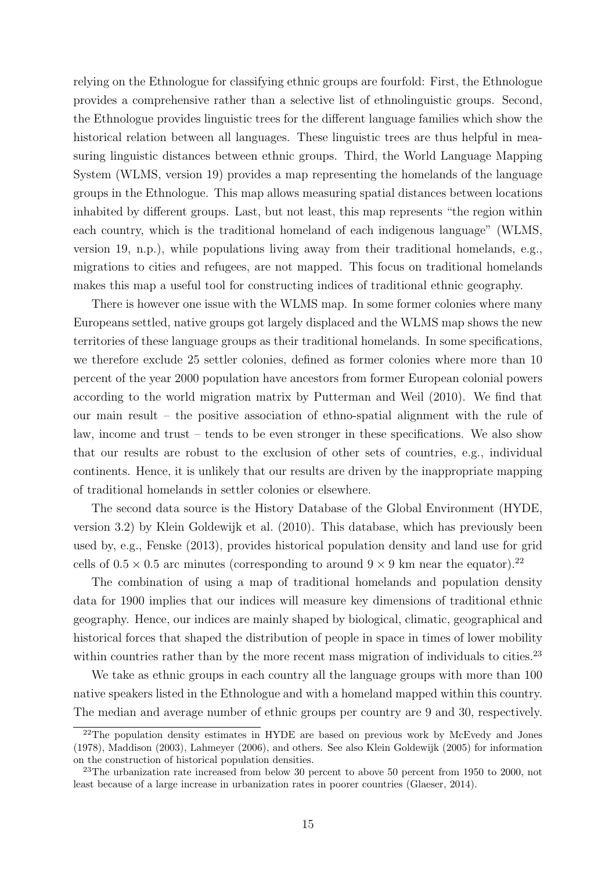relying on the Ethnologue for classifying ethnic groups are fourfold: First, the Ethnologue provides a comprehensive rather than a selective list of ethnolinguistic groups. Second, the Ethnologue provides linguistic trees for the different language families which show the historical relation between all languages. These linguistic trees are thus helpful in measuring linguistic distances between ethnic groups. Third, the World Language Mapping System (WLMS, version 19) provides a map representing the homelands of the language groups in the Ethnologue. This map allows measuring spatial distances between locations inhabited by different groups. Last, but not least, this map represents "the region within each country, which is the traditional homeland of each indigenous language" (WLMS, version 19, n.p.), while populations living away from their traditional homelands, e.g., migrations to cities and refugees, are not mapped. This focus on traditional homelands makes this map a useful tool for constructing indices of traditional ethnic geography.

There is however one issue with the WLMS map. In some former colonies where many Europeans settled, native groups got largely displaced and the WLMS map shows the new territories of these language groups as their traditional homelands. In some specifications, we therefore exclude 25 settler colonies, defined as former colonies where more than 10 percent of the year 2000 population have ancestors from former European colonial powers according to the world migration matrix by Putterman and Weil (2010). We find that our main result – the positive association of ethno-spatial alignment with the rule of law, income and trust – tends to be even stronger in these specifications. We also show that our results are robust to the exclusion of other sets of countries, e.g., individual continents. Hence, it is unlikely that our results are driven by the inappropriate mapping of traditional homelands in settler colonies or elsewhere.

The second data source is the History Database of the Global Environment (HYDE, version 3.2) by Klein Goldewijk et al. (2010). This database, which has previously been used by, e.g., Fenske (2013), provides historical population density and land use for grid cells of  $0.5 \times 0.5$  arc minutes (corresponding to around  $9 \times 9$  km near the equator).<sup>22</sup>

The combination of using a map of traditional homelands and population density data for 1900 implies that our indices will measure key dimensions of traditional ethnic geography. Hence, our indices are mainly shaped by biological, climatic, geographical and historical forces that shaped the distribution of people in space in times of lower mobility within countries rather than by the more recent mass migration of individuals to cities.<sup>23</sup>

We take as ethnic groups in each country all the language groups with more than 100 native speakers listed in the Ethnologue and with a homeland mapped within this country. The median and average number of ethnic groups per country are 9 and 30, respectively.

<sup>22</sup>The population density estimates in HYDE are based on previous work by McEvedy and Jones (1978), Maddison (2003), Lahmeyer (2006), and others. See also Klein Goldewijk (2005) for information on the construction of historical population densities.

<sup>&</sup>lt;sup>23</sup>The urbanization rate increased from below 30 percent to above 50 percent from 1950 to 2000, not least because of a large increase in urbanization rates in poorer countries (Glaeser, 2014).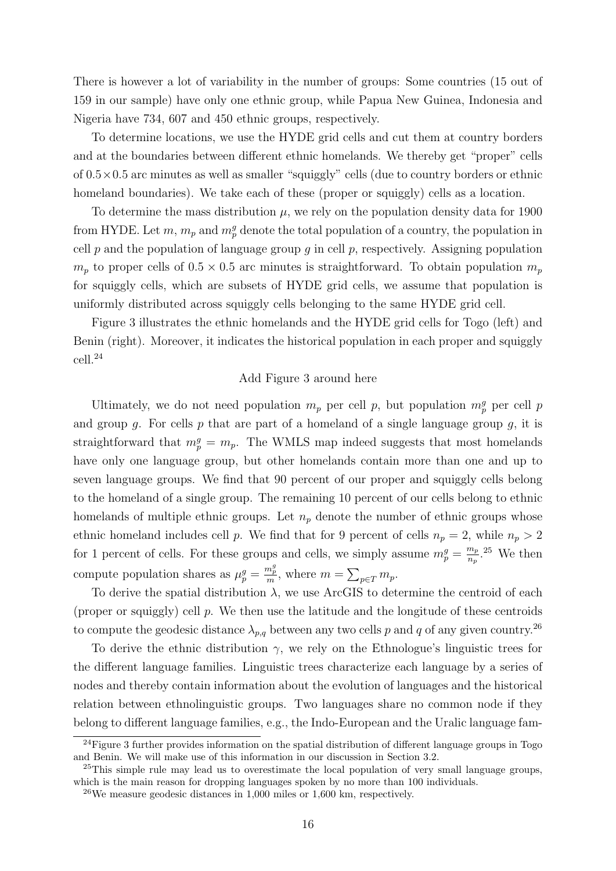There is however a lot of variability in the number of groups: Some countries (15 out of 159 in our sample) have only one ethnic group, while Papua New Guinea, Indonesia and Nigeria have 734, 607 and 450 ethnic groups, respectively.

To determine locations, we use the HYDE grid cells and cut them at country borders and at the boundaries between different ethnic homelands. We thereby get "proper" cells of  $0.5 \times 0.5$  arc minutes as well as smaller "squiggly" cells (due to country borders or ethnic homeland boundaries). We take each of these (proper or squiggly) cells as a location.

To determine the mass distribution  $\mu$ , we rely on the population density data for 1900 from HYDE. Let  $m$ ,  $m_p$  and  $m_p^g$  denote the total population of a country, the population in cell  $p$  and the population of language group  $g$  in cell  $p$ , respectively. Assigning population  $m_p$  to proper cells of  $0.5 \times 0.5$  arc minutes is straightforward. To obtain population  $m_p$ for squiggly cells, which are subsets of HYDE grid cells, we assume that population is uniformly distributed across squiggly cells belonging to the same HYDE grid cell.

Figure 3 illustrates the ethnic homelands and the HYDE grid cells for Togo (left) and Benin (right). Moreover, it indicates the historical population in each proper and squiggly cell.<sup>24</sup>

#### Add Figure 3 around here

Ultimately, we do not need population  $m_p$  per cell p, but population  $m_p^g$  per cell p and group g. For cells p that are part of a homeland of a single language group  $g$ , it is straightforward that  $m_p^g = m_p$ . The WMLS map indeed suggests that most homelands have only one language group, but other homelands contain more than one and up to seven language groups. We find that 90 percent of our proper and squiggly cells belong to the homeland of a single group. The remaining 10 percent of our cells belong to ethnic homelands of multiple ethnic groups. Let  $n_p$  denote the number of ethnic groups whose ethnic homeland includes cell p. We find that for 9 percent of cells  $n_p = 2$ , while  $n_p > 2$ for 1 percent of cells. For these groups and cells, we simply assume  $m_p^g = \frac{m_p}{n_p}$  $\frac{m_p}{n_p}$ .<sup>25</sup> We then compute population shares as  $\mu_p^g = \frac{m_p^g}{m}$ , where  $m = \sum_{p \in \mathcal{I}} m_p$ .

To derive the spatial distribution  $\lambda$ , we use ArcGIS to determine the centroid of each (proper or squiggly) cell  $p$ . We then use the latitude and the longitude of these centroids to compute the geodesic distance  $\lambda_{p,q}$  between any two cells p and q of any given country.<sup>26</sup>

To derive the ethnic distribution  $\gamma$ , we rely on the Ethnologue's linguistic trees for the different language families. Linguistic trees characterize each language by a series of nodes and thereby contain information about the evolution of languages and the historical relation between ethnolinguistic groups. Two languages share no common node if they belong to different language families, e.g., the Indo-European and the Uralic language fam-

<sup>&</sup>lt;sup>24</sup>Figure 3 further provides information on the spatial distribution of different language groups in Togo and Benin. We will make use of this information in our discussion in Section 3.2.

<sup>&</sup>lt;sup>25</sup>This simple rule may lead us to overestimate the local population of very small language groups, which is the main reason for dropping languages spoken by no more than 100 individuals.

<sup>&</sup>lt;sup>26</sup>We measure geodesic distances in  $1,000$  miles or  $1,600$  km, respectively.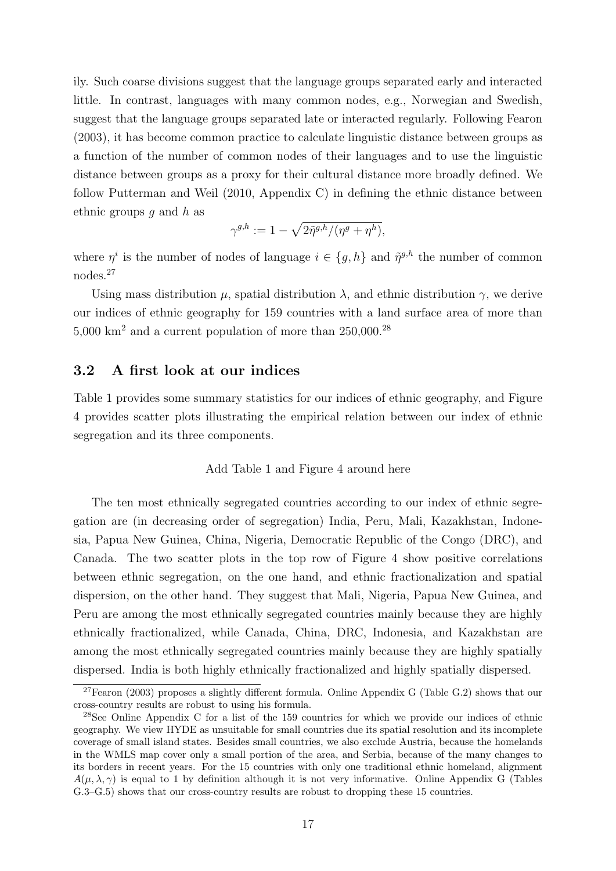ily. Such coarse divisions suggest that the language groups separated early and interacted little. In contrast, languages with many common nodes, e.g., Norwegian and Swedish, suggest that the language groups separated late or interacted regularly. Following Fearon (2003), it has become common practice to calculate linguistic distance between groups as a function of the number of common nodes of their languages and to use the linguistic distance between groups as a proxy for their cultural distance more broadly defined. We follow Putterman and Weil (2010, Appendix C) in defining the ethnic distance between ethnic groups q and  $h$  as

$$
\gamma^{g,h}:=1-\sqrt{2\tilde{\eta}^{g,h}/(\eta^g+\eta^h)},
$$

where  $\eta^i$  is the number of nodes of language  $i \in \{g, h\}$  and  $\tilde{\eta}^{g,h}$  the number of common nodes.<sup>27</sup>

Using mass distribution  $\mu$ , spatial distribution  $\lambda$ , and ethnic distribution  $\gamma$ , we derive our indices of ethnic geography for 159 countries with a land surface area of more than 5,000 km<sup>2</sup> and a current population of more than 250,000.<sup>28</sup>

### 3.2 A first look at our indices

Table 1 provides some summary statistics for our indices of ethnic geography, and Figure 4 provides scatter plots illustrating the empirical relation between our index of ethnic segregation and its three components.

#### Add Table 1 and Figure 4 around here

The ten most ethnically segregated countries according to our index of ethnic segregation are (in decreasing order of segregation) India, Peru, Mali, Kazakhstan, Indonesia, Papua New Guinea, China, Nigeria, Democratic Republic of the Congo (DRC), and Canada. The two scatter plots in the top row of Figure 4 show positive correlations between ethnic segregation, on the one hand, and ethnic fractionalization and spatial dispersion, on the other hand. They suggest that Mali, Nigeria, Papua New Guinea, and Peru are among the most ethnically segregated countries mainly because they are highly ethnically fractionalized, while Canada, China, DRC, Indonesia, and Kazakhstan are among the most ethnically segregated countries mainly because they are highly spatially dispersed. India is both highly ethnically fractionalized and highly spatially dispersed.

 $27$ Fearon (2003) proposes a slightly different formula. Online Appendix G (Table G.2) shows that our cross-country results are robust to using his formula.

<sup>28</sup>See Online Appendix C for a list of the 159 countries for which we provide our indices of ethnic geography. We view HYDE as unsuitable for small countries due its spatial resolution and its incomplete coverage of small island states. Besides small countries, we also exclude Austria, because the homelands in the WMLS map cover only a small portion of the area, and Serbia, because of the many changes to its borders in recent years. For the 15 countries with only one traditional ethnic homeland, alignment  $A(\mu, \lambda, \gamma)$  is equal to 1 by definition although it is not very informative. Online Appendix G (Tables G.3–G.5) shows that our cross-country results are robust to dropping these 15 countries.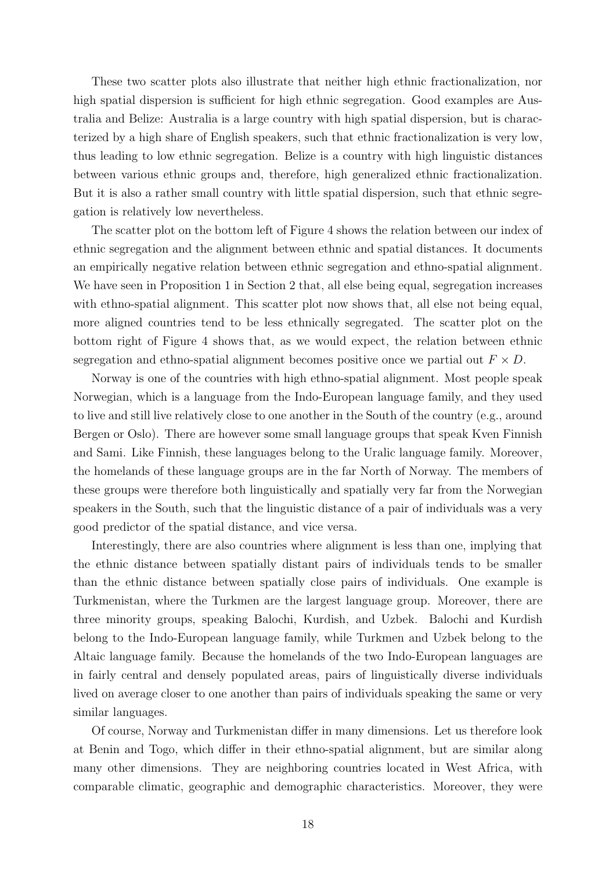These two scatter plots also illustrate that neither high ethnic fractionalization, nor high spatial dispersion is sufficient for high ethnic segregation. Good examples are Australia and Belize: Australia is a large country with high spatial dispersion, but is characterized by a high share of English speakers, such that ethnic fractionalization is very low, thus leading to low ethnic segregation. Belize is a country with high linguistic distances between various ethnic groups and, therefore, high generalized ethnic fractionalization. But it is also a rather small country with little spatial dispersion, such that ethnic segregation is relatively low nevertheless.

The scatter plot on the bottom left of Figure 4 shows the relation between our index of ethnic segregation and the alignment between ethnic and spatial distances. It documents an empirically negative relation between ethnic segregation and ethno-spatial alignment. We have seen in Proposition 1 in Section 2 that, all else being equal, segregation increases with ethno-spatial alignment. This scatter plot now shows that, all else not being equal, more aligned countries tend to be less ethnically segregated. The scatter plot on the bottom right of Figure 4 shows that, as we would expect, the relation between ethnic segregation and ethno-spatial alignment becomes positive once we partial out  $F \times D$ .

Norway is one of the countries with high ethno-spatial alignment. Most people speak Norwegian, which is a language from the Indo-European language family, and they used to live and still live relatively close to one another in the South of the country (e.g., around Bergen or Oslo). There are however some small language groups that speak Kven Finnish and Sami. Like Finnish, these languages belong to the Uralic language family. Moreover, the homelands of these language groups are in the far North of Norway. The members of these groups were therefore both linguistically and spatially very far from the Norwegian speakers in the South, such that the linguistic distance of a pair of individuals was a very good predictor of the spatial distance, and vice versa.

Interestingly, there are also countries where alignment is less than one, implying that the ethnic distance between spatially distant pairs of individuals tends to be smaller than the ethnic distance between spatially close pairs of individuals. One example is Turkmenistan, where the Turkmen are the largest language group. Moreover, there are three minority groups, speaking Balochi, Kurdish, and Uzbek. Balochi and Kurdish belong to the Indo-European language family, while Turkmen and Uzbek belong to the Altaic language family. Because the homelands of the two Indo-European languages are in fairly central and densely populated areas, pairs of linguistically diverse individuals lived on average closer to one another than pairs of individuals speaking the same or very similar languages.

Of course, Norway and Turkmenistan differ in many dimensions. Let us therefore look at Benin and Togo, which differ in their ethno-spatial alignment, but are similar along many other dimensions. They are neighboring countries located in West Africa, with comparable climatic, geographic and demographic characteristics. Moreover, they were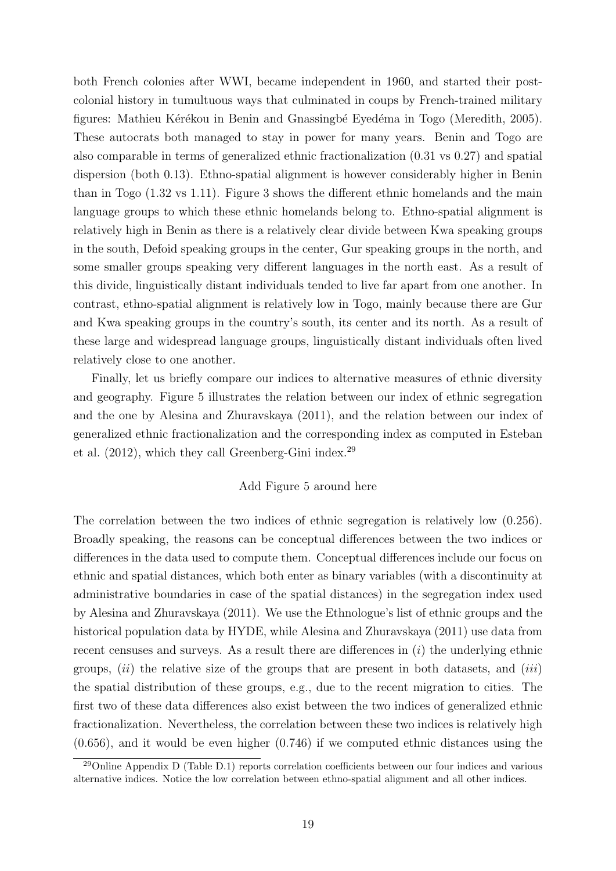both French colonies after WWI, became independent in 1960, and started their postcolonial history in tumultuous ways that culminated in coups by French-trained military figures: Mathieu Kérékou in Benin and Gnassingbé Eyedéma in Togo (Meredith, 2005). These autocrats both managed to stay in power for many years. Benin and Togo are also comparable in terms of generalized ethnic fractionalization (0.31 vs 0.27) and spatial dispersion (both 0.13). Ethno-spatial alignment is however considerably higher in Benin than in Togo (1.32 vs 1.11). Figure 3 shows the different ethnic homelands and the main language groups to which these ethnic homelands belong to. Ethno-spatial alignment is relatively high in Benin as there is a relatively clear divide between Kwa speaking groups in the south, Defoid speaking groups in the center, Gur speaking groups in the north, and some smaller groups speaking very different languages in the north east. As a result of this divide, linguistically distant individuals tended to live far apart from one another. In contrast, ethno-spatial alignment is relatively low in Togo, mainly because there are Gur and Kwa speaking groups in the country's south, its center and its north. As a result of these large and widespread language groups, linguistically distant individuals often lived relatively close to one another.

Finally, let us briefly compare our indices to alternative measures of ethnic diversity and geography. Figure 5 illustrates the relation between our index of ethnic segregation and the one by Alesina and Zhuravskaya (2011), and the relation between our index of generalized ethnic fractionalization and the corresponding index as computed in Esteban et al.  $(2012)$ , which they call Greenberg-Gini index.<sup>29</sup>

#### Add Figure 5 around here

The correlation between the two indices of ethnic segregation is relatively low (0.256). Broadly speaking, the reasons can be conceptual differences between the two indices or differences in the data used to compute them. Conceptual differences include our focus on ethnic and spatial distances, which both enter as binary variables (with a discontinuity at administrative boundaries in case of the spatial distances) in the segregation index used by Alesina and Zhuravskaya (2011). We use the Ethnologue's list of ethnic groups and the historical population data by HYDE, while Alesina and Zhuravskaya (2011) use data from recent censuses and surveys. As a result there are differences in  $(i)$  the underlying ethnic groups,  $(ii)$  the relative size of the groups that are present in both datasets, and  $(iii)$ the spatial distribution of these groups, e.g., due to the recent migration to cities. The first two of these data differences also exist between the two indices of generalized ethnic fractionalization. Nevertheless, the correlation between these two indices is relatively high  $(0.656)$ , and it would be even higher  $(0.746)$  if we computed ethnic distances using the

 $^{29}$ Online Appendix D (Table D.1) reports correlation coefficients between our four indices and various alternative indices. Notice the low correlation between ethno-spatial alignment and all other indices.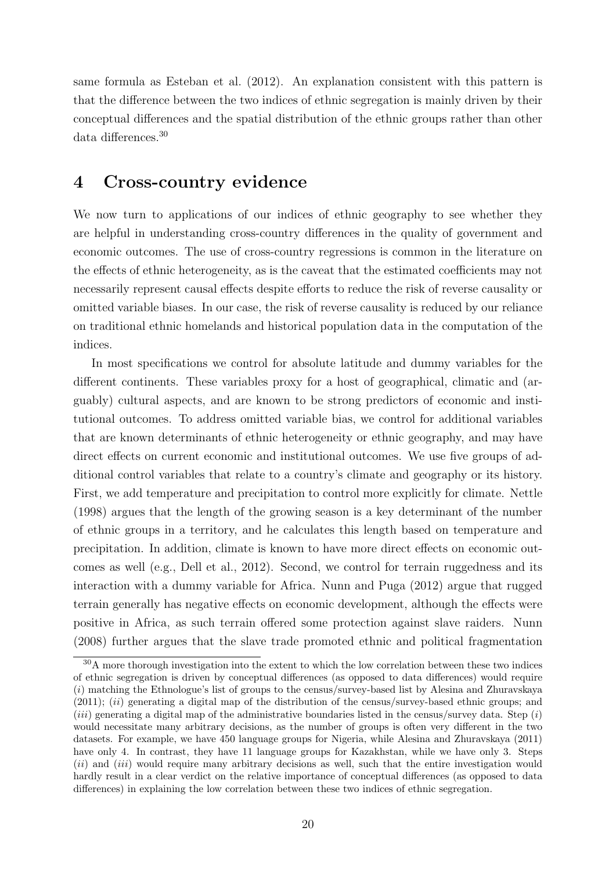same formula as Esteban et al. (2012). An explanation consistent with this pattern is that the difference between the two indices of ethnic segregation is mainly driven by their conceptual differences and the spatial distribution of the ethnic groups rather than other data differences.<sup>30</sup>

# 4 Cross-country evidence

We now turn to applications of our indices of ethnic geography to see whether they are helpful in understanding cross-country differences in the quality of government and economic outcomes. The use of cross-country regressions is common in the literature on the effects of ethnic heterogeneity, as is the caveat that the estimated coefficients may not necessarily represent causal effects despite efforts to reduce the risk of reverse causality or omitted variable biases. In our case, the risk of reverse causality is reduced by our reliance on traditional ethnic homelands and historical population data in the computation of the indices.

In most specifications we control for absolute latitude and dummy variables for the different continents. These variables proxy for a host of geographical, climatic and (arguably) cultural aspects, and are known to be strong predictors of economic and institutional outcomes. To address omitted variable bias, we control for additional variables that are known determinants of ethnic heterogeneity or ethnic geography, and may have direct effects on current economic and institutional outcomes. We use five groups of additional control variables that relate to a country's climate and geography or its history. First, we add temperature and precipitation to control more explicitly for climate. Nettle (1998) argues that the length of the growing season is a key determinant of the number of ethnic groups in a territory, and he calculates this length based on temperature and precipitation. In addition, climate is known to have more direct effects on economic outcomes as well (e.g., Dell et al., 2012). Second, we control for terrain ruggedness and its interaction with a dummy variable for Africa. Nunn and Puga (2012) argue that rugged terrain generally has negative effects on economic development, although the effects were positive in Africa, as such terrain offered some protection against slave raiders. Nunn (2008) further argues that the slave trade promoted ethnic and political fragmentation

<sup>&</sup>lt;sup>30</sup>A more thorough investigation into the extent to which the low correlation between these two indices of ethnic segregation is driven by conceptual differences (as opposed to data differences) would require (i) matching the Ethnologue's list of groups to the census/survey-based list by Alesina and Zhuravskaya  $(2011);$   $(ii)$  generating a digital map of the distribution of the census/survey-based ethnic groups; and (*iii*) generating a digital map of the administrative boundaries listed in the census/survey data. Step  $(i)$ would necessitate many arbitrary decisions, as the number of groups is often very different in the two datasets. For example, we have 450 language groups for Nigeria, while Alesina and Zhuravskaya (2011) have only 4. In contrast, they have 11 language groups for Kazakhstan, while we have only 3. Steps (*ii*) and (*iii*) would require many arbitrary decisions as well, such that the entire investigation would hardly result in a clear verdict on the relative importance of conceptual differences (as opposed to data differences) in explaining the low correlation between these two indices of ethnic segregation.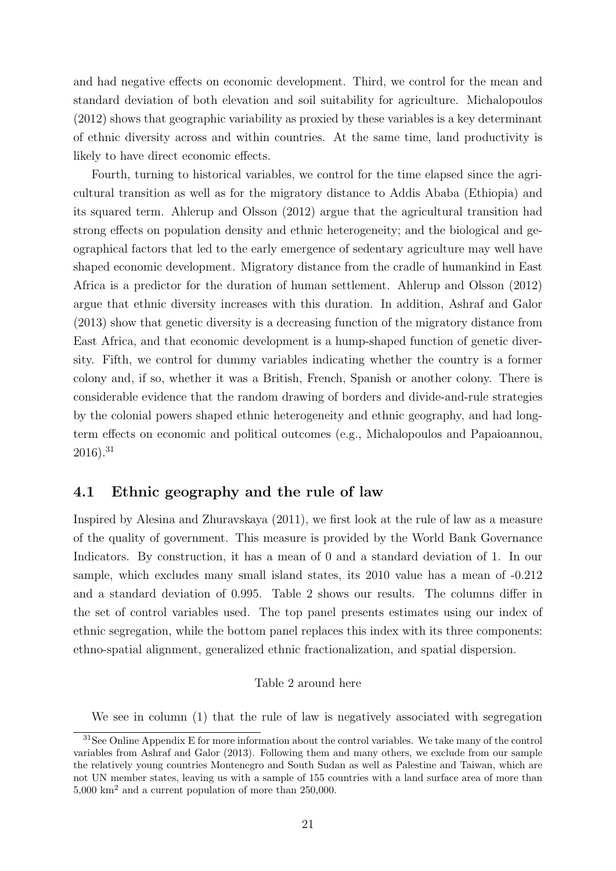and had negative effects on economic development. Third, we control for the mean and standard deviation of both elevation and soil suitability for agriculture. Michalopoulos (2012) shows that geographic variability as proxied by these variables is a key determinant of ethnic diversity across and within countries. At the same time, land productivity is likely to have direct economic effects.

Fourth, turning to historical variables, we control for the time elapsed since the agricultural transition as well as for the migratory distance to Addis Ababa (Ethiopia) and its squared term. Ahlerup and Olsson (2012) argue that the agricultural transition had strong effects on population density and ethnic heterogeneity; and the biological and geographical factors that led to the early emergence of sedentary agriculture may well have shaped economic development. Migratory distance from the cradle of humankind in East Africa is a predictor for the duration of human settlement. Ahlerup and Olsson (2012) argue that ethnic diversity increases with this duration. In addition, Ashraf and Galor (2013) show that genetic diversity is a decreasing function of the migratory distance from East Africa, and that economic development is a hump-shaped function of genetic diversity. Fifth, we control for dummy variables indicating whether the country is a former colony and, if so, whether it was a British, French, Spanish or another colony. There is considerable evidence that the random drawing of borders and divide-and-rule strategies by the colonial powers shaped ethnic heterogeneity and ethnic geography, and had longterm effects on economic and political outcomes (e.g., Michalopoulos and Papaioannou,  $2016$ ).<sup>31</sup>

### 4.1 Ethnic geography and the rule of law

Inspired by Alesina and Zhuravskaya (2011), we first look at the rule of law as a measure of the quality of government. This measure is provided by the World Bank Governance Indicators. By construction, it has a mean of 0 and a standard deviation of 1. In our sample, which excludes many small island states, its 2010 value has a mean of -0.212 and a standard deviation of 0.995. Table 2 shows our results. The columns differ in the set of control variables used. The top panel presents estimates using our index of ethnic segregation, while the bottom panel replaces this index with its three components: ethno-spatial alignment, generalized ethnic fractionalization, and spatial dispersion.

#### Table 2 around here

We see in column (1) that the rule of law is negatively associated with segregation

<sup>&</sup>lt;sup>31</sup>See Online Appendix E for more information about the control variables. We take many of the control variables from Ashraf and Galor (2013). Following them and many others, we exclude from our sample the relatively young countries Montenegro and South Sudan as well as Palestine and Taiwan, which are not UN member states, leaving us with a sample of 155 countries with a land surface area of more than 5,000 km<sup>2</sup> and a current population of more than 250,000.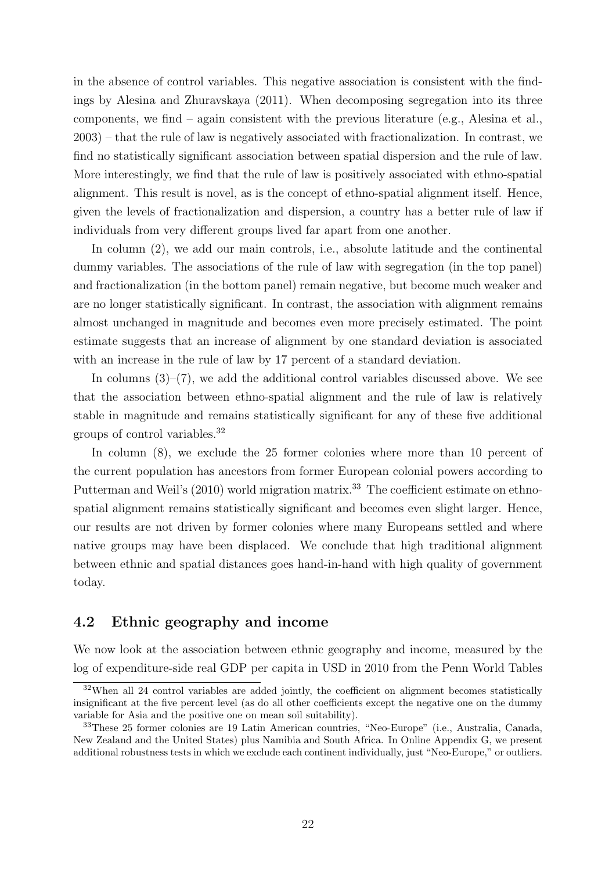in the absence of control variables. This negative association is consistent with the findings by Alesina and Zhuravskaya (2011). When decomposing segregation into its three components, we find – again consistent with the previous literature (e.g., Alesina et al., 2003) – that the rule of law is negatively associated with fractionalization. In contrast, we find no statistically significant association between spatial dispersion and the rule of law. More interestingly, we find that the rule of law is positively associated with ethno-spatial alignment. This result is novel, as is the concept of ethno-spatial alignment itself. Hence, given the levels of fractionalization and dispersion, a country has a better rule of law if individuals from very different groups lived far apart from one another.

In column (2), we add our main controls, i.e., absolute latitude and the continental dummy variables. The associations of the rule of law with segregation (in the top panel) and fractionalization (in the bottom panel) remain negative, but become much weaker and are no longer statistically significant. In contrast, the association with alignment remains almost unchanged in magnitude and becomes even more precisely estimated. The point estimate suggests that an increase of alignment by one standard deviation is associated with an increase in the rule of law by 17 percent of a standard deviation.

In columns  $(3)$ – $(7)$ , we add the additional control variables discussed above. We see that the association between ethno-spatial alignment and the rule of law is relatively stable in magnitude and remains statistically significant for any of these five additional groups of control variables.<sup>32</sup>

In column  $(8)$ , we exclude the 25 former colonies where more than 10 percent of the current population has ancestors from former European colonial powers according to Putterman and Weil's (2010) world migration matrix.<sup>33</sup> The coefficient estimate on ethnospatial alignment remains statistically significant and becomes even slight larger. Hence, our results are not driven by former colonies where many Europeans settled and where native groups may have been displaced. We conclude that high traditional alignment between ethnic and spatial distances goes hand-in-hand with high quality of government today.

### 4.2 Ethnic geography and income

We now look at the association between ethnic geography and income, measured by the log of expenditure-side real GDP per capita in USD in 2010 from the Penn World Tables

 $32$ When all 24 control variables are added jointly, the coefficient on alignment becomes statistically insignificant at the five percent level (as do all other coefficients except the negative one on the dummy variable for Asia and the positive one on mean soil suitability).

<sup>33</sup>These 25 former colonies are 19 Latin American countries, "Neo-Europe" (i.e., Australia, Canada, New Zealand and the United States) plus Namibia and South Africa. In Online Appendix G, we present additional robustness tests in which we exclude each continent individually, just "Neo-Europe," or outliers.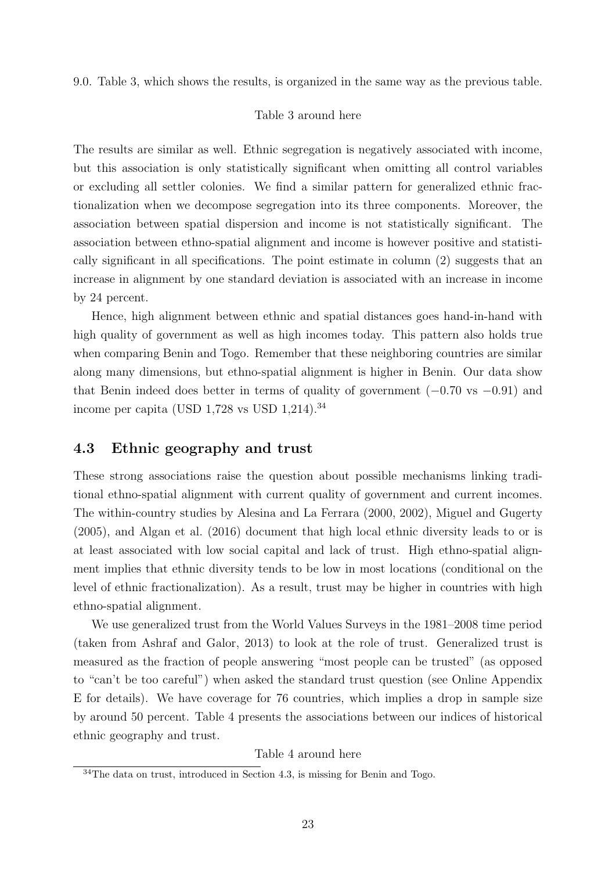9.0. Table 3, which shows the results, is organized in the same way as the previous table.

#### Table 3 around here

The results are similar as well. Ethnic segregation is negatively associated with income, but this association is only statistically significant when omitting all control variables or excluding all settler colonies. We find a similar pattern for generalized ethnic fractionalization when we decompose segregation into its three components. Moreover, the association between spatial dispersion and income is not statistically significant. The association between ethno-spatial alignment and income is however positive and statistically significant in all specifications. The point estimate in column (2) suggests that an increase in alignment by one standard deviation is associated with an increase in income by 24 percent.

Hence, high alignment between ethnic and spatial distances goes hand-in-hand with high quality of government as well as high incomes today. This pattern also holds true when comparing Benin and Togo. Remember that these neighboring countries are similar along many dimensions, but ethno-spatial alignment is higher in Benin. Our data show that Benin indeed does better in terms of quality of government  $(-0.70 \text{ vs } -0.91)$  and income per capita (USD  $1,728$  vs USD  $1,214$ ).<sup>34</sup>

### 4.3 Ethnic geography and trust

These strong associations raise the question about possible mechanisms linking traditional ethno-spatial alignment with current quality of government and current incomes. The within-country studies by Alesina and La Ferrara (2000, 2002), Miguel and Gugerty (2005), and Algan et al. (2016) document that high local ethnic diversity leads to or is at least associated with low social capital and lack of trust. High ethno-spatial alignment implies that ethnic diversity tends to be low in most locations (conditional on the level of ethnic fractionalization). As a result, trust may be higher in countries with high ethno-spatial alignment.

We use generalized trust from the World Values Surveys in the 1981–2008 time period (taken from Ashraf and Galor, 2013) to look at the role of trust. Generalized trust is measured as the fraction of people answering "most people can be trusted" (as opposed to "can't be too careful") when asked the standard trust question (see Online Appendix E for details). We have coverage for 76 countries, which implies a drop in sample size by around 50 percent. Table 4 presents the associations between our indices of historical ethnic geography and trust.

Table 4 around here

<sup>34</sup>The data on trust, introduced in Section 4.3, is missing for Benin and Togo.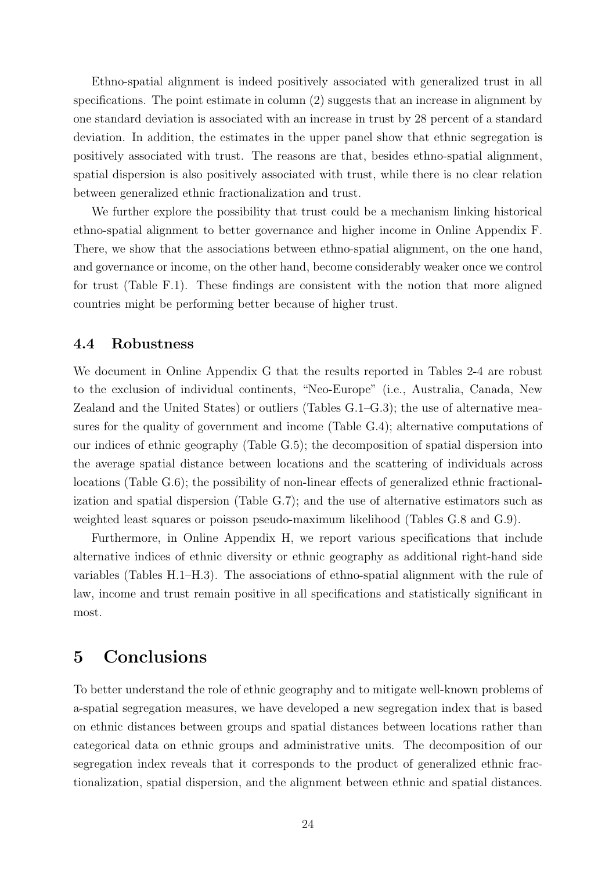Ethno-spatial alignment is indeed positively associated with generalized trust in all specifications. The point estimate in column (2) suggests that an increase in alignment by one standard deviation is associated with an increase in trust by 28 percent of a standard deviation. In addition, the estimates in the upper panel show that ethnic segregation is positively associated with trust. The reasons are that, besides ethno-spatial alignment, spatial dispersion is also positively associated with trust, while there is no clear relation between generalized ethnic fractionalization and trust.

We further explore the possibility that trust could be a mechanism linking historical ethno-spatial alignment to better governance and higher income in Online Appendix F. There, we show that the associations between ethno-spatial alignment, on the one hand, and governance or income, on the other hand, become considerably weaker once we control for trust (Table F.1). These findings are consistent with the notion that more aligned countries might be performing better because of higher trust.

#### 4.4 Robustness

We document in Online Appendix G that the results reported in Tables 2-4 are robust to the exclusion of individual continents, "Neo-Europe" (i.e., Australia, Canada, New Zealand and the United States) or outliers (Tables G.1–G.3); the use of alternative measures for the quality of government and income (Table G.4); alternative computations of our indices of ethnic geography (Table G.5); the decomposition of spatial dispersion into the average spatial distance between locations and the scattering of individuals across locations (Table G.6); the possibility of non-linear effects of generalized ethnic fractionalization and spatial dispersion (Table G.7); and the use of alternative estimators such as weighted least squares or poisson pseudo-maximum likelihood (Tables G.8 and G.9).

Furthermore, in Online Appendix H, we report various specifications that include alternative indices of ethnic diversity or ethnic geography as additional right-hand side variables (Tables H.1–H.3). The associations of ethno-spatial alignment with the rule of law, income and trust remain positive in all specifications and statistically significant in most.

# 5 Conclusions

To better understand the role of ethnic geography and to mitigate well-known problems of a-spatial segregation measures, we have developed a new segregation index that is based on ethnic distances between groups and spatial distances between locations rather than categorical data on ethnic groups and administrative units. The decomposition of our segregation index reveals that it corresponds to the product of generalized ethnic fractionalization, spatial dispersion, and the alignment between ethnic and spatial distances.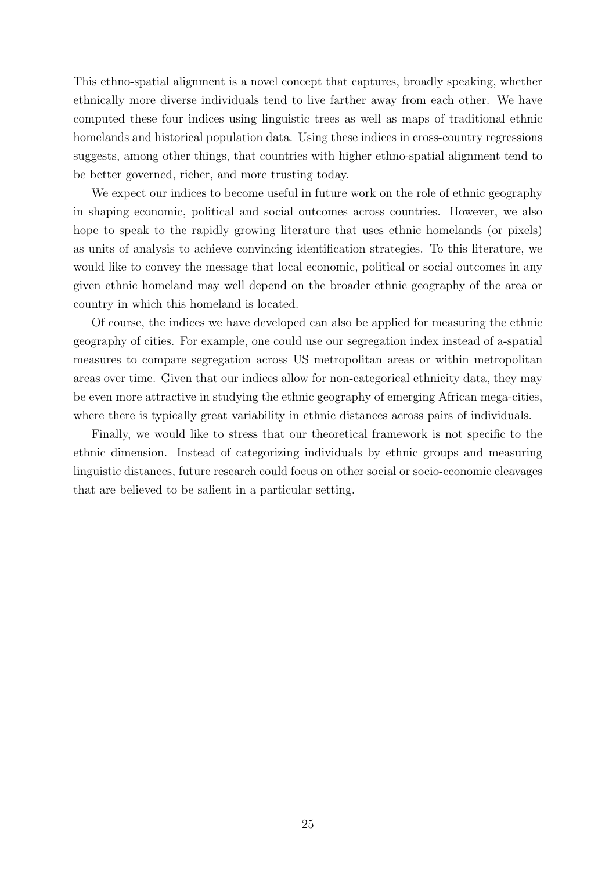This ethno-spatial alignment is a novel concept that captures, broadly speaking, whether ethnically more diverse individuals tend to live farther away from each other. We have computed these four indices using linguistic trees as well as maps of traditional ethnic homelands and historical population data. Using these indices in cross-country regressions suggests, among other things, that countries with higher ethno-spatial alignment tend to be better governed, richer, and more trusting today.

We expect our indices to become useful in future work on the role of ethnic geography in shaping economic, political and social outcomes across countries. However, we also hope to speak to the rapidly growing literature that uses ethnic homelands (or pixels) as units of analysis to achieve convincing identification strategies. To this literature, we would like to convey the message that local economic, political or social outcomes in any given ethnic homeland may well depend on the broader ethnic geography of the area or country in which this homeland is located.

Of course, the indices we have developed can also be applied for measuring the ethnic geography of cities. For example, one could use our segregation index instead of a-spatial measures to compare segregation across US metropolitan areas or within metropolitan areas over time. Given that our indices allow for non-categorical ethnicity data, they may be even more attractive in studying the ethnic geography of emerging African mega-cities, where there is typically great variability in ethnic distances across pairs of individuals.

Finally, we would like to stress that our theoretical framework is not specific to the ethnic dimension. Instead of categorizing individuals by ethnic groups and measuring linguistic distances, future research could focus on other social or socio-economic cleavages that are believed to be salient in a particular setting.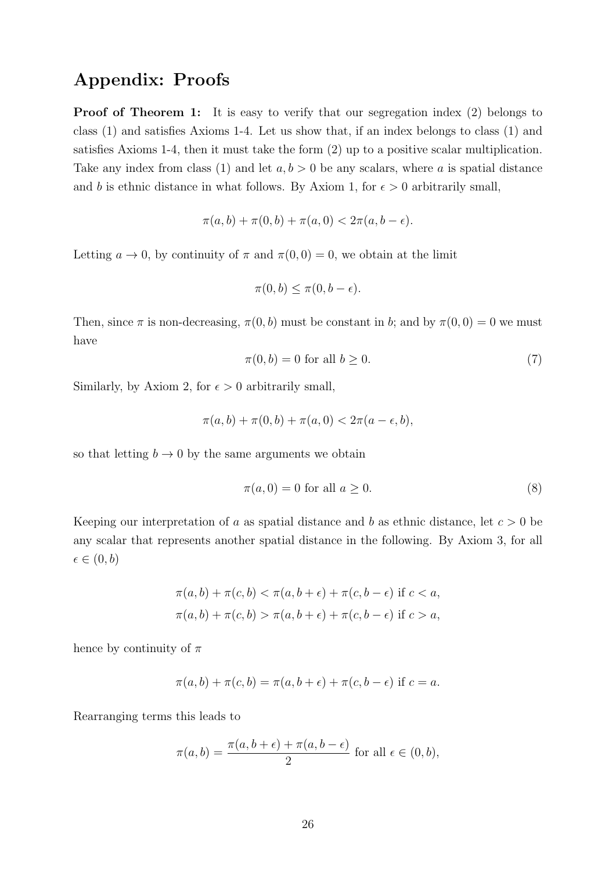# Appendix: Proofs

Proof of Theorem 1: It is easy to verify that our segregation index (2) belongs to class (1) and satisfies Axioms 1-4. Let us show that, if an index belongs to class (1) and satisfies Axioms 1-4, then it must take the form (2) up to a positive scalar multiplication. Take any index from class (1) and let  $a, b > 0$  be any scalars, where a is spatial distance and b is ethnic distance in what follows. By Axiom 1, for  $\epsilon > 0$  arbitrarily small,

$$
\pi(a, b) + \pi(0, b) + \pi(a, 0) < 2\pi(a, b - \epsilon).
$$

Letting  $a \to 0$ , by continuity of  $\pi$  and  $\pi(0,0) = 0$ , we obtain at the limit

$$
\pi(0, b) \le \pi(0, b - \epsilon).
$$

Then, since  $\pi$  is non-decreasing,  $\pi(0, b)$  must be constant in b; and by  $\pi(0, 0) = 0$  we must have

$$
\pi(0, b) = 0 \text{ for all } b \ge 0. \tag{7}
$$

Similarly, by Axiom 2, for  $\epsilon > 0$  arbitrarily small,

$$
\pi(a, b) + \pi(0, b) + \pi(a, 0) < 2\pi(a - \epsilon, b),
$$

so that letting  $b \to 0$  by the same arguments we obtain

$$
\pi(a,0) = 0 \text{ for all } a \ge 0. \tag{8}
$$

Keeping our interpretation of a as spatial distance and b as ethnic distance, let  $c > 0$  be any scalar that represents another spatial distance in the following. By Axiom 3, for all  $\epsilon \in (0, b)$ 

$$
\pi(a, b) + \pi(c, b) < \pi(a, b + \epsilon) + \pi(c, b - \epsilon) \text{ if } c < a,
$$
\n
$$
\pi(a, b) + \pi(c, b) > \pi(a, b + \epsilon) + \pi(c, b - \epsilon) \text{ if } c > a,
$$

hence by continuity of  $\pi$ 

$$
\pi(a,b) + \pi(c,b) = \pi(a,b+\epsilon) + \pi(c,b-\epsilon)
$$
 if  $c = a$ .

Rearranging terms this leads to

$$
\pi(a,b) = \frac{\pi(a,b+\epsilon) + \pi(a,b-\epsilon)}{2}
$$
 for all  $\epsilon \in (0,b)$ ,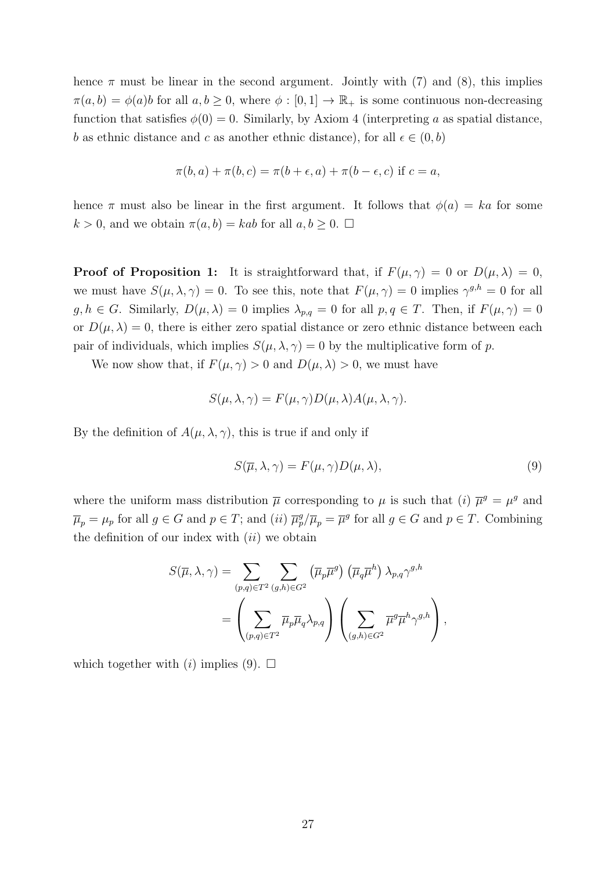hence  $\pi$  must be linear in the second argument. Jointly with (7) and (8), this implies  $\pi(a, b) = \phi(a)b$  for all  $a, b \geq 0$ , where  $\phi : [0, 1] \to \mathbb{R}_+$  is some continuous non-decreasing function that satisfies  $\phi(0) = 0$ . Similarly, by Axiom 4 (interpreting a as spatial distance, b as ethnic distance and c as another ethnic distance), for all  $\epsilon \in (0, b)$ 

$$
\pi(b, a) + \pi(b, c) = \pi(b + \epsilon, a) + \pi(b - \epsilon, c)
$$
 if  $c = a$ ,

hence  $\pi$  must also be linear in the first argument. It follows that  $\phi(a) = ka$  for some  $k > 0$ , and we obtain  $\pi(a, b) = kab$  for all  $a, b \geq 0$ .  $\Box$ 

**Proof of Proposition 1:** It is straightforward that, if  $F(\mu, \gamma) = 0$  or  $D(\mu, \lambda) = 0$ , we must have  $S(\mu, \lambda, \gamma) = 0$ . To see this, note that  $F(\mu, \gamma) = 0$  implies  $\gamma^{g,h} = 0$  for all  $g, h \in G$ . Similarly,  $D(\mu, \lambda) = 0$  implies  $\lambda_{p,q} = 0$  for all  $p, q \in T$ . Then, if  $F(\mu, \gamma) = 0$ or  $D(\mu, \lambda) = 0$ , there is either zero spatial distance or zero ethnic distance between each pair of individuals, which implies  $S(\mu, \lambda, \gamma) = 0$  by the multiplicative form of p.

We now show that, if  $F(\mu, \gamma) > 0$  and  $D(\mu, \lambda) > 0$ , we must have

$$
S(\mu, \lambda, \gamma) = F(\mu, \gamma)D(\mu, \lambda)A(\mu, \lambda, \gamma).
$$

By the definition of  $A(\mu, \lambda, \gamma)$ , this is true if and only if

$$
S(\overline{\mu}, \lambda, \gamma) = F(\mu, \gamma)D(\mu, \lambda),\tag{9}
$$

where the uniform mass distribution  $\bar{\mu}$  corresponding to  $\mu$  is such that (i)  $\bar{\mu}^g = \mu^g$  and  $\overline{\mu}_p = \mu_p$  for all  $g \in G$  and  $p \in T$ ; and  $(ii)$   $\overline{\mu}_p^g / \overline{\mu}_p = \overline{\mu}^g$  for all  $g \in G$  and  $p \in T$ . Combining the definition of our index with  $(ii)$  we obtain

$$
S(\overline{\mu}, \lambda, \gamma) = \sum_{(p,q)\in T^2} \sum_{(g,h)\in G^2} (\overline{\mu}_p \overline{\mu}^g) (\overline{\mu}_q \overline{\mu}^h) \lambda_{p,q} \gamma^{g,h}
$$
  
= 
$$
\left( \sum_{(p,q)\in T^2} \overline{\mu}_p \overline{\mu}_q \lambda_{p,q} \right) \left( \sum_{(g,h)\in G^2} \overline{\mu}^g \overline{\mu}^h \gamma^{g,h} \right),
$$

which together with (i) implies (9).  $\square$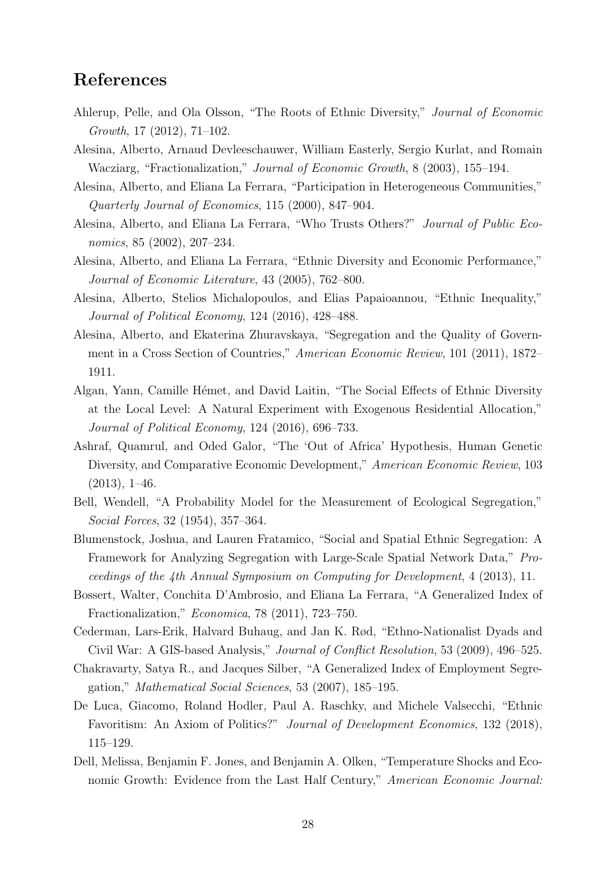# References

- Ahlerup, Pelle, and Ola Olsson, "The Roots of Ethnic Diversity," Journal of Economic Growth, 17 (2012), 71–102.
- Alesina, Alberto, Arnaud Devleeschauwer, William Easterly, Sergio Kurlat, and Romain Wacziarg, "Fractionalization," Journal of Economic Growth, 8 (2003), 155–194.
- Alesina, Alberto, and Eliana La Ferrara, "Participation in Heterogeneous Communities," Quarterly Journal of Economics, 115 (2000), 847–904.
- Alesina, Alberto, and Eliana La Ferrara, "Who Trusts Others?" Journal of Public Economics, 85 (2002), 207–234.
- Alesina, Alberto, and Eliana La Ferrara, "Ethnic Diversity and Economic Performance," Journal of Economic Literature, 43 (2005), 762–800.
- Alesina, Alberto, Stelios Michalopoulos, and Elias Papaioannou, "Ethnic Inequality," Journal of Political Economy, 124 (2016), 428–488.
- Alesina, Alberto, and Ekaterina Zhuravskaya, "Segregation and the Quality of Government in a Cross Section of Countries," American Economic Review, 101 (2011), 1872– 1911.
- Algan, Yann, Camille Hémet, and David Laitin, "The Social Effects of Ethnic Diversity at the Local Level: A Natural Experiment with Exogenous Residential Allocation," Journal of Political Economy, 124 (2016), 696–733.
- Ashraf, Quamrul, and Oded Galor, "The 'Out of Africa' Hypothesis, Human Genetic Diversity, and Comparative Economic Development," American Economic Review, 103  $(2013), 1-46.$
- Bell, Wendell, "A Probability Model for the Measurement of Ecological Segregation," Social Forces, 32 (1954), 357–364.
- Blumenstock, Joshua, and Lauren Fratamico, "Social and Spatial Ethnic Segregation: A Framework for Analyzing Segregation with Large-Scale Spatial Network Data," Proceedings of the 4th Annual Symposium on Computing for Development, 4 (2013), 11.
- Bossert, Walter, Conchita D'Ambrosio, and Eliana La Ferrara, "A Generalized Index of Fractionalization," Economica, 78 (2011), 723–750.
- Cederman, Lars-Erik, Halvard Buhaug, and Jan K. Rød, "Ethno-Nationalist Dyads and Civil War: A GIS-based Analysis," Journal of Conflict Resolution, 53 (2009), 496–525.
- Chakravarty, Satya R., and Jacques Silber, "A Generalized Index of Employment Segregation," Mathematical Social Sciences, 53 (2007), 185–195.
- De Luca, Giacomo, Roland Hodler, Paul A. Raschky, and Michele Valsecchi, "Ethnic Favoritism: An Axiom of Politics?" Journal of Development Economics, 132 (2018), 115–129.
- Dell, Melissa, Benjamin F. Jones, and Benjamin A. Olken, "Temperature Shocks and Economic Growth: Evidence from the Last Half Century," American Economic Journal: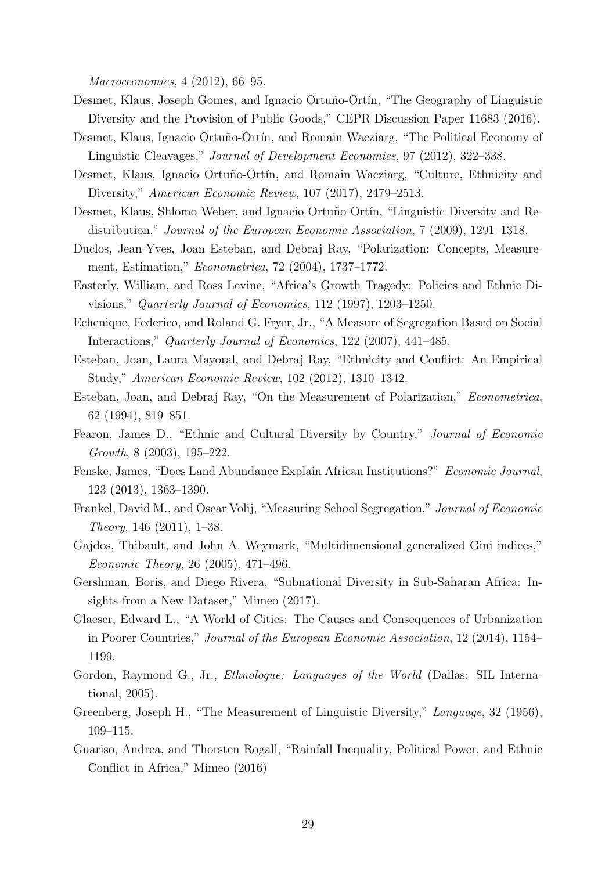Macroeconomics, 4 (2012), 66–95.

- Desmet, Klaus, Joseph Gomes, and Ignacio Ortuño-Ortín, "The Geography of Linguistic Diversity and the Provision of Public Goods," CEPR Discussion Paper 11683 (2016).
- Desmet, Klaus, Ignacio Ortuño-Ortín, and Romain Wacziarg, "The Political Economy of Linguistic Cleavages," *Journal of Development Economics*, 97 (2012), 322–338.
- Desmet, Klaus, Ignacio Ortuño-Ortín, and Romain Wacziarg, "Culture, Ethnicity and Diversity," American Economic Review, 107 (2017), 2479–2513.
- Desmet, Klaus, Shlomo Weber, and Ignacio Ortuño-Ortín, "Linguistic Diversity and Redistribution," Journal of the European Economic Association, 7 (2009), 1291–1318.
- Duclos, Jean-Yves, Joan Esteban, and Debraj Ray, "Polarization: Concepts, Measurement, Estimation," Econometrica, 72 (2004), 1737–1772.
- Easterly, William, and Ross Levine, "Africa's Growth Tragedy: Policies and Ethnic Divisions," Quarterly Journal of Economics, 112 (1997), 1203–1250.
- Echenique, Federico, and Roland G. Fryer, Jr., "A Measure of Segregation Based on Social Interactions," Quarterly Journal of Economics, 122 (2007), 441–485.
- Esteban, Joan, Laura Mayoral, and Debraj Ray, "Ethnicity and Conflict: An Empirical Study," American Economic Review, 102 (2012), 1310–1342.
- Esteban, Joan, and Debraj Ray, "On the Measurement of Polarization," Econometrica, 62 (1994), 819–851.
- Fearon, James D., "Ethnic and Cultural Diversity by Country," *Journal of Economic* Growth, 8 (2003), 195–222.
- Fenske, James, "Does Land Abundance Explain African Institutions?" Economic Journal, 123 (2013), 1363–1390.
- Frankel, David M., and Oscar Volij, "Measuring School Segregation," Journal of Economic Theory, 146 (2011), 1–38.
- Gajdos, Thibault, and John A. Weymark, "Multidimensional generalized Gini indices," Economic Theory, 26 (2005), 471–496.
- Gershman, Boris, and Diego Rivera, "Subnational Diversity in Sub-Saharan Africa: Insights from a New Dataset," Mimeo (2017).
- Glaeser, Edward L., "A World of Cities: The Causes and Consequences of Urbanization in Poorer Countries," Journal of the European Economic Association, 12 (2014), 1154– 1199.
- Gordon, Raymond G., Jr., *Ethnologue: Languages of the World* (Dallas: SIL International, 2005).
- Greenberg, Joseph H., "The Measurement of Linguistic Diversity," Language, 32 (1956), 109–115.
- Guariso, Andrea, and Thorsten Rogall, "Rainfall Inequality, Political Power, and Ethnic Conflict in Africa," Mimeo (2016)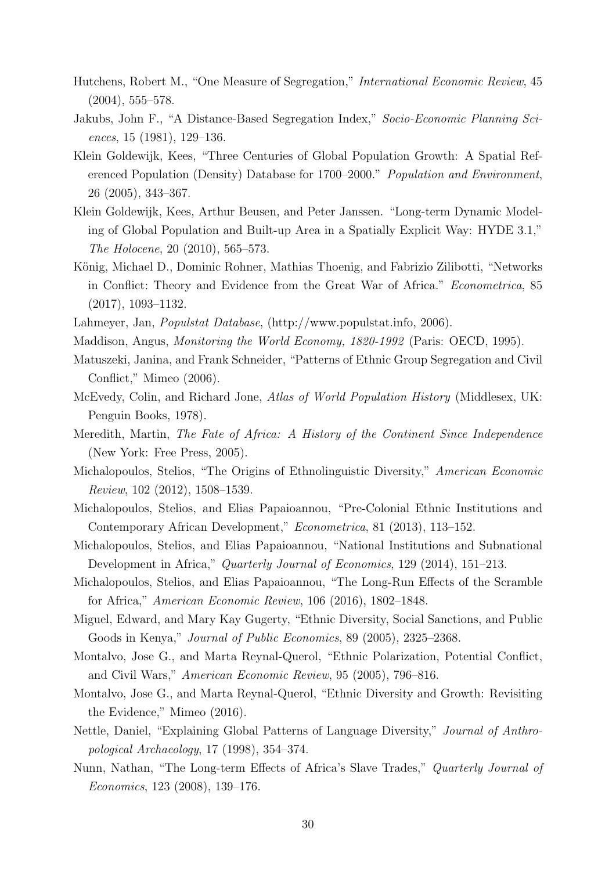- Hutchens, Robert M., "One Measure of Segregation," International Economic Review, 45  $(2004)$ , 555–578.
- Jakubs, John F., "A Distance-Based Segregation Index," Socio-Economic Planning Sciences, 15 (1981), 129–136.
- Klein Goldewijk, Kees, "Three Centuries of Global Population Growth: A Spatial Referenced Population (Density) Database for 1700–2000." Population and Environment, 26 (2005), 343–367.
- Klein Goldewijk, Kees, Arthur Beusen, and Peter Janssen. "Long-term Dynamic Modeling of Global Population and Built-up Area in a Spatially Explicit Way: HYDE 3.1," The Holocene, 20 (2010), 565–573.
- König, Michael D., Dominic Rohner, Mathias Thoenig, and Fabrizio Zilibotti, "Networks in Conflict: Theory and Evidence from the Great War of Africa." Econometrica, 85 (2017), 1093–1132.
- Lahmeyer, Jan, Populstat Database, (http://www.populstat.info, 2006).
- Maddison, Angus, Monitoring the World Economy, 1820-1992 (Paris: OECD, 1995).
- Matuszeki, Janina, and Frank Schneider, "Patterns of Ethnic Group Segregation and Civil Conflict," Mimeo (2006).
- McEvedy, Colin, and Richard Jone, Atlas of World Population History (Middlesex, UK: Penguin Books, 1978).
- Meredith, Martin, The Fate of Africa: A History of the Continent Since Independence (New York: Free Press, 2005).
- Michalopoulos, Stelios, "The Origins of Ethnolinguistic Diversity," American Economic Review, 102 (2012), 1508–1539.
- Michalopoulos, Stelios, and Elias Papaioannou, "Pre-Colonial Ethnic Institutions and Contemporary African Development," Econometrica, 81 (2013), 113–152.
- Michalopoulos, Stelios, and Elias Papaioannou, "National Institutions and Subnational Development in Africa," Quarterly Journal of Economics, 129 (2014), 151–213.
- Michalopoulos, Stelios, and Elias Papaioannou, "The Long-Run Effects of the Scramble for Africa," American Economic Review, 106 (2016), 1802–1848.
- Miguel, Edward, and Mary Kay Gugerty, "Ethnic Diversity, Social Sanctions, and Public Goods in Kenya," Journal of Public Economics, 89 (2005), 2325–2368.
- Montalvo, Jose G., and Marta Reynal-Querol, "Ethnic Polarization, Potential Conflict, and Civil Wars," American Economic Review, 95 (2005), 796–816.
- Montalvo, Jose G., and Marta Reynal-Querol, "Ethnic Diversity and Growth: Revisiting the Evidence," Mimeo (2016).
- Nettle, Daniel, "Explaining Global Patterns of Language Diversity," Journal of Anthropological Archaeology, 17 (1998), 354–374.
- Nunn, Nathan, "The Long-term Effects of Africa's Slave Trades," Quarterly Journal of Economics, 123 (2008), 139–176.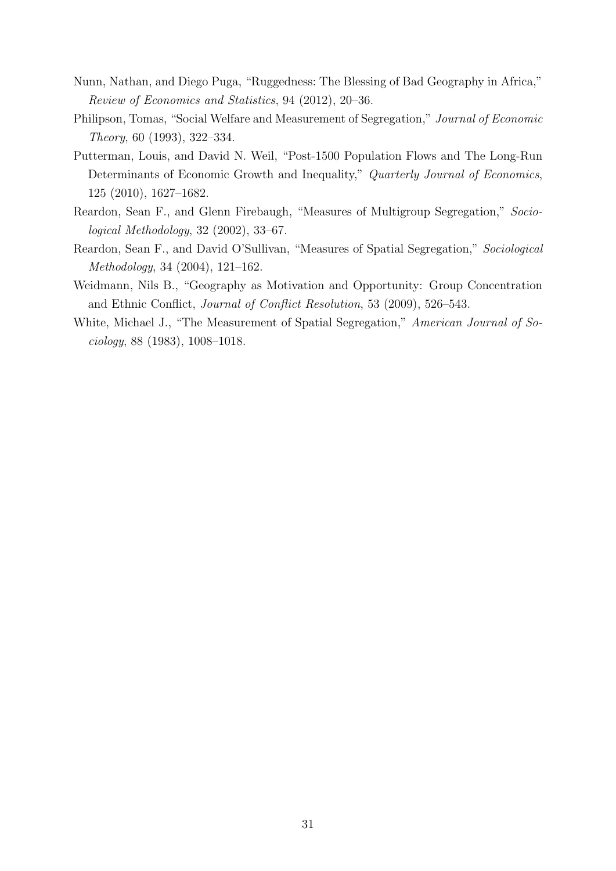- Nunn, Nathan, and Diego Puga, "Ruggedness: The Blessing of Bad Geography in Africa," Review of Economics and Statistics, 94 (2012), 20–36.
- Philipson, Tomas, "Social Welfare and Measurement of Segregation," Journal of Economic Theory, 60 (1993), 322–334.
- Putterman, Louis, and David N. Weil, "Post-1500 Population Flows and The Long-Run Determinants of Economic Growth and Inequality," Quarterly Journal of Economics, 125 (2010), 1627–1682.
- Reardon, Sean F., and Glenn Firebaugh, "Measures of Multigroup Segregation," Sociological Methodology, 32 (2002), 33–67.
- Reardon, Sean F., and David O'Sullivan, "Measures of Spatial Segregation," Sociological Methodology, 34 (2004), 121–162.
- Weidmann, Nils B., "Geography as Motivation and Opportunity: Group Concentration and Ethnic Conflict, Journal of Conflict Resolution, 53 (2009), 526–543.
- White, Michael J., "The Measurement of Spatial Segregation," American Journal of Sociology, 88 (1983), 1008–1018.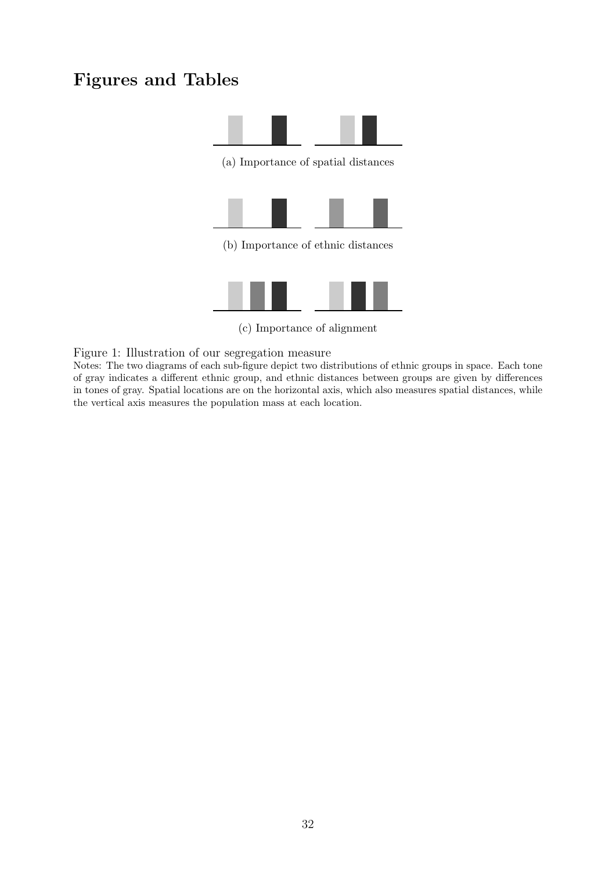# Figures and Tables



(c) Importance of alignment

Figure 1: Illustration of our segregation measure

Notes: The two diagrams of each sub-figure depict two distributions of ethnic groups in space. Each tone of gray indicates a different ethnic group, and ethnic distances between groups are given by differences in tones of gray. Spatial locations are on the horizontal axis, which also measures spatial distances, while the vertical axis measures the population mass at each location.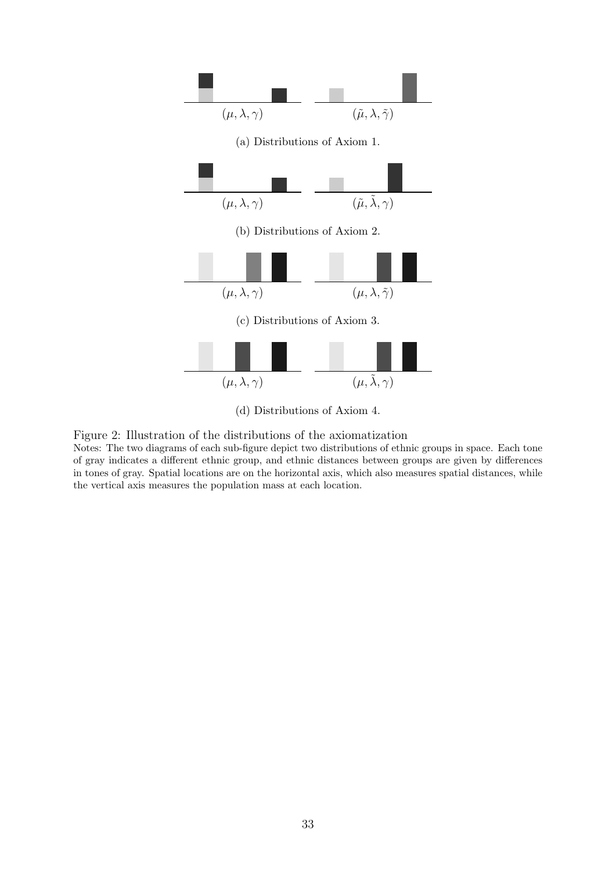

- (d) Distributions of Axiom 4.
- Figure 2: Illustration of the distributions of the axiomatization

Notes: The two diagrams of each sub-figure depict two distributions of ethnic groups in space. Each tone of gray indicates a different ethnic group, and ethnic distances between groups are given by differences in tones of gray. Spatial locations are on the horizontal axis, which also measures spatial distances, while the vertical axis measures the population mass at each location.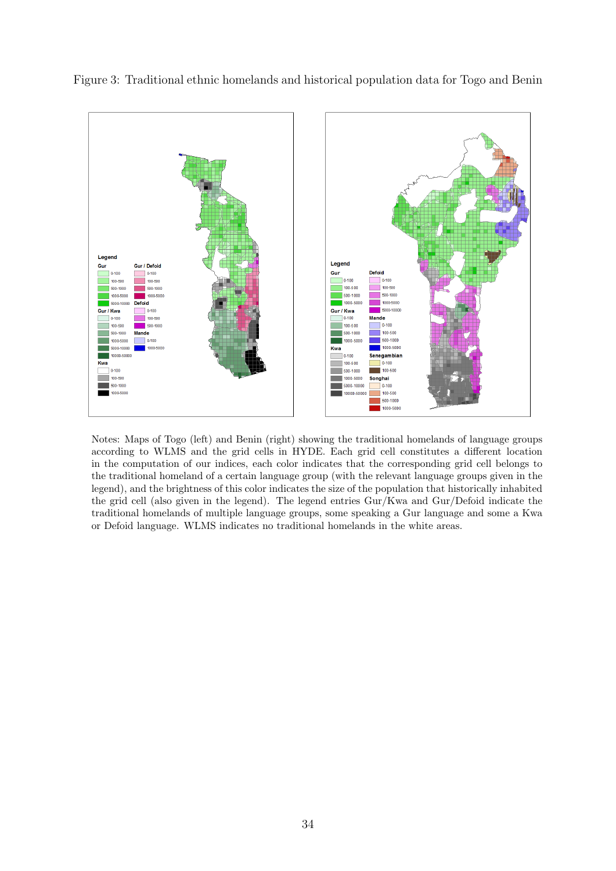

Figure 3: Traditional ethnic homelands and historical population data for Togo and Benin

Notes: Maps of Togo (left) and Benin (right) showing the traditional homelands of language groups according to WLMS and the grid cells in HYDE. Each grid cell constitutes a different location in the computation of our indices, each color indicates that the corresponding grid cell belongs to the traditional homeland of a certain language group (with the relevant language groups given in the legend), and the brightness of this color indicates the size of the population that historically inhabited the grid cell (also given in the legend). The legend entries Gur/Kwa and Gur/Defoid indicate the traditional homelands of multiple language groups, some speaking a Gur language and some a Kwa or Defoid language. WLMS indicates no traditional homelands in the white areas.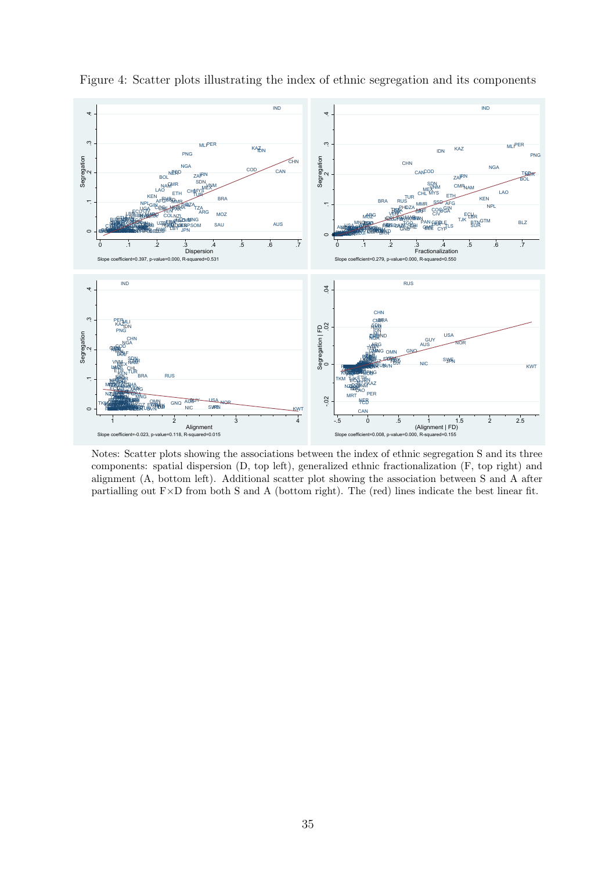

Figure 4: Scatter plots illustrating the index of ethnic segregation and its components

Notes: Scatter plots showing the associations between the index of ethnic segregation S and its three components: spatial dispersion (D, top left), generalized ethnic fractionalization (F, top right) and alignment (A, bottom left). Additional scatter plot showing the association between S and A after partialling out F×D from both S and A (bottom right). The (red) lines indicate the best linear fit.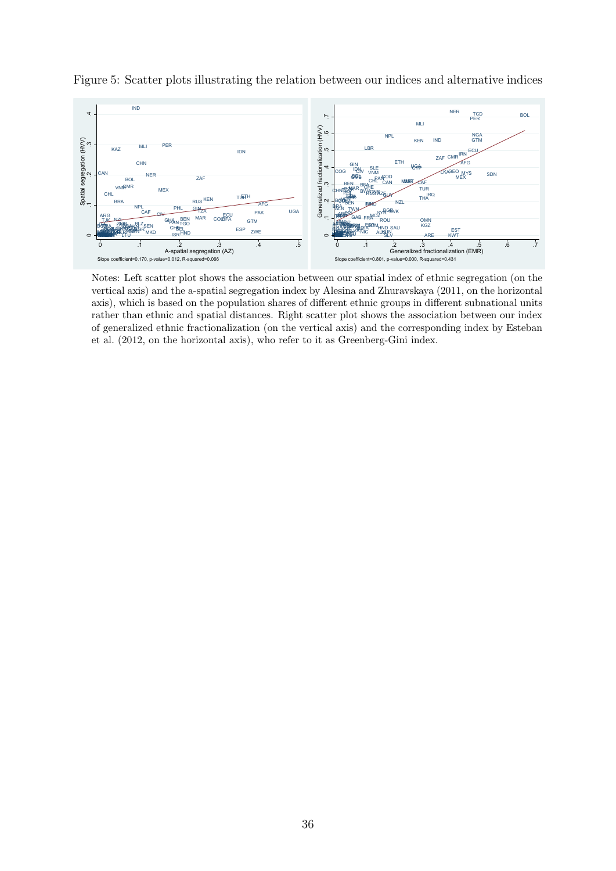

Figure 5: Scatter plots illustrating the relation between our indices and alternative indices

Notes: Left scatter plot shows the association between our spatial index of ethnic segregation (on the vertical axis) and the a-spatial segregation index by Alesina and Zhuravskaya (2011, on the horizontal axis), which is based on the population shares of different ethnic groups in different subnational units rather than ethnic and spatial distances. Right scatter plot shows the association between our index of generalized ethnic fractionalization (on the vertical axis) and the corresponding index by Esteban et al. (2012, on the horizontal axis), who refer to it as Greenberg-Gini index.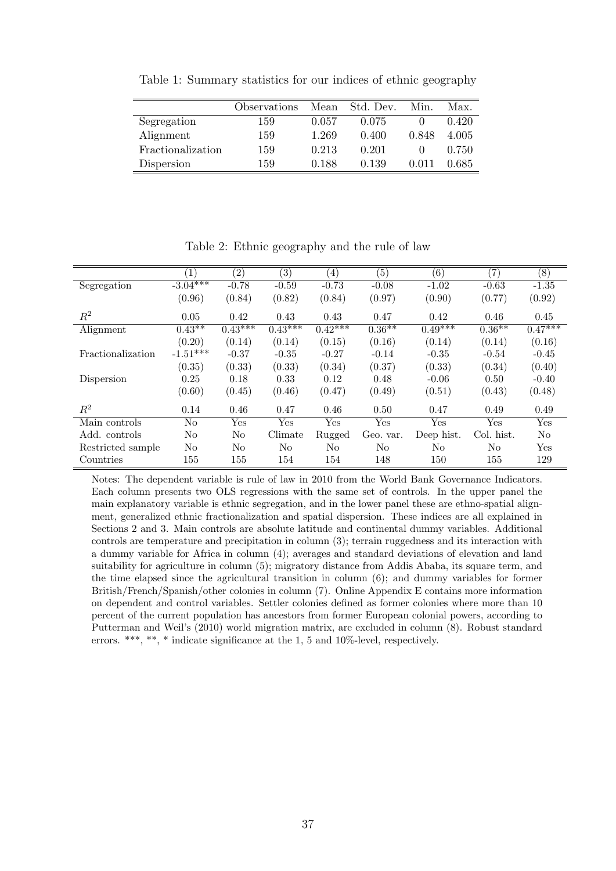Table 1: Summary statistics for our indices of ethnic geography

 $\overline{a}$ 

|                   | Observations | Mean  | Std. Dev. | Min.  | Max.  |
|-------------------|--------------|-------|-----------|-------|-------|
| Segregation       | 159          | 0.057 | 0.075     |       | 0.420 |
| Alignment         | 159          | 1.269 | 0.400     | 0.848 | 4.005 |
| Fractionalization | 159          | 0.213 | 0.201     |       | 0.750 |
| Dispersion        | 159          | 0.188 | 0.139     | 0.011 | 0.685 |

Table 2: Ethnic geography and the rule of law

|                   | $\left(1\right)$ | $\overline{(2)}$ | $\left( 3\right)$ | $\left(4\right)$ | (5)            | (6)        | (7)            | (8)            |
|-------------------|------------------|------------------|-------------------|------------------|----------------|------------|----------------|----------------|
| Segregation       | $-3.04***$       | $-0.78$          | $-0.59$           | $-0.73$          | $-0.08$        | $-1.02$    | $-0.63$        | $-1.35$        |
|                   | (0.96)           | (0.84)           | (0.82)            | (0.84)           | (0.97)         | (0.90)     | (0.77)         | (0.92)         |
| $\mathbb{R}^2$    | 0.05             | 0.42             | 0.43              | 0.43             | 0.47           | 0.42       | 0.46           | 0.45           |
| Alignment         | $0.43**$         | $0.43***$        | $0.43***$         | $0.42***$        | $0.36***$      | $0.49***$  | $0.36**$       | $0.47***$      |
|                   | (0.20)           | (0.14)           | (0.14)            | (0.15)           | (0.16)         | (0.14)     | (0.14)         | (0.16)         |
| Fractionalization | $-1.51***$       | $-0.37$          | $-0.35$           | $-0.27$          | $-0.14$        | $-0.35$    | $-0.54$        | $-0.45$        |
|                   | (0.35)           | (0.33)           | (0.33)            | (0.34)           | (0.37)         | (0.33)     | (0.34)         | (0.40)         |
| Dispersion        | 0.25             | 0.18             | 0.33              | 0.12             | 0.48           | $-0.06$    | 0.50           | $-0.40$        |
|                   | (0.60)           | (0.45)           | (0.46)            | (0.47)           | (0.49)         | (0.51)     | (0.43)         | (0.48)         |
| $\mathbb{R}^2$    | 0.14             | 0.46             | 0.47              | 0.46             | 0.50           | 0.47       | 0.49           | 0.49           |
| Main controls     | No               | Yes              | Yes               | Yes              | Yes            | Yes        | Yes            | Yes            |
| Add. controls     | No               | N <sub>o</sub>   | Climate           | Rugged           | Geo. var.      | Deep hist. | Col. hist.     | N <sub>o</sub> |
| Restricted sample | No               | No               | No                | No               | N <sub>0</sub> | No         | N <sub>o</sub> | Yes            |
| Countries         | 155              | 155              | 154               | 154              | 148            | 150        | 155            | 129            |

Notes: The dependent variable is rule of law in 2010 from the World Bank Governance Indicators. Each column presents two OLS regressions with the same set of controls. In the upper panel the main explanatory variable is ethnic segregation, and in the lower panel these are ethno-spatial alignment, generalized ethnic fractionalization and spatial dispersion. These indices are all explained in Sections 2 and 3. Main controls are absolute latitude and continental dummy variables. Additional controls are temperature and precipitation in column (3); terrain ruggedness and its interaction with a dummy variable for Africa in column (4); averages and standard deviations of elevation and land suitability for agriculture in column (5); migratory distance from Addis Ababa, its square term, and the time elapsed since the agricultural transition in column (6); and dummy variables for former British/French/Spanish/other colonies in column (7). Online Appendix E contains more information on dependent and control variables. Settler colonies defined as former colonies where more than 10 percent of the current population has ancestors from former European colonial powers, according to Putterman and Weil's (2010) world migration matrix, are excluded in column (8). Robust standard errors. \*\*\*, \*\*, \* indicate significance at the 1, 5 and 10%-level, respectively.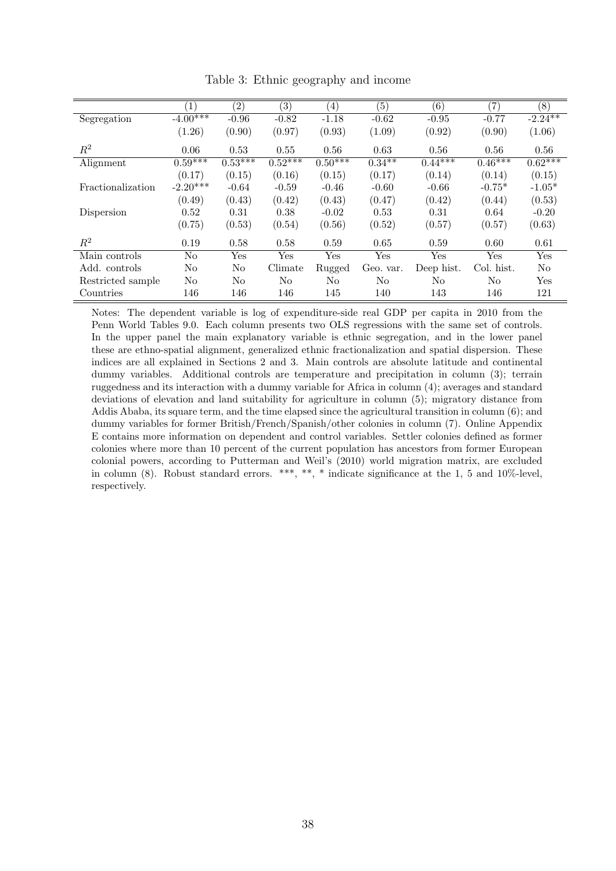|                   | (1)        | $\left( 2\right)$ | $\left( 3\right)$ | $\left(4\right)$ | (5)            | (6)        | (7)        | (8)            |
|-------------------|------------|-------------------|-------------------|------------------|----------------|------------|------------|----------------|
| Segregation       | $-4.00***$ | $-0.96$           | $-0.82$           | $-1.18$          | $-0.62$        | $-0.95$    | $-0.77$    | $-2.24***$     |
|                   | (1.26)     | (0.90)            | (0.97)            | (0.93)           | (1.09)         | (0.92)     | (0.90)     | (1.06)         |
| $R^2$             | 0.06       | 0.53              | 0.55              | 0.56             | 0.63           | 0.56       | 0.56       | 0.56           |
| Alignment         | $0.59***$  | $0.53***$         | $0.52***$         | $0.50***$        | $0.34***$      | $0.44***$  | $0.46***$  | $0.62***$      |
|                   | (0.17)     | (0.15)            | (0.16)            | (0.15)           | (0.17)         | (0.14)     | (0.14)     | (0.15)         |
| Fractionalization | $-2.20***$ | $-0.64$           | $-0.59$           | $-0.46$          | $-0.60$        | $-0.66$    | $-0.75*$   | $-1.05*$       |
|                   | (0.49)     | (0.43)            | (0.42)            | (0.43)           | (0.47)         | (0.42)     | (0.44)     | (0.53)         |
| Dispersion        | 0.52       | 0.31              | 0.38              | $-0.02$          | 0.53           | 0.31       | 0.64       | $-0.20$        |
|                   | (0.75)     | (0.53)            | (0.54)            | (0.56)           | (0.52)         | (0.57)     | (0.57)     | (0.63)         |
| $R^2$             | 0.19       | 0.58              | 0.58              | 0.59             | 0.65           | 0.59       | 0.60       | 0.61           |
| Main controls     | No         | Yes               | Yes               | Yes              | Yes            | Yes        | Yes        | Yes            |
| Add. controls     | No         | $\rm No$          | Climate           | Rugged           | Geo. var.      | Deep hist. | Col. hist. | N <sub>0</sub> |
| Restricted sample | No         | No                | N <sub>0</sub>    | No               | N <sub>0</sub> | No         | No         | Yes            |
| Countries         | 146        | 146               | 146               | 145              | 140            | 143        | 146        | 121            |

Table 3: Ethnic geography and income

Notes: The dependent variable is log of expenditure-side real GDP per capita in 2010 from the Penn World Tables 9.0. Each column presents two OLS regressions with the same set of controls. In the upper panel the main explanatory variable is ethnic segregation, and in the lower panel these are ethno-spatial alignment, generalized ethnic fractionalization and spatial dispersion. These indices are all explained in Sections 2 and 3. Main controls are absolute latitude and continental dummy variables. Additional controls are temperature and precipitation in column (3); terrain ruggedness and its interaction with a dummy variable for Africa in column (4); averages and standard deviations of elevation and land suitability for agriculture in column (5); migratory distance from Addis Ababa, its square term, and the time elapsed since the agricultural transition in column (6); and dummy variables for former British/French/Spanish/other colonies in column (7). Online Appendix E contains more information on dependent and control variables. Settler colonies defined as former colonies where more than 10 percent of the current population has ancestors from former European colonial powers, according to Putterman and Weil's (2010) world migration matrix, are excluded in column (8). Robust standard errors. \*\*\*, \*\*, \* indicate significance at the 1, 5 and 10%-level, respectively.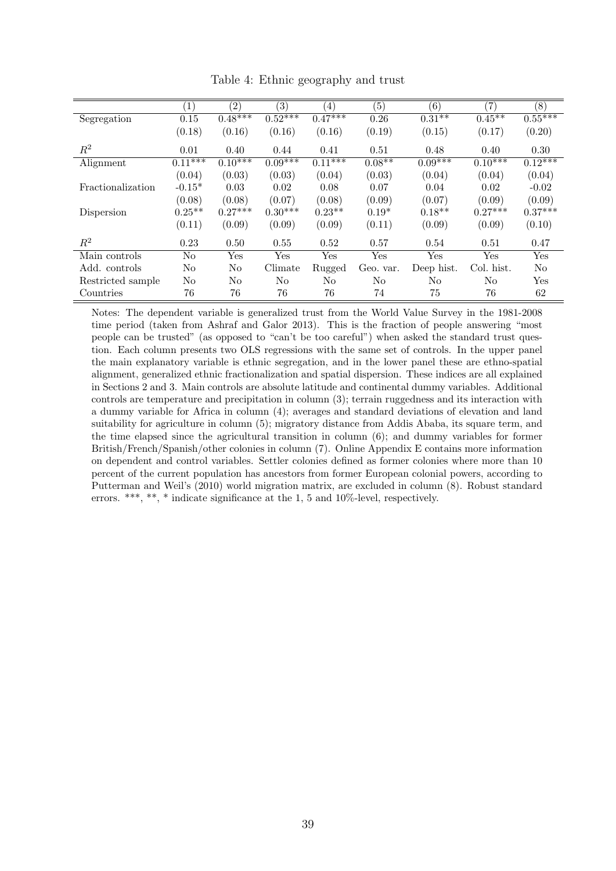|                   | $\left( 1\right)$ | $\left( 2\right)$ | (3)       | $\left(4\right)$ | (5)       | (6)        | (7)        | (8)            |
|-------------------|-------------------|-------------------|-----------|------------------|-----------|------------|------------|----------------|
| Segregation       | 0.15              | $0.48***$         | $0.52***$ | $0.47***$        | 0.26      | $0.31**$   | $0.45***$  | $0.55***$      |
|                   | (0.18)            | (0.16)            | (0.16)    | (0.16)           | (0.19)    | (0.15)     | (0.17)     | (0.20)         |
| $R^2$             | 0.01              | 0.40              | 0.44      | 0.41             | 0.51      | 0.48       | 0.40       | 0.30           |
| Alignment         | $0.11***$         | $0.10***$         | $0.09***$ | $0.11***$        | $0.08**$  | $0.09***$  | $0.10***$  | $0.12***$      |
|                   | (0.04)            | (0.03)            | (0.03)    | (0.04)           | (0.03)    | (0.04)     | (0.04)     | (0.04)         |
| Fractionalization | $-0.15*$          | 0.03              | 0.02      | 0.08             | 0.07      | 0.04       | 0.02       | $-0.02$        |
|                   | (0.08)            | (0.08)            | (0.07)    | (0.08)           | (0.09)    | (0.07)     | (0.09)     | (0.09)         |
| Dispersion        | $0.25**$          | $0.27***$         | $0.30***$ | $0.23**$         | $0.19*$   | $0.18**$   | $0.27***$  | $0.37***$      |
|                   | (0.11)            | (0.09)            | (0.09)    | (0.09)           | (0.11)    | (0.09)     | (0.09)     | (0.10)         |
| $\mathbb{R}^2$    | 0.23              | 0.50              | 0.55      | 0.52             | 0.57      | 0.54       | 0.51       | 0.47           |
| Main controls     | No                | Yes               | Yes       | Yes              | Yes       | Yes        | Yes        | Yes            |
| Add. controls     | No                | No                | Climate   | Rugged           | Geo. var. | Deep hist. | Col. hist. | N <sub>0</sub> |
| Restricted sample | No                | No                | $\rm No$  | No               | No        | No         | No         | Yes            |
| Countries         | 76                | 76                | 76        | 76               | 74        | 75         | 76         | 62             |

Table 4: Ethnic geography and trust

Notes: The dependent variable is generalized trust from the World Value Survey in the 1981-2008 time period (taken from Ashraf and Galor 2013). This is the fraction of people answering "most people can be trusted" (as opposed to "can't be too careful") when asked the standard trust question. Each column presents two OLS regressions with the same set of controls. In the upper panel the main explanatory variable is ethnic segregation, and in the lower panel these are ethno-spatial alignment, generalized ethnic fractionalization and spatial dispersion. These indices are all explained in Sections 2 and 3. Main controls are absolute latitude and continental dummy variables. Additional controls are temperature and precipitation in column (3); terrain ruggedness and its interaction with a dummy variable for Africa in column (4); averages and standard deviations of elevation and land suitability for agriculture in column (5); migratory distance from Addis Ababa, its square term, and the time elapsed since the agricultural transition in column (6); and dummy variables for former British/French/Spanish/other colonies in column (7). Online Appendix E contains more information on dependent and control variables. Settler colonies defined as former colonies where more than 10 percent of the current population has ancestors from former European colonial powers, according to Putterman and Weil's (2010) world migration matrix, are excluded in column (8). Robust standard errors. \*\*\*, \*\*, \* indicate significance at the 1, 5 and 10%-level, respectively.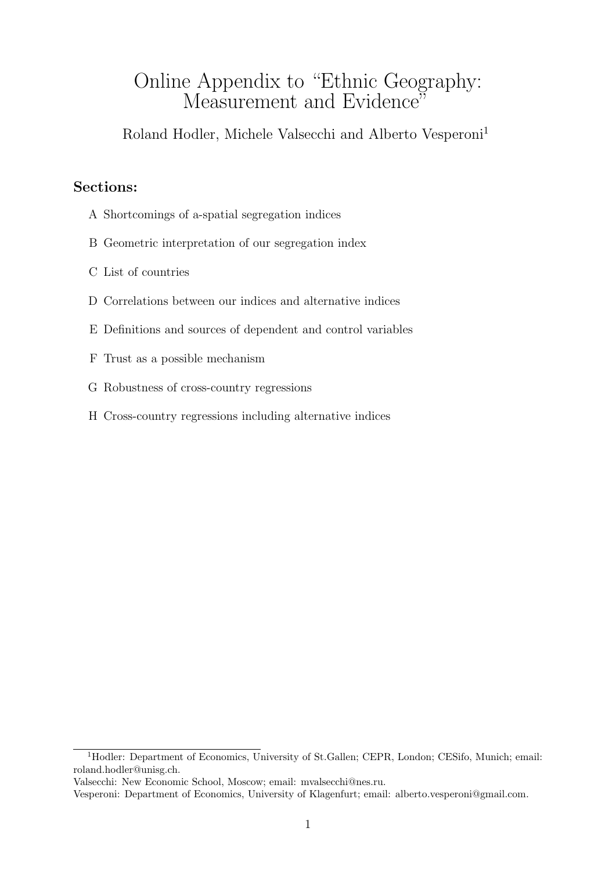# Online Appendix to "Ethnic Geography: Measurement and Evidence<sup>"</sup>

Roland Hodler, Michele Valsecchi and Alberto Vesperoni<sup>1</sup>

## Sections:

- A Shortcomings of a-spatial segregation indices
- B Geometric interpretation of our segregation index
- C List of countries
- D Correlations between our indices and alternative indices
- E Definitions and sources of dependent and control variables
- F Trust as a possible mechanism
- G Robustness of cross-country regressions
- H Cross-country regressions including alternative indices

<sup>&</sup>lt;sup>1</sup>Hodler: Department of Economics, University of St.Gallen; CEPR, London; CESifo, Munich; email: roland.hodler@unisg.ch.

Valsecchi: New Economic School, Moscow; email: mvalsecchi@nes.ru.

Vesperoni: Department of Economics, University of Klagenfurt; email: alberto.vesperoni@gmail.com.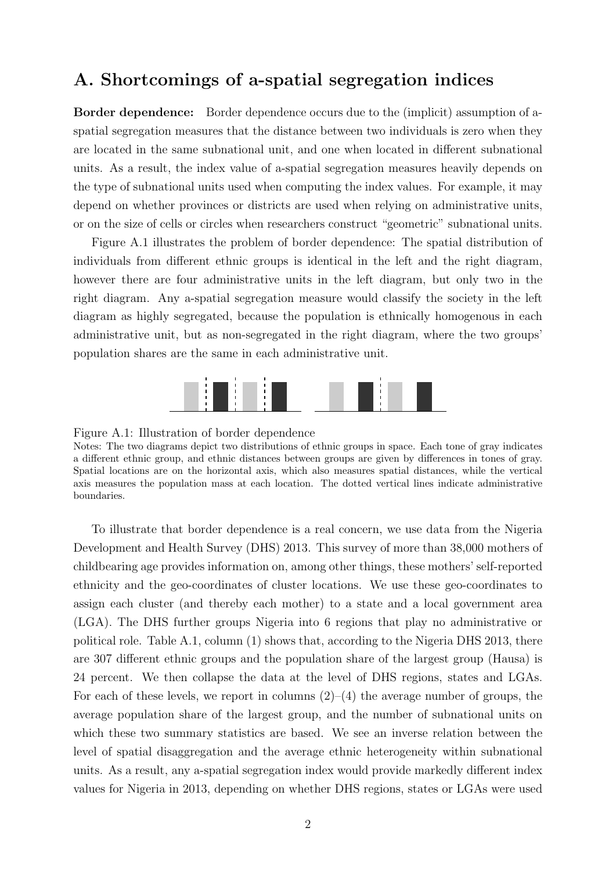# A. Shortcomings of a-spatial segregation indices

Border dependence: Border dependence occurs due to the (implicit) assumption of aspatial segregation measures that the distance between two individuals is zero when they are located in the same subnational unit, and one when located in different subnational units. As a result, the index value of a-spatial segregation measures heavily depends on the type of subnational units used when computing the index values. For example, it may depend on whether provinces or districts are used when relying on administrative units, or on the size of cells or circles when researchers construct "geometric" subnational units.

Figure A.1 illustrates the problem of border dependence: The spatial distribution of individuals from different ethnic groups is identical in the left and the right diagram, however there are four administrative units in the left diagram, but only two in the right diagram. Any a-spatial segregation measure would classify the society in the left diagram as highly segregated, because the population is ethnically homogenous in each administrative unit, but as non-segregated in the right diagram, where the two groups' population shares are the same in each administrative unit.



#### Figure A.1: Illustration of border dependence

Notes: The two diagrams depict two distributions of ethnic groups in space. Each tone of gray indicates a different ethnic group, and ethnic distances between groups are given by differences in tones of gray. Spatial locations are on the horizontal axis, which also measures spatial distances, while the vertical axis measures the population mass at each location. The dotted vertical lines indicate administrative boundaries.

To illustrate that border dependence is a real concern, we use data from the Nigeria Development and Health Survey (DHS) 2013. This survey of more than 38,000 mothers of childbearing age provides information on, among other things, these mothers' self-reported ethnicity and the geo-coordinates of cluster locations. We use these geo-coordinates to assign each cluster (and thereby each mother) to a state and a local government area (LGA). The DHS further groups Nigeria into 6 regions that play no administrative or political role. Table A.1, column (1) shows that, according to the Nigeria DHS 2013, there are 307 different ethnic groups and the population share of the largest group (Hausa) is 24 percent. We then collapse the data at the level of DHS regions, states and LGAs. For each of these levels, we report in columns  $(2)-(4)$  the average number of groups, the average population share of the largest group, and the number of subnational units on which these two summary statistics are based. We see an inverse relation between the level of spatial disaggregation and the average ethnic heterogeneity within subnational units. As a result, any a-spatial segregation index would provide markedly different index values for Nigeria in 2013, depending on whether DHS regions, states or LGAs were used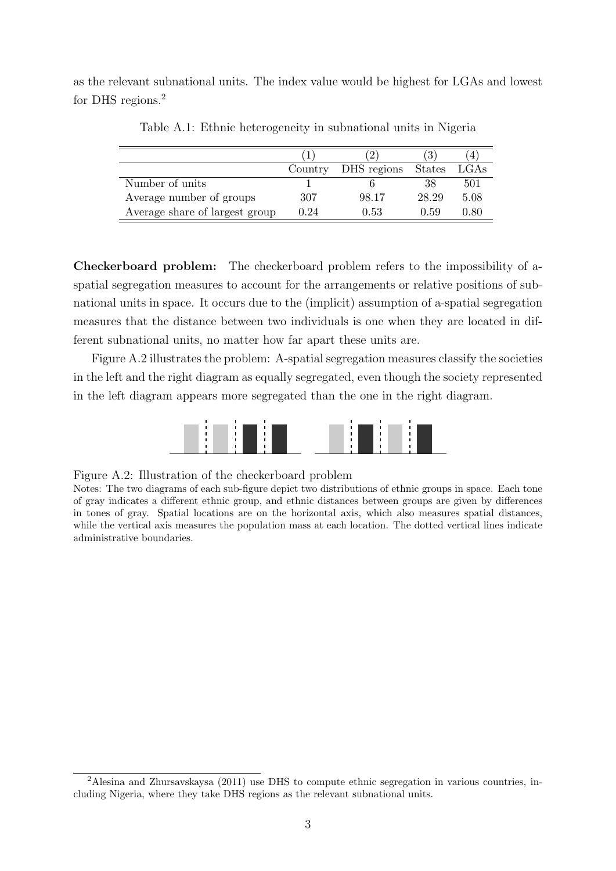as the relevant subnational units. The index value would be highest for LGAs and lowest for DHS regions.<sup>2</sup>

|                                |         |             |               | 4    |
|--------------------------------|---------|-------------|---------------|------|
|                                | Country | DHS regions | <b>States</b> | LGAs |
| Number of units                |         |             | 38            | 501  |
| Average number of groups       | 307     | 98.17       | 28.29         | 5.08 |
| Average share of largest group | 0.24    | 0.53        | 0.59          | 0.80 |

Table A.1: Ethnic heterogeneity in subnational units in Nigeria

Checkerboard problem: The checkerboard problem refers to the impossibility of aspatial segregation measures to account for the arrangements or relative positions of subnational units in space. It occurs due to the (implicit) assumption of a-spatial segregation measures that the distance between two individuals is one when they are located in different subnational units, no matter how far apart these units are.

Figure A.2 illustrates the problem: A-spatial segregation measures classify the societies in the left and the right diagram as equally segregated, even though the society represented in the left diagram appears more segregated than the one in the right diagram.



#### Figure A.2: Illustration of the checkerboard problem

Notes: The two diagrams of each sub-figure depict two distributions of ethnic groups in space. Each tone of gray indicates a different ethnic group, and ethnic distances between groups are given by differences in tones of gray. Spatial locations are on the horizontal axis, which also measures spatial distances, while the vertical axis measures the population mass at each location. The dotted vertical lines indicate administrative boundaries.

<sup>&</sup>lt;sup>2</sup>Alesina and Zhursavskaysa (2011) use DHS to compute ethnic segregation in various countries, including Nigeria, where they take DHS regions as the relevant subnational units.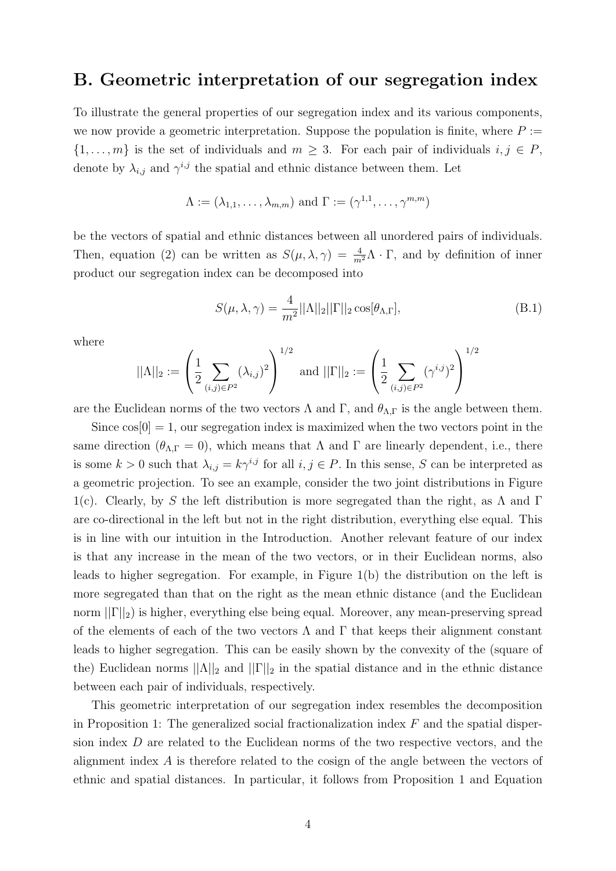# B. Geometric interpretation of our segregation index

To illustrate the general properties of our segregation index and its various components, we now provide a geometric interpretation. Suppose the population is finite, where  $P :=$  $\{1,\ldots,m\}$  is the set of individuals and  $m\geq 3$ . For each pair of individuals  $i,j\in P$ , denote by  $\lambda_{i,j}$  and  $\gamma^{i,j}$  the spatial and ethnic distance between them. Let

$$
\Lambda := (\lambda_{1,1}, \dots, \lambda_{m,m}) \text{ and } \Gamma := (\gamma^{1,1}, \dots, \gamma^{m,m})
$$

be the vectors of spatial and ethnic distances between all unordered pairs of individuals. Then, equation (2) can be written as  $S(\mu, \lambda, \gamma) = \frac{4}{m^2} \Lambda \cdot \Gamma$ , and by definition of inner product our segregation index can be decomposed into

$$
S(\mu, \lambda, \gamma) = \frac{4}{m^2} ||\Lambda||_2 ||\Gamma||_2 \cos[\theta_{\Lambda, \Gamma}],
$$
\n(B.1)

where

$$
||\Lambda||_2 := \left(\frac{1}{2} \sum_{(i,j)\in P^2} (\lambda_{i,j})^2\right)^{1/2} \text{ and } ||\Gamma||_2 := \left(\frac{1}{2} \sum_{(i,j)\in P^2} (\gamma^{i,j})^2\right)^{1/2}
$$

are the Euclidean norms of the two vectors  $\Lambda$  and  $\Gamma$ , and  $\theta_{\Lambda,\Gamma}$  is the angle between them.

Since  $\cos[0] = 1$ , our segregation index is maximized when the two vectors point in the same direction ( $\theta_{\Lambda,\Gamma} = 0$ ), which means that  $\Lambda$  and  $\Gamma$  are linearly dependent, i.e., there is some  $k > 0$  such that  $\lambda_{i,j} = k \gamma^{i,j}$  for all  $i, j \in P$ . In this sense, S can be interpreted as a geometric projection. To see an example, consider the two joint distributions in Figure 1(c). Clearly, by S the left distribution is more segregated than the right, as  $\Lambda$  and  $\Gamma$ are co-directional in the left but not in the right distribution, everything else equal. This is in line with our intuition in the Introduction. Another relevant feature of our index is that any increase in the mean of the two vectors, or in their Euclidean norms, also leads to higher segregation. For example, in Figure 1(b) the distribution on the left is more segregated than that on the right as the mean ethnic distance (and the Euclidean norm  $||\Gamma||_2$ ) is higher, everything else being equal. Moreover, any mean-preserving spread of the elements of each of the two vectors  $\Lambda$  and  $\Gamma$  that keeps their alignment constant leads to higher segregation. This can be easily shown by the convexity of the (square of the) Euclidean norms  $||\Lambda||_2$  and  $||\Gamma||_2$  in the spatial distance and in the ethnic distance between each pair of individuals, respectively.

This geometric interpretation of our segregation index resembles the decomposition in Proposition 1: The generalized social fractionalization index  $F$  and the spatial dispersion index D are related to the Euclidean norms of the two respective vectors, and the alignment index A is therefore related to the cosign of the angle between the vectors of ethnic and spatial distances. In particular, it follows from Proposition 1 and Equation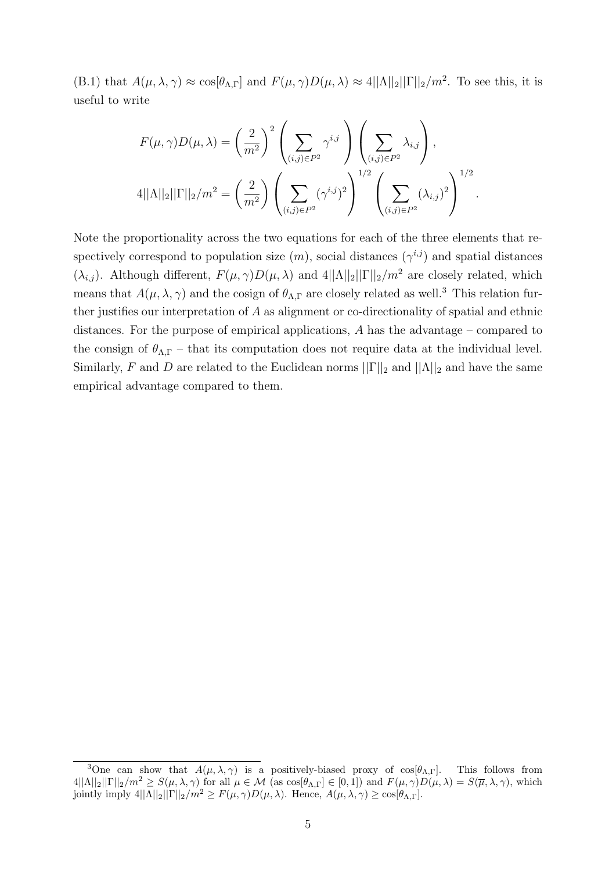(B.1) that  $A(\mu, \lambda, \gamma) \approx \cos[\theta_{\Lambda, \Gamma}]$  and  $F(\mu, \gamma)D(\mu, \lambda) \approx 4||\Lambda||_2||\Gamma||_2/m^2$ . To see this, it is useful to write

$$
F(\mu, \gamma)D(\mu, \lambda) = \left(\frac{2}{m^2}\right)^2 \left(\sum_{(i,j)\in P^2} \gamma^{i,j}\right) \left(\sum_{(i,j)\in P^2} \lambda_{i,j}\right),
$$
  

$$
4||\Lambda||_2||\Gamma||_2/m^2 = \left(\frac{2}{m^2}\right) \left(\sum_{(i,j)\in P^2} (\gamma^{i,j})^2\right)^{1/2} \left(\sum_{(i,j)\in P^2} (\lambda_{i,j})^2\right)^{1/2}.
$$

Note the proportionality across the two equations for each of the three elements that respectively correspond to population size  $(m)$ , social distances  $(\gamma^{i,j})$  and spatial distances  $(\lambda_{i,j})$ . Although different,  $F(\mu, \gamma)D(\mu, \lambda)$  and  $4||\Lambda||_2||\Gamma||_2/m^2$  are closely related, which means that  $A(\mu, \lambda, \gamma)$  and the cosign of  $\theta_{\Lambda,\Gamma}$  are closely related as well.<sup>3</sup> This relation further justifies our interpretation of A as alignment or co-directionality of spatial and ethnic distances. For the purpose of empirical applications, A has the advantage – compared to the consign of  $\theta_{\Lambda,\Gamma}$  – that its computation does not require data at the individual level. Similarly, F and D are related to the Euclidean norms  $||\Gamma||_2$  and  $||\Lambda||_2$  and have the same empirical advantage compared to them.

<sup>&</sup>lt;sup>3</sup>One can show that  $A(\mu, \lambda, \gamma)$  is a positively-biased proxy of  $cos[\theta_{\Lambda},r]$ . This follows from  $4||\Lambda||_2||\Gamma||_2/m^2 \geq S(\mu, \lambda, \gamma)$  for all  $\mu \in \mathcal{M}$  (as  $\cos[\theta_{\Lambda, \Gamma}] \in [0, 1]$ ) and  $F(\mu, \gamma)D(\mu, \lambda) = S(\overline{\mu}, \lambda, \gamma)$ , which jointly imply  $4||\Lambda||_2||\Gamma||_2/m^2 \geq F(\mu, \gamma)D(\mu, \lambda)$ . Hence,  $A(\mu, \lambda, \gamma) \geq \cos[\theta_{\Lambda, \Gamma}]$ .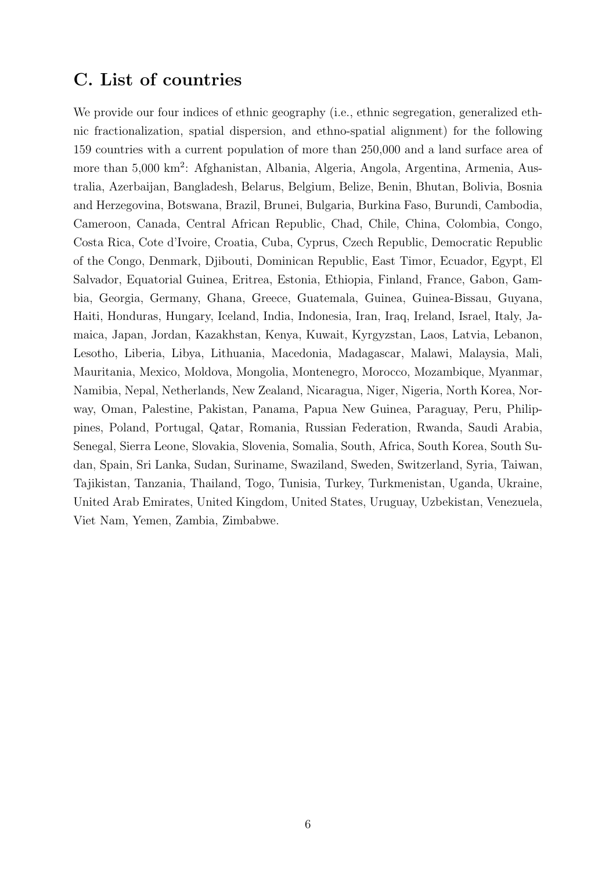# C. List of countries

We provide our four indices of ethnic geography (i.e., ethnic segregation, generalized ethnic fractionalization, spatial dispersion, and ethno-spatial alignment) for the following 159 countries with a current population of more than 250,000 and a land surface area of more than 5,000 km<sup>2</sup>: Afghanistan, Albania, Algeria, Angola, Argentina, Armenia, Australia, Azerbaijan, Bangladesh, Belarus, Belgium, Belize, Benin, Bhutan, Bolivia, Bosnia and Herzegovina, Botswana, Brazil, Brunei, Bulgaria, Burkina Faso, Burundi, Cambodia, Cameroon, Canada, Central African Republic, Chad, Chile, China, Colombia, Congo, Costa Rica, Cote d'Ivoire, Croatia, Cuba, Cyprus, Czech Republic, Democratic Republic of the Congo, Denmark, Djibouti, Dominican Republic, East Timor, Ecuador, Egypt, El Salvador, Equatorial Guinea, Eritrea, Estonia, Ethiopia, Finland, France, Gabon, Gambia, Georgia, Germany, Ghana, Greece, Guatemala, Guinea, Guinea-Bissau, Guyana, Haiti, Honduras, Hungary, Iceland, India, Indonesia, Iran, Iraq, Ireland, Israel, Italy, Jamaica, Japan, Jordan, Kazakhstan, Kenya, Kuwait, Kyrgyzstan, Laos, Latvia, Lebanon, Lesotho, Liberia, Libya, Lithuania, Macedonia, Madagascar, Malawi, Malaysia, Mali, Mauritania, Mexico, Moldova, Mongolia, Montenegro, Morocco, Mozambique, Myanmar, Namibia, Nepal, Netherlands, New Zealand, Nicaragua, Niger, Nigeria, North Korea, Norway, Oman, Palestine, Pakistan, Panama, Papua New Guinea, Paraguay, Peru, Philippines, Poland, Portugal, Qatar, Romania, Russian Federation, Rwanda, Saudi Arabia, Senegal, Sierra Leone, Slovakia, Slovenia, Somalia, South, Africa, South Korea, South Sudan, Spain, Sri Lanka, Sudan, Suriname, Swaziland, Sweden, Switzerland, Syria, Taiwan, Tajikistan, Tanzania, Thailand, Togo, Tunisia, Turkey, Turkmenistan, Uganda, Ukraine, United Arab Emirates, United Kingdom, United States, Uruguay, Uzbekistan, Venezuela, Viet Nam, Yemen, Zambia, Zimbabwe.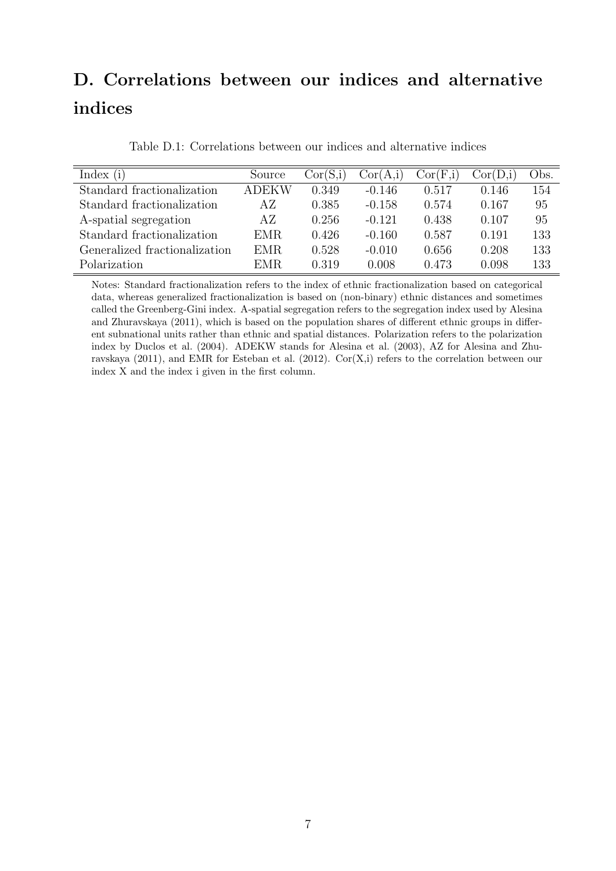# D. Correlations between our indices and alternative indices

| Index $(i)$                   | Source       | Cor(S,i) | Cor(A,i) | Cor(F,i) | Cor(D,i) | Obs. |
|-------------------------------|--------------|----------|----------|----------|----------|------|
| Standard fractionalization    | <b>ADEKW</b> | 0.349    | $-0.146$ | 0.517    | 0.146    | 154  |
| Standard fractionalization    | AΖ           | 0.385    | $-0.158$ | 0.574    | 0.167    | 95   |
| A-spatial segregation         | AΖ           | 0.256    | $-0.121$ | 0.438    | 0.107    | 95   |
| Standard fractionalization    | EMR.         | 0.426    | $-0.160$ | 0.587    | 0.191    | 133  |
| Generalized fractionalization | EMR.         | 0.528    | $-0.010$ | 0.656    | 0.208    | 133  |
| Polarization                  | EMR.         | 0.319    | 0.008    | 0.473    | 0.098    | 133  |

Table D.1: Correlations between our indices and alternative indices

Notes: Standard fractionalization refers to the index of ethnic fractionalization based on categorical data, whereas generalized fractionalization is based on (non-binary) ethnic distances and sometimes called the Greenberg-Gini index. A-spatial segregation refers to the segregation index used by Alesina and Zhuravskaya (2011), which is based on the population shares of different ethnic groups in different subnational units rather than ethnic and spatial distances. Polarization refers to the polarization index by Duclos et al. (2004). ADEKW stands for Alesina et al. (2003), AZ for Alesina and Zhuravskaya (2011), and EMR for Esteban et al. (2012).  $Cor(X,i)$  refers to the correlation between our index X and the index i given in the first column.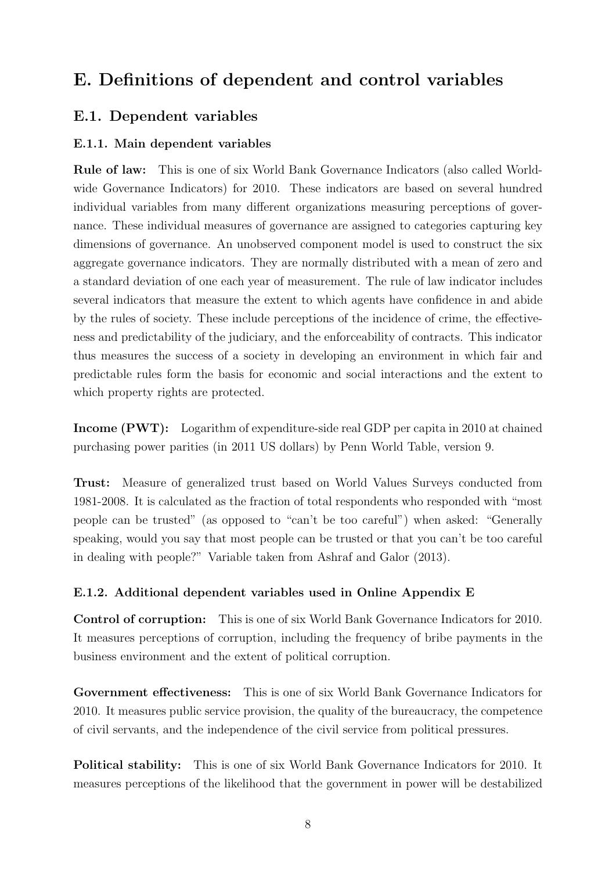# E. Definitions of dependent and control variables

## E.1. Dependent variables

### E.1.1. Main dependent variables

Rule of law: This is one of six World Bank Governance Indicators (also called Worldwide Governance Indicators) for 2010. These indicators are based on several hundred individual variables from many different organizations measuring perceptions of governance. These individual measures of governance are assigned to categories capturing key dimensions of governance. An unobserved component model is used to construct the six aggregate governance indicators. They are normally distributed with a mean of zero and a standard deviation of one each year of measurement. The rule of law indicator includes several indicators that measure the extent to which agents have confidence in and abide by the rules of society. These include perceptions of the incidence of crime, the effectiveness and predictability of the judiciary, and the enforceability of contracts. This indicator thus measures the success of a society in developing an environment in which fair and predictable rules form the basis for economic and social interactions and the extent to which property rights are protected.

Income (PWT): Logarithm of expenditure-side real GDP per capita in 2010 at chained purchasing power parities (in 2011 US dollars) by Penn World Table, version 9.

Trust: Measure of generalized trust based on World Values Surveys conducted from 1981-2008. It is calculated as the fraction of total respondents who responded with "most people can be trusted" (as opposed to "can't be too careful") when asked: "Generally speaking, would you say that most people can be trusted or that you can't be too careful in dealing with people?" Variable taken from Ashraf and Galor (2013).

#### E.1.2. Additional dependent variables used in Online Appendix E

Control of corruption: This is one of six World Bank Governance Indicators for 2010. It measures perceptions of corruption, including the frequency of bribe payments in the business environment and the extent of political corruption.

Government effectiveness: This is one of six World Bank Governance Indicators for 2010. It measures public service provision, the quality of the bureaucracy, the competence of civil servants, and the independence of the civil service from political pressures.

Political stability: This is one of six World Bank Governance Indicators for 2010. It measures perceptions of the likelihood that the government in power will be destabilized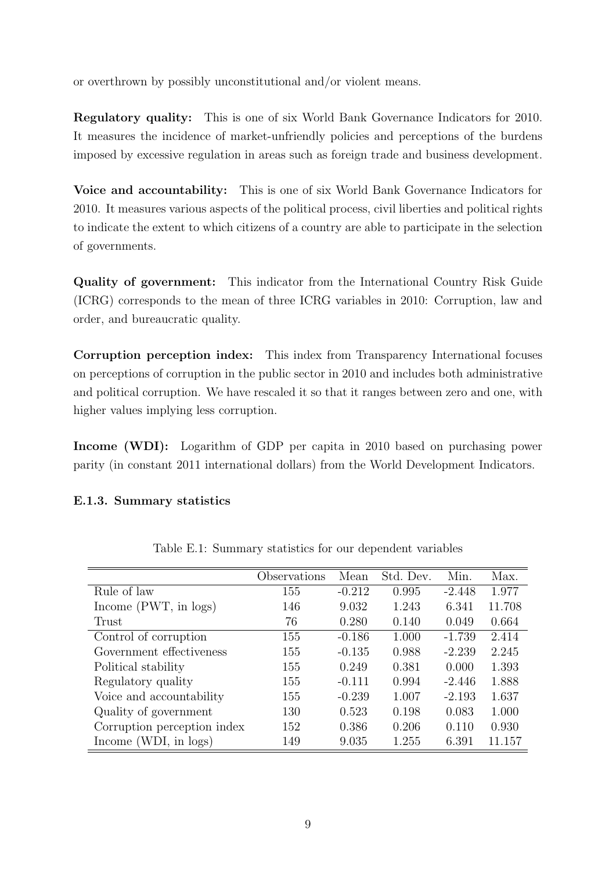or overthrown by possibly unconstitutional and/or violent means.

Regulatory quality: This is one of six World Bank Governance Indicators for 2010. It measures the incidence of market-unfriendly policies and perceptions of the burdens imposed by excessive regulation in areas such as foreign trade and business development.

Voice and accountability: This is one of six World Bank Governance Indicators for 2010. It measures various aspects of the political process, civil liberties and political rights to indicate the extent to which citizens of a country are able to participate in the selection of governments.

Quality of government: This indicator from the International Country Risk Guide (ICRG) corresponds to the mean of three ICRG variables in 2010: Corruption, law and order, and bureaucratic quality.

Corruption perception index: This index from Transparency International focuses on perceptions of corruption in the public sector in 2010 and includes both administrative and political corruption. We have rescaled it so that it ranges between zero and one, with higher values implying less corruption.

Income (WDI): Logarithm of GDP per capita in 2010 based on purchasing power parity (in constant 2011 international dollars) from the World Development Indicators.

### E.1.3. Summary statistics

|                             | Observations | Mean     | Std. Dev. | Min.     | Max.   |
|-----------------------------|--------------|----------|-----------|----------|--------|
| Rule of law                 | 155          | $-0.212$ | 0.995     | $-2.448$ | 1.977  |
| Income (PWT, in logs)       | 146          | 9.032    | 1.243     | 6.341    | 11.708 |
| Trust                       | 76           | 0.280    | 0.140     | 0.049    | 0.664  |
| Control of corruption       | 155          | $-0.186$ | 1.000     | $-1.739$ | 2.414  |
| Government effectiveness    | 155          | $-0.135$ | 0.988     | $-2.239$ | 2.245  |
| Political stability         | 155          | 0.249    | 0.381     | 0.000    | 1.393  |
| Regulatory quality          | 155          | $-0.111$ | 0.994     | $-2.446$ | 1.888  |
| Voice and accountability    | 155          | $-0.239$ | 1.007     | $-2.193$ | 1.637  |
| Quality of government       | 130          | 0.523    | 0.198     | 0.083    | 1.000  |
| Corruption perception index | 152          | 0.386    | 0.206     | 0.110    | 0.930  |
| Income (WDI, in logs)       | 149          | 9.035    | 1.255     | 6.391    | 11.157 |

Table E.1: Summary statistics for our dependent variables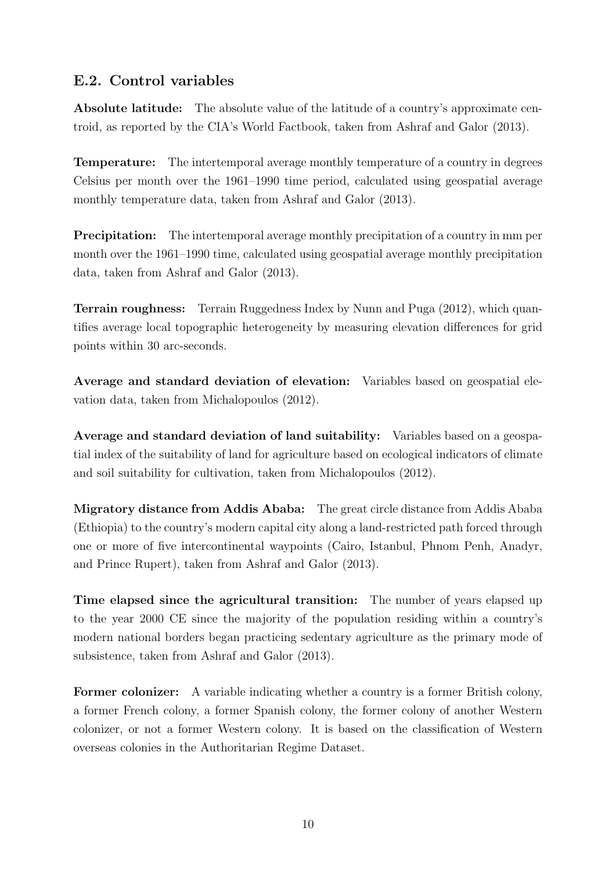## E.2. Control variables

Absolute latitude: The absolute value of the latitude of a country's approximate centroid, as reported by the CIA's World Factbook, taken from Ashraf and Galor (2013).

Temperature: The intertemporal average monthly temperature of a country in degrees Celsius per month over the 1961–1990 time period, calculated using geospatial average monthly temperature data, taken from Ashraf and Galor (2013).

Precipitation: The intertemporal average monthly precipitation of a country in mm per month over the 1961–1990 time, calculated using geospatial average monthly precipitation data, taken from Ashraf and Galor (2013).

Terrain roughness: Terrain Ruggedness Index by Nunn and Puga (2012), which quantifies average local topographic heterogeneity by measuring elevation differences for grid points within 30 arc-seconds.

Average and standard deviation of elevation: Variables based on geospatial elevation data, taken from Michalopoulos (2012).

Average and standard deviation of land suitability: Variables based on a geospatial index of the suitability of land for agriculture based on ecological indicators of climate and soil suitability for cultivation, taken from Michalopoulos (2012).

Migratory distance from Addis Ababa: The great circle distance from Addis Ababa (Ethiopia) to the country's modern capital city along a land-restricted path forced through one or more of five intercontinental waypoints (Cairo, Istanbul, Phnom Penh, Anadyr, and Prince Rupert), taken from Ashraf and Galor (2013).

Time elapsed since the agricultural transition: The number of years elapsed up to the year 2000 CE since the majority of the population residing within a country's modern national borders began practicing sedentary agriculture as the primary mode of subsistence, taken from Ashraf and Galor (2013).

Former colonizer: A variable indicating whether a country is a former British colony, a former French colony, a former Spanish colony, the former colony of another Western colonizer, or not a former Western colony. It is based on the classification of Western overseas colonies in the Authoritarian Regime Dataset.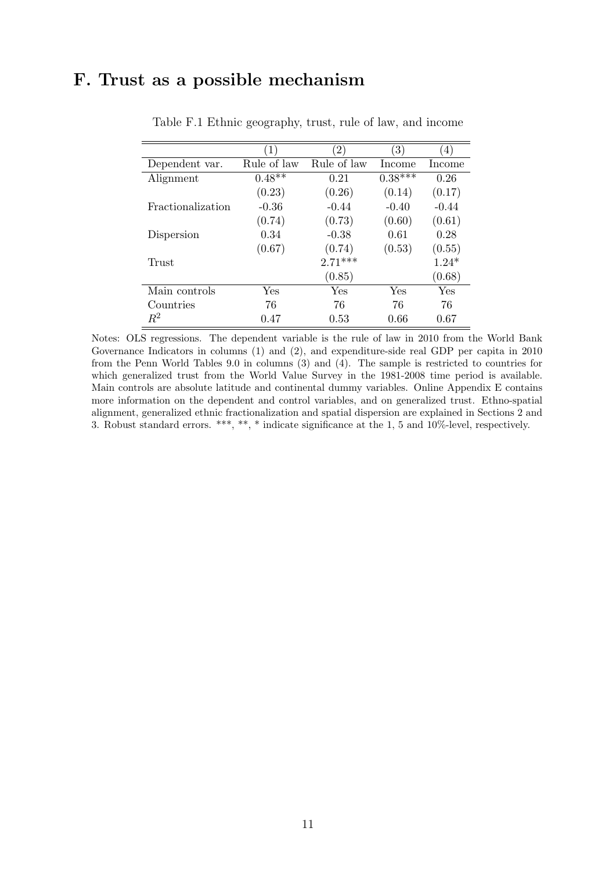# F. Trust as a possible mechanism

|                   | $\left  \right $ | 2)                   | $\left(3\right)$ | $\left(4\right)$ |
|-------------------|------------------|----------------------|------------------|------------------|
| Dependent var.    | Rule of law      | Rule of law          | Income           | Income           |
| Alignment         | $0.48**$         | 0.21                 | $0.38***$        | 0.26             |
|                   | (0.23)           | (0.26)               | (0.14)           | (0.17)           |
| Fractionalization | $-0.36$          | $-0.44$              | $-0.40$          | $-0.44$          |
|                   | (0.74)           | (0.73)               | (0.60)           | (0.61)           |
| Dispersion        | 0.34             | $-0.38$              | 0.61             | 0.28             |
|                   | (0.67)           | (0.74)               | (0.53)           | (0.55)           |
| Trust             |                  | $2.71***$            |                  | $1.24*$          |
|                   |                  | (0.85)               |                  | (0.68)           |
| Main controls     | Yes              | $\operatorname{Yes}$ | Yes              | Yes              |
| Countries         | 76               | 76                   | 76               | 76               |
| $R^2$             | 0.47             | 0.53                 | 0.66             | 0.67             |

Table F.1 Ethnic geography, trust, rule of law, and income

Notes: OLS regressions. The dependent variable is the rule of law in 2010 from the World Bank Governance Indicators in columns (1) and (2), and expenditure-side real GDP per capita in 2010 from the Penn World Tables 9.0 in columns (3) and (4). The sample is restricted to countries for which generalized trust from the World Value Survey in the 1981-2008 time period is available. Main controls are absolute latitude and continental dummy variables. Online Appendix E contains more information on the dependent and control variables, and on generalized trust. Ethno-spatial alignment, generalized ethnic fractionalization and spatial dispersion are explained in Sections 2 and 3. Robust standard errors. \*\*\*, \*\*, \* indicate significance at the 1, 5 and 10%-level, respectively.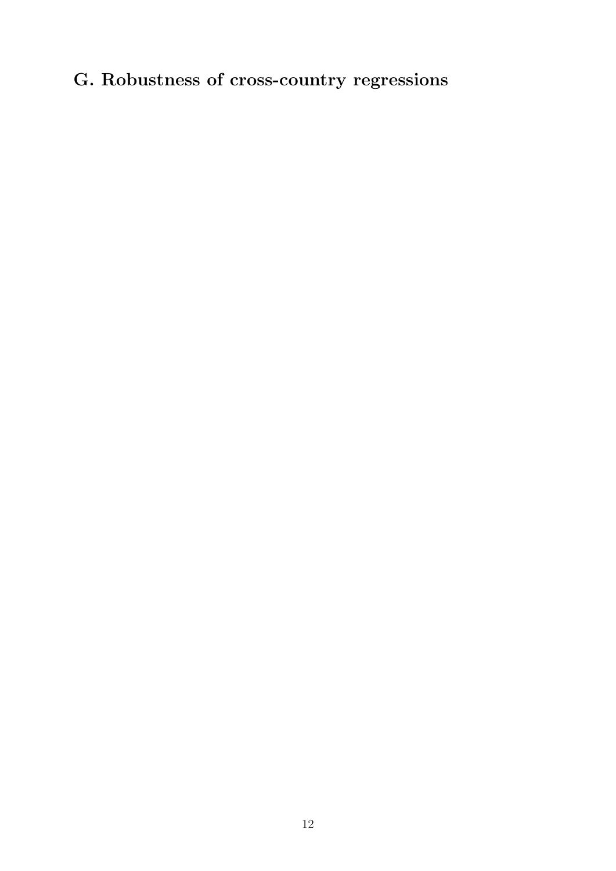# G. Robustness of cross-country regressions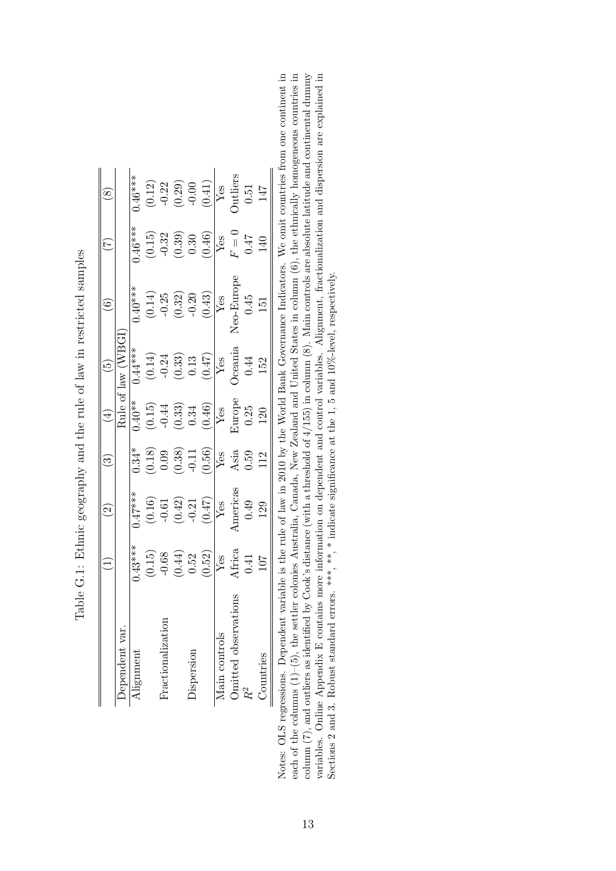|                      |                                                                 | $\widetilde{\mathcal{S}}$                                                                                          | $\widetilde{\mathcal{S}}$                                               | (4)                                                                                                   | $\widehat{5}$                                                                        |                                                                      | $\widetilde{\mathcal{L}}$                                    | $\infty$                                                                                                   |
|----------------------|-----------------------------------------------------------------|--------------------------------------------------------------------------------------------------------------------|-------------------------------------------------------------------------|-------------------------------------------------------------------------------------------------------|--------------------------------------------------------------------------------------|----------------------------------------------------------------------|--------------------------------------------------------------|------------------------------------------------------------------------------------------------------------|
| Dependent var.       |                                                                 |                                                                                                                    |                                                                         |                                                                                                       | Rule of law (WBG)                                                                    |                                                                      |                                                              |                                                                                                            |
| Alignment            | $0.43***$                                                       | $0.47***$                                                                                                          | $0.34*$                                                                 | $\frac{1}{0.40}$ **                                                                                   | $0.44***$                                                                            | $0.40***$                                                            | $0.46***$                                                    | $0.46***$                                                                                                  |
|                      |                                                                 |                                                                                                                    |                                                                         |                                                                                                       |                                                                                      |                                                                      |                                                              |                                                                                                            |
| Fractionalization    |                                                                 |                                                                                                                    |                                                                         |                                                                                                       |                                                                                      |                                                                      |                                                              |                                                                                                            |
|                      | $\begin{array}{c} (0.15) \\ -0.68 \\ 0.44) \\ 0.52 \end{array}$ |                                                                                                                    |                                                                         |                                                                                                       |                                                                                      |                                                                      |                                                              |                                                                                                            |
| Dispersion           |                                                                 |                                                                                                                    |                                                                         |                                                                                                       |                                                                                      |                                                                      |                                                              |                                                                                                            |
|                      | (0.52)                                                          | $\begin{array}{c} (0.16) \\ -0.61 \\ (0.42) \\ -0.21 \\ \hline (0.47) \\ (0.47) \\ \hline Y \text{es} \end{array}$ | $\begin{array}{c} (0.18) \\ 0.09 \\ 0.38) \\ 0.11 \\ 0.56) \end{array}$ | $\begin{array}{c} (0.15) \\ -0.44 \\ (0.33) \\ 0.34 \\ \hline (0.46) \\ (0.46) \\ \hline \end{array}$ | $\begin{array}{c} (0.14) \\ -0.24 \\ (0.33) \\ 0.13 \\ (0.47) \\ \hline \end{array}$ | $\begin{array}{c} (0.14) \\ -0.25 \\ (0.32) \\ -0.20 \\ \end{array}$ | $(0.15)$<br>$-0.32$<br>$(0.39)$<br>$0.30$<br>$(0.46)$<br>Yes | $\begin{array}{c} (0.12) \\ -0.22 \\ (0.29) \\ -0.00 \\ (0.41) \\ \hline Y_{\mbox{\small 4S}} \end{array}$ |
| Main controls        | $\sqrt{\text{res}}$                                             |                                                                                                                    | $\sqrt{\text{res}}$                                                     |                                                                                                       |                                                                                      | Yes                                                                  |                                                              |                                                                                                            |
| Omitted observations |                                                                 | Americas                                                                                                           | Asia                                                                    | Europe                                                                                                | Oceania                                                                              | <b>veo-Europe</b>                                                    |                                                              | Outliers                                                                                                   |
| $R^2$                | Africa $0.41$                                                   | $0.49$<br>129                                                                                                      | 0.59                                                                    | $0.25\,$                                                                                              | $\,0.44$                                                                             | $\begin{array}{c} 0.45 \\ 151 \end{array}$                           | $F=0$ $0.47$ $140$                                           | $\begin{array}{c} 0.51 \\ 147 \end{array}$                                                                 |
| Countries            | 107                                                             |                                                                                                                    | 112                                                                     | $120\,$                                                                                               | 152                                                                                  |                                                                      |                                                              |                                                                                                            |

Table G.1: Ethnic geography and the rule of law in restricted samples Table G.1: Ethnic geography and the rule of law in restricted samples Notes: OLS regressions. Dependent variable is the rule of law in 2010 by the World Bank Governance Indicators. We omit countries from one continent in each of the columns  $(1)$ – $(5)$ , the settler colonies Australia, Canada, New Zealand and United States in column  $(6)$ , the ethnically homogeneous countries in column  $(7)$ , and outliers as identified by Cook's distance (with a threshold of 4/155) in column (8). Main controls are absolute latitude and continental dummy variables. Online Appendix E contains more information on dependent and control variables. Alignment, fractionalization and dispersion are explained in Notes: OLS regressions. Dependent variable is the rule of law in 2010 by the World Bank Governance Indicators. We omit countries from one continent in each of the columns  $(1)-(5)$ , the settler colonies Australia, Canada, New Zealand and United States in column  $(6)$ , the ethnically homogeneous countries in column (7), and outliers as identified by Cook's distance (with a threshold of 4/155) in column (8). Main controls are absolute latitude and continental dummy variables. Online Appendix E contains more information on dependent and control variables. Alignment, fractionalization and dispersion are explained in Sections 2 and 3. Robust standard errors. \*\*\*, \*\*, \* indicate significance at the 1, 5 and 10%-level, respectively. Sections 2 and 3. Robust standard errors. \*\*\*, \* indicate significance at the 1, 5 and 10%-level, respectively.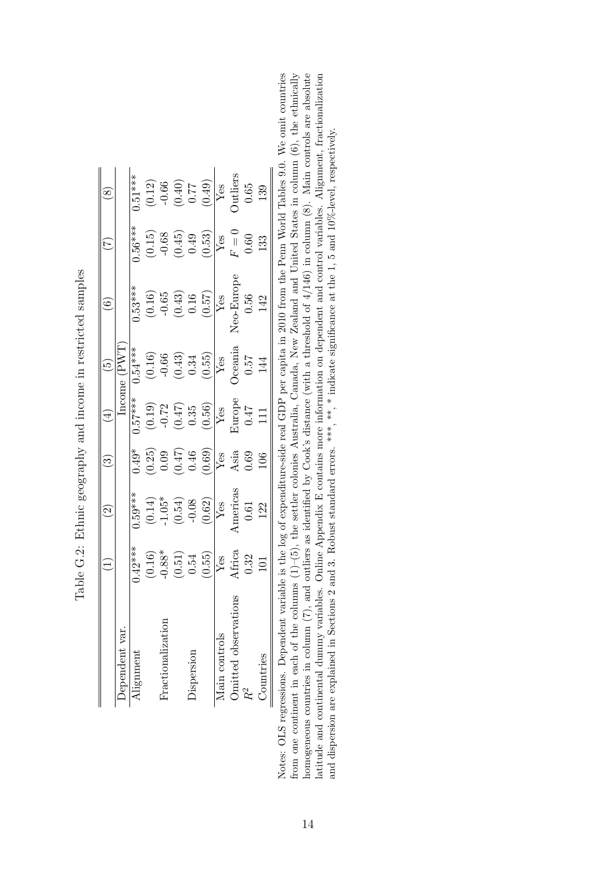|                      |                                                                              | $\widetilde{\mathcal{S}}$                                                     | <u>ි</u>                                                                  | $\bigoplus$                                                                          | $\widetilde{\Xi}$                                                     | $\widehat{\mathfrak{s}}$                                                   | É)                                                                         | $\infty$                                                                                                    |
|----------------------|------------------------------------------------------------------------------|-------------------------------------------------------------------------------|---------------------------------------------------------------------------|--------------------------------------------------------------------------------------|-----------------------------------------------------------------------|----------------------------------------------------------------------------|----------------------------------------------------------------------------|-------------------------------------------------------------------------------------------------------------|
| Dependent var.       |                                                                              |                                                                               |                                                                           |                                                                                      | Income (PWT)                                                          |                                                                            |                                                                            |                                                                                                             |
| Alignment            | $(1.42***)$                                                                  | $0.59***$                                                                     | $0.49*$                                                                   | $0.57***$                                                                            | $0.54***$                                                             | $0.53***$                                                                  | $0.56***$                                                                  | $0.51***$                                                                                                   |
|                      |                                                                              |                                                                               |                                                                           |                                                                                      |                                                                       |                                                                            |                                                                            |                                                                                                             |
| Fractionalization    |                                                                              |                                                                               |                                                                           |                                                                                      |                                                                       |                                                                            |                                                                            |                                                                                                             |
|                      |                                                                              |                                                                               |                                                                           |                                                                                      |                                                                       |                                                                            |                                                                            |                                                                                                             |
| Dispersion           |                                                                              |                                                                               |                                                                           |                                                                                      |                                                                       |                                                                            |                                                                            |                                                                                                             |
|                      | $\begin{array}{c} (0.16) \\ -0.88^* \\ (0.51) \\ 0.54 \\ (0.55) \end{array}$ | $\begin{array}{c} (0.14) \\ -1.05^* \\ (0.54) \\ -0.08 \\ (0.62) \end{array}$ | $\begin{array}{c} (0.25) \\ 0.09 \\ (0.47) \\ 0.46 \\ (0.69) \end{array}$ | $\begin{array}{c} (0.19) \\ -0.72 \\ (0.47) \\ 0.35 \\ (0.56) \\ \hline \end{array}$ | $(0.16)$<br>$-0.66$<br>$(0.43)$<br>$0.34$<br>$Y$ es<br>Yes<br>Oceania | $\begin{array}{c} (0.16) \\ -0.65 \\ (0.43) \\ 0.16 \\ (0.57) \end{array}$ | $\begin{array}{c} (0.15) \\ -0.68 \\ (0.45) \\ 0.49 \\ (0.53) \end{array}$ | $\begin{array}{c c} (0.12) \\ -0.66 \\ (0.40) \\ 0.77 \\ (0.49) \\ \hline Y_{\mbox{\small 6S}} \end{array}$ |
| Main controls        | Yes                                                                          | ${\bf Yes}$                                                                   | Yes                                                                       |                                                                                      |                                                                       | $\sqrt{\text{res}}$                                                        | $\overline{Y}$ es                                                          |                                                                                                             |
| Omitted observations | Africa                                                                       | Americas                                                                      | Asia                                                                      | Europe                                                                               |                                                                       | eo-Europe                                                                  | $F = 0$                                                                    | <b>Dutliers</b>                                                                                             |
| $R^2$                | 0.32                                                                         | $\!0.61$                                                                      | 0.69                                                                      | $\begin{array}{c} 0.47 \\ 111 \end{array}$                                           | $\sqrt{2.0}$                                                          | $0.56\,$                                                                   | 0.60                                                                       | $0.65\,$                                                                                                    |
| Countries            | 101                                                                          | 122                                                                           | 106                                                                       |                                                                                      | 144                                                                   | 142                                                                        | 133                                                                        | 139                                                                                                         |

Table G.2: Ethnic geography and income in restricted samples Table G.2: Ethnic geography and income in restricted samples Notes: OLS regressions. Dependent variable is the log of expenditure-side real GDP per capita in 2010 from the Penn World Tables 9.0. We omit countries from one continent in each of the columns  $(1)-(5)$ , the settler colonies Australia, Canada, New Zealand and United States in column  $(6)$ , the ethnically homogeneous countries in column  $(7)$ , and outliers as identified by Cook's distance (with a threshold of  $4/146$ ) in column  $(8)$ . Main controls are absolute latitude and continental dummy variables. Online Appendix E contains more information on dependent and control variables. Alignment, fractionalization and dispersion are explained in Sections 2 and 3. Robust standard erro from one continent in each of the columns (1)–(5), the settler colonies Australia, Canada, New Zealand and United States in column (6), the ethnically latitude and continental dummy variables. Online Appendix E contains more information on dependent and control variables. Alignment, fractionalization Notes: OLS regressions. Dependent variable is the log of expenditure-side real GDP per capita in 2010 from the Penn World Tables 9.0. We omit countries homogeneous countries in column (7), and outliers as identified by Cook's distance (with a threshold of 4/146) in column (8). Main controls are absolute and dispersion are explained in Sections 2 and 3. Robust standard errors. \*\*\*, \* \* indicate significance at the 1, 5 and 10%-level, respectively.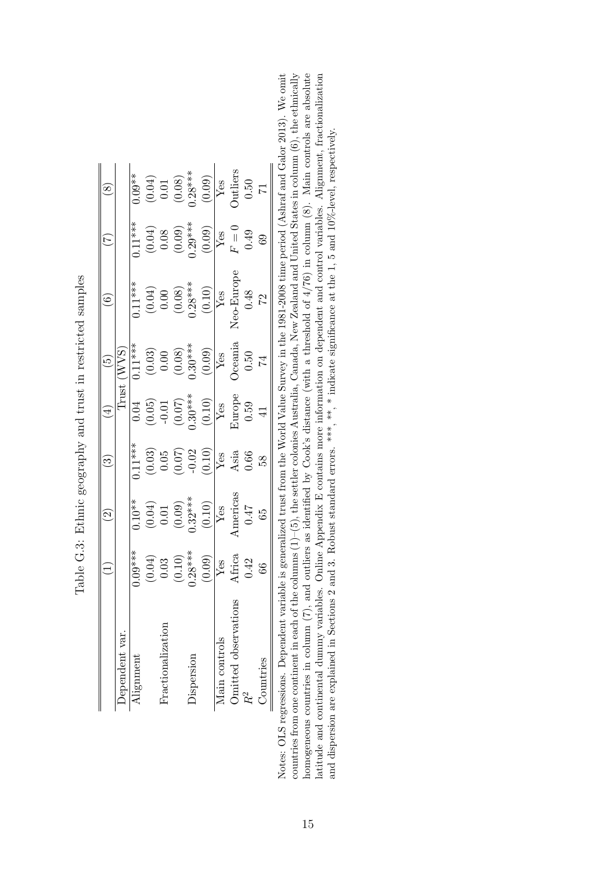|                      |                                         | $\widetilde{\mathcal{S}}$                                                                            | ్ర                                                                         | $\widehat{A}$                                                                                           | $\widetilde{\mathbb{G}}$                                               | عجَ                                                                                              | É                                                                                        | $\propto$                                                          |
|----------------------|-----------------------------------------|------------------------------------------------------------------------------------------------------|----------------------------------------------------------------------------|---------------------------------------------------------------------------------------------------------|------------------------------------------------------------------------|--------------------------------------------------------------------------------------------------|------------------------------------------------------------------------------------------|--------------------------------------------------------------------|
| Dependent var.       |                                         |                                                                                                      |                                                                            | Trust                                                                                                   | $\overline{\text{(WVS)}}$                                              |                                                                                                  |                                                                                          |                                                                    |
| Alignment            | $0.09***$                               | $0.10**$                                                                                             | $0.11***$                                                                  | 0.04                                                                                                    | $0.11***$                                                              | $0.11***$                                                                                        | $0.11***$                                                                                | $0.09**$                                                           |
|                      | $(0.04)$<br>0.03<br>$(0.10)$<br>0.28*** |                                                                                                      |                                                                            |                                                                                                         | $\begin{array}{c} (0.03) \\ 0.00 \\ (0.08) \\ (0.30^{***} \end{array}$ |                                                                                                  |                                                                                          | $\begin{array}{c} (0.04) \\ 0.01 \\ (0.08) \\ (0.28** \end{array}$ |
| Fractionalization    |                                         |                                                                                                      |                                                                            |                                                                                                         |                                                                        |                                                                                                  |                                                                                          |                                                                    |
|                      |                                         |                                                                                                      |                                                                            |                                                                                                         |                                                                        |                                                                                                  |                                                                                          |                                                                    |
| Dispersion           |                                         |                                                                                                      |                                                                            |                                                                                                         |                                                                        |                                                                                                  |                                                                                          |                                                                    |
|                      | (0.09)                                  | $\begin{array}{c} (0.04) \\ 0.01 \\ (0.09) \\ 0.32*** \\ \hline Y_{\text{CS}} \\ \hline \end{array}$ | $\begin{array}{c} (0.03) \\ 0.05 \\ (0.07) \\ -0.02 \\ (0.10) \end{array}$ | $\begin{array}{c c} (0.05) \\ -0.01 \\ (0.07) \\ 0.30^{***} \\ (0.10) \\ \hline \text{Yes} \end{array}$ | $\frac{(0.09)}{Yes}$                                                   | $\begin{array}{c} (0.04) \\ 0.00 \\ (0.08) \\ 0.28** \\ (0.10) \\ \hline \text{Yes} \end{array}$ | $\begin{array}{c} (0.04) \\ 0.08 \\ 0.09) \\ 0.29^{***} \\ (0.09) \\ (0.09) \end{array}$ | $\frac{(0.09)}{Yes}$                                               |
| Main controls        | Yes                                     |                                                                                                      | Yes                                                                        |                                                                                                         |                                                                        |                                                                                                  | ${\rm Yes}$                                                                              |                                                                    |
| Omitted observations | Africa                                  | Americas                                                                                             | Asia                                                                       | Europe                                                                                                  | $\lambda$ ceania                                                       | Jeo-Europe                                                                                       | $F = 0$                                                                                  | $\hbox{Outliers}$                                                  |
| R <sup>2</sup>       | 0.42                                    | 74.0                                                                                                 | 0.66                                                                       | 0.59                                                                                                    | 0.50                                                                   | 0.48                                                                                             | 0.49                                                                                     | $0.50\,$                                                           |
| Countries            | 66                                      | 65                                                                                                   | 89                                                                         |                                                                                                         |                                                                        | $\mathbb{Z}$                                                                                     | $_{69}$                                                                                  |                                                                    |

| that and the last<br>ł<br>l<br>۱<br>ו<br>ו<br>i<br>I<br>I                                                                                 |
|-------------------------------------------------------------------------------------------------------------------------------------------|
| $\frac{1}{2}$                                                                                                                             |
| $\frac{3}{2}$                                                                                                                             |
| Creat Can can concert come of the concert come of the concert come of the concert of the concert of the concert<br>$\frac{1}{2}$<br>31212 |
| $\mathbf{I}$<br>֕                                                                                                                         |
| .<br>آ<br>$\frac{1}{2}$                                                                                                                   |

Notes: OLS regressions. Dependent variable is generalized trust from the World Value Survey in the 1981-2008 time period (Ashraf and Galor 2013). We omit homogeneous countries in column  $(7)$ , and outliers as identified by Cook's distance (with a threshold of 4/76) in column  $(8)$ . Main controls are absolute latitude and continental dummy variables. Online Appendix E contains more information on dependent and control variables. Alignment, fractionalization<br>and dispersion are explained in Sections 2 and 3. Robust standard erro countries from one continent in each of the columns  $(1)-(5)$ , the settler colonies Australia, Canada, New Zealand and United States in column  $(6)$ , the ethnically countries from one continent in each of the columns (1)–(5), the settler colonies Australia, Canada, New Zealand and United States in column (6), the ethnically latitude and continental dummy variables. Online Appendix E contains more information on dependent and control variables. Alignment, fractionalization Notes: OLS regressions. Dependent variable is generalized trust from the World Value Survey in the 1981-2008 time period (Ashraf and Galor 2013). We omit homogeneous countries in column (7), and outliers as identified by Cook's distance (with a threshold of 4/76) in column (8). Main controls are absolute and dispersion are explained in Sections 2 and 3. Robust standard errors. \*\*\*, \* \* indicate significance at the 1, 5 and 10%-level, respectively.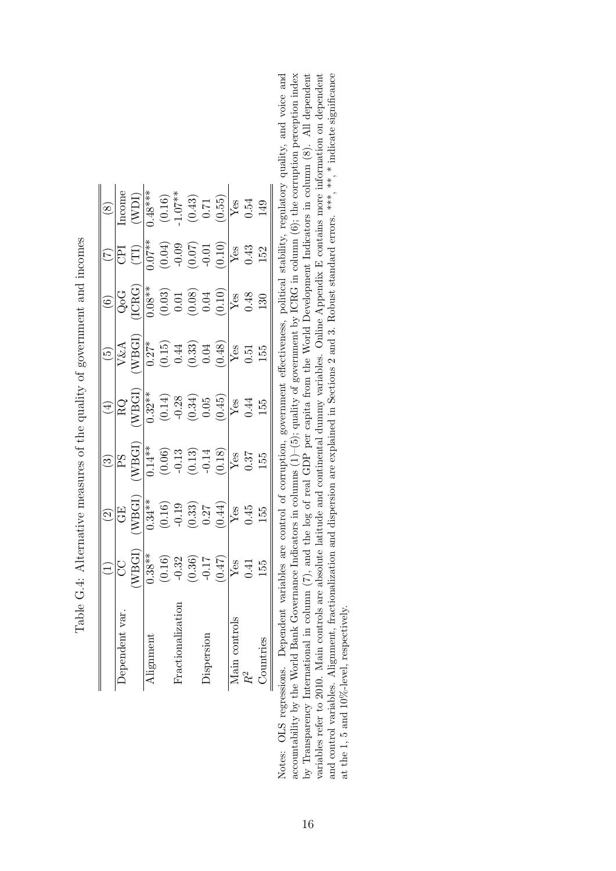|               |                                                                                                                                                                                                                                      |                                                                                                                                                                                                                                                                                                                                                                                                                                                                |                                                                                                                                                                                                                                                                                                                                                                                            | $(\pm)$                                                                                                                                                                                                        |                                                                                                                                                                 |                                                                                                                                                                                                                                                                                                                                                                                                                                              | $\widetilde{C}$                                                                                                                                                                                                                                                                                                                                                                               |                                                                                                                                                                                                                                                                                                     |
|---------------|--------------------------------------------------------------------------------------------------------------------------------------------------------------------------------------------------------------------------------------|----------------------------------------------------------------------------------------------------------------------------------------------------------------------------------------------------------------------------------------------------------------------------------------------------------------------------------------------------------------------------------------------------------------------------------------------------------------|--------------------------------------------------------------------------------------------------------------------------------------------------------------------------------------------------------------------------------------------------------------------------------------------------------------------------------------------------------------------------------------------|----------------------------------------------------------------------------------------------------------------------------------------------------------------------------------------------------------------|-----------------------------------------------------------------------------------------------------------------------------------------------------------------|----------------------------------------------------------------------------------------------------------------------------------------------------------------------------------------------------------------------------------------------------------------------------------------------------------------------------------------------------------------------------------------------------------------------------------------------|-----------------------------------------------------------------------------------------------------------------------------------------------------------------------------------------------------------------------------------------------------------------------------------------------------------------------------------------------------------------------------------------------|-----------------------------------------------------------------------------------------------------------------------------------------------------------------------------------------------------------------------------------------------------------------------------------------------------|
| ependen       |                                                                                                                                                                                                                                      |                                                                                                                                                                                                                                                                                                                                                                                                                                                                |                                                                                                                                                                                                                                                                                                                                                                                            |                                                                                                                                                                                                                |                                                                                                                                                                 |                                                                                                                                                                                                                                                                                                                                                                                                                                              | E                                                                                                                                                                                                                                                                                                                                                                                             |                                                                                                                                                                                                                                                                                                     |
|               |                                                                                                                                                                                                                                      |                                                                                                                                                                                                                                                                                                                                                                                                                                                                |                                                                                                                                                                                                                                                                                                                                                                                            |                                                                                                                                                                                                                |                                                                                                                                                                 |                                                                                                                                                                                                                                                                                                                                                                                                                                              |                                                                                                                                                                                                                                                                                                                                                                                               |                                                                                                                                                                                                                                                                                                     |
| lignment      |                                                                                                                                                                                                                                      |                                                                                                                                                                                                                                                                                                                                                                                                                                                                |                                                                                                                                                                                                                                                                                                                                                                                            |                                                                                                                                                                                                                |                                                                                                                                                                 |                                                                                                                                                                                                                                                                                                                                                                                                                                              |                                                                                                                                                                                                                                                                                                                                                                                               |                                                                                                                                                                                                                                                                                                     |
|               |                                                                                                                                                                                                                                      |                                                                                                                                                                                                                                                                                                                                                                                                                                                                |                                                                                                                                                                                                                                                                                                                                                                                            |                                                                                                                                                                                                                |                                                                                                                                                                 |                                                                                                                                                                                                                                                                                                                                                                                                                                              |                                                                                                                                                                                                                                                                                                                                                                                               |                                                                                                                                                                                                                                                                                                     |
| ractionaliza: |                                                                                                                                                                                                                                      |                                                                                                                                                                                                                                                                                                                                                                                                                                                                |                                                                                                                                                                                                                                                                                                                                                                                            |                                                                                                                                                                                                                |                                                                                                                                                                 |                                                                                                                                                                                                                                                                                                                                                                                                                                              |                                                                                                                                                                                                                                                                                                                                                                                               |                                                                                                                                                                                                                                                                                                     |
|               |                                                                                                                                                                                                                                      |                                                                                                                                                                                                                                                                                                                                                                                                                                                                |                                                                                                                                                                                                                                                                                                                                                                                            |                                                                                                                                                                                                                |                                                                                                                                                                 |                                                                                                                                                                                                                                                                                                                                                                                                                                              |                                                                                                                                                                                                                                                                                                                                                                                               |                                                                                                                                                                                                                                                                                                     |
| ispersion     |                                                                                                                                                                                                                                      |                                                                                                                                                                                                                                                                                                                                                                                                                                                                |                                                                                                                                                                                                                                                                                                                                                                                            |                                                                                                                                                                                                                |                                                                                                                                                                 |                                                                                                                                                                                                                                                                                                                                                                                                                                              |                                                                                                                                                                                                                                                                                                                                                                                               |                                                                                                                                                                                                                                                                                                     |
|               | $\begin{array}{r} \begin{array}{c} (1) \\ \hline \text{CG} \\ \text{WBE1} \\ \text{MBE1} \\ \text{O.38} \end{array} \\ (0.16) \\ (0.32) \\ (0.36) \\ (0.47) \\ (0.47) \\ \text{Ves} \\ (0.41) \\ \text{Ves} \end{array} \end{array}$ | $\begin{array}{c c} (2) \\ \hline \text{GE} \\ \hline \text{GE} \\ \hline \text{MBCI} \\ \hline \text{C} \\ \text{C} \\ \text{D} \\ \text{C} \\ \text{D} \\ \text{D} \\ \text{M} \\ \text{M} \\ \text{M} \\ \text{M} \\ \text{M} \\ \text{M} \\ \text{M} \\ \text{M} \\ \text{M} \\ \text{M} \\ \text{M} \\ \text{M} \\ \text{M} \\ \text{M} \\ \text{M} \\ \text{M} \\ \text{M} \\ \text{M} \\ \text{M} \\ \text{M} \\ \text{M} \\ \text{M} \\ \text{M} \\ \$ | $\begin{array}{c c} (3)\\ \hline \text{PS} \\ \text{NEGI} \\ \text{M} \overset{\text{st}}{\sim} \\ (0.06)\\ \text{C} \\ (0.13)\\ \text{C} \\ (1.13)\\ \text{C} \\ (0.18)\\ \text{V} \\ (0.18)\\ \text{V} \\ (0.31)\\ \text{V} \\ (0.31)\\ \text{V} \\ (0.31)\\ \text{V} \\ (0.31)\\ \text{V} \\ (0.31)\\ \text{V} \\ (0.31)\\ \text{V} \\ (0.31)\\ \text{V} \\ (0.31)\\ \text{V} \\ (0.31$ | $\begin{array}{r l} \hline \text{RG} \\ \hline \text{KBH} \\ \hline 0.32** \\ \hline 0.34* \\ \hline 0.34) \\ \hline 0.034) \\ \hline 0.05 \\ \hline 0.44 \\ \hline 0.44 \\ \hline 1.55 \\ \hline \end{array}$ | $\begin{array}{c} (5) \\ \hline V\&A \\ \hline V\&G1 \\ \hline 0.27* \\ (0.15) \\ (0.44) \\ (0.33) \\ (0.48) \\ (0.48) \\ Y\&8 \\ (0.51) \\ \hline \end{array}$ | $\underbrace{6}{0}$<br>$\underbrace{0}{0}$<br>$\underbrace{0}{0}$<br>$\underbrace{0}{0}$<br>$\underbrace{0}{0}$<br>$\underbrace{0}{0}$<br>$\underbrace{0}{0}$<br>$\underbrace{0}{0}$<br>$\underbrace{0}{0}$<br>$\underbrace{0}{0}$<br>$\underbrace{0}{0}$<br>$\underbrace{0}{0}$<br>$\underbrace{0}{0}$<br>$\underbrace{0}{0}$<br>$\underbrace{0}{0}$<br>$\underbrace{0}{0}$<br>$\underbrace{0}{0}$<br>$\underbrace{0}{0}$<br>$\underbrace{$ | $\begin{array}{c} \begin{array}{c} \text{(TI)} \\ \text{(10,04)} \\ \text{(0.04)} \\ \text{(0.05)} \\ \text{(0.06)} \\ \text{(0.07)} \\ \text{(0.08)} \\ \text{(0.09)} \\ \text{(0.01)} \\ \text{(0.10)} \\ \text{(0.11)} \\ \text{(0.12)} \\ \text{(0.19)} \\ \text{(1.10)} \\ \text{(1.11)} \\ \text{(1.12)} \\ \text{(1.13)} \\ \text{(1.14)} \\ \text{(1.15)} \\ \end{array} \end{array}$ | $\begin{array}{r rr}\n 80 \\  \hline\n 160\text{me} \\  148\text{*}4 \\  1.07\text{*}3 \\  1.07\text{*}4 \\  0.16 \\  0.55 \\  \hline\n Y & 0.54 \\  0.55 \\  0.54 \\  0.54 \\  0.54 \\  0.54 \\  0.54 \\  0.54 \\  0.54 \\  0.54 \\  0.54 \\  0.54 \\  0.55 \\  0.55 \\  0.56 \\  0.57\end{array}$ |
|               |                                                                                                                                                                                                                                      |                                                                                                                                                                                                                                                                                                                                                                                                                                                                |                                                                                                                                                                                                                                                                                                                                                                                            |                                                                                                                                                                                                                |                                                                                                                                                                 |                                                                                                                                                                                                                                                                                                                                                                                                                                              |                                                                                                                                                                                                                                                                                                                                                                                               |                                                                                                                                                                                                                                                                                                     |
|               |                                                                                                                                                                                                                                      |                                                                                                                                                                                                                                                                                                                                                                                                                                                                |                                                                                                                                                                                                                                                                                                                                                                                            |                                                                                                                                                                                                                |                                                                                                                                                                 |                                                                                                                                                                                                                                                                                                                                                                                                                                              |                                                                                                                                                                                                                                                                                                                                                                                               |                                                                                                                                                                                                                                                                                                     |
|               |                                                                                                                                                                                                                                      |                                                                                                                                                                                                                                                                                                                                                                                                                                                                |                                                                                                                                                                                                                                                                                                                                                                                            |                                                                                                                                                                                                                | $155$                                                                                                                                                           |                                                                                                                                                                                                                                                                                                                                                                                                                                              |                                                                                                                                                                                                                                                                                                                                                                                               |                                                                                                                                                                                                                                                                                                     |

| /Content of the content of the content of the content of the content of the content of the content of the content of the content of the content of the content of the content of the content of the content of the content of<br>í<br>;<br>;<br>$\sim$ 2. $\sim$ 1. $\sim$ 1. $\sim$ |
|--------------------------------------------------------------------------------------------------------------------------------------------------------------------------------------------------------------------------------------------------------------------------------------|
|                                                                                                                                                                                                                                                                                      |
|                                                                                                                                                                                                                                                                                      |
| j                                                                                                                                                                                                                                                                                    |
| I<br>$\frac{1}{2}$                                                                                                                                                                                                                                                                   |
| )<br>}<br>}<br>${1\over 2}$                                                                                                                                                                                                                                                          |
| $\frac{1}{2}$<br>$\frac{1}{2}$<br>í<br>j<br>$\cdots$                                                                                                                                                                                                                                 |
| l<br>Ì                                                                                                                                                                                                                                                                               |
| $\frac{1}{2}$<br>;<br> <br>İ                                                                                                                                                                                                                                                         |

accountability by the World Bank Governance Indicators in columns  $(1)-(5)$ ; quality of government by ICRG in column  $(6)$ ; the corruption perception index and control variables. Alignment, fractionalization and dispersion are explained in Sections 2 and 3. Robust standard errors. \*\*\*, \*\*, \* indicate significance Notes: OLS regressions. Dependent variables are control of corruption, government effectiveness, political stability, regulatory quality, and voice and by Transparency International in column (7), and the log of real GDP per capita from the World Development Indicators in column (8). All dependent variables refer to 2010. Main controls are absolute latitude and continental dummy variables. Online Appendix E contains more information on dependent accountability by the World Bank Governance Indicators in columns  $(1)-(5)$ ; quality of government by ICRG in column  $(6)$ ; the corruption perception index Notes: OLS regressions. Dependent variables are control of corruption, government effectiveness, political stability, regulatory quality, and voice and by Transparency International in column (7), and the log of real GDP per capita from the World Development Indicators in column (8). All dependent variables refer to 2010. Main controls are absolute latitude and continental dummy variables. Online Appendix E contains more information on dependent and control variables. Alignment, fractionalization and dispersion are explained in Sections 2 and 3. Robust standard errors. \*\*\*, \* indicate significance at the 1, 5 and 10%-level, respectively. at the 1, 5 and 10%-level, respectively.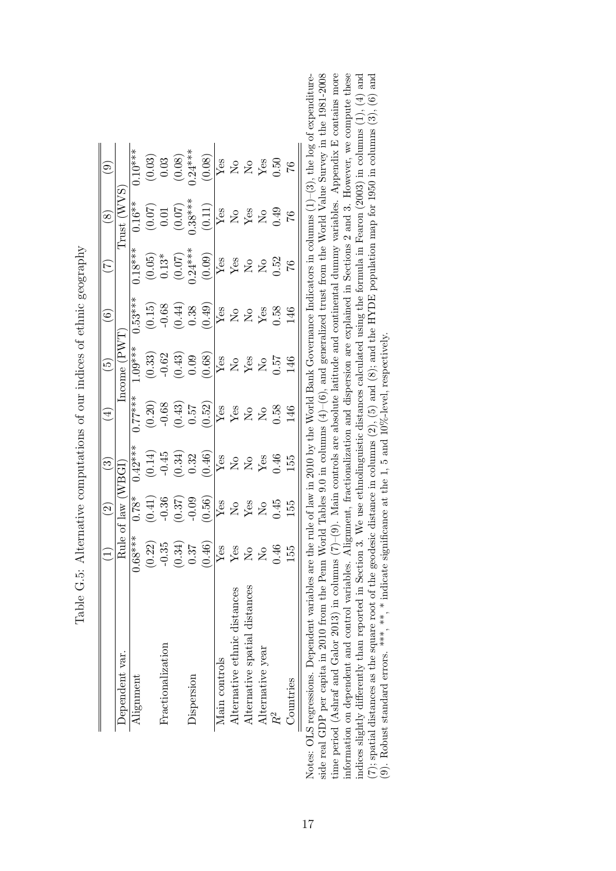|                               |                                                        | $\widehat{\mathfrak{O}}$                                                                                                                     | $\widetilde{\mathcal{C}}$                                                                                                      |                                                                                                 | $\widetilde{5}$                                                                                                                                                                                                                                                                                                            | $\widehat{6}$                                                                                                  | À,                                                                                               | $\circledS$                                                                                                       |                                                                                                                                                |
|-------------------------------|--------------------------------------------------------|----------------------------------------------------------------------------------------------------------------------------------------------|--------------------------------------------------------------------------------------------------------------------------------|-------------------------------------------------------------------------------------------------|----------------------------------------------------------------------------------------------------------------------------------------------------------------------------------------------------------------------------------------------------------------------------------------------------------------------------|----------------------------------------------------------------------------------------------------------------|--------------------------------------------------------------------------------------------------|-------------------------------------------------------------------------------------------------------------------|------------------------------------------------------------------------------------------------------------------------------------------------|
| Dependent var.                |                                                        | Rule of law (                                                                                                                                |                                                                                                                                |                                                                                                 | Income $(PW)$                                                                                                                                                                                                                                                                                                              |                                                                                                                |                                                                                                  | Trust (WVS                                                                                                        |                                                                                                                                                |
| Alignment                     | $0.68***$                                              | $0.78*$                                                                                                                                      | $0.42***$                                                                                                                      | ,77****                                                                                         | $****00.$                                                                                                                                                                                                                                                                                                                  | $0.53***$                                                                                                      | $0.18***$                                                                                        | $0.16**$                                                                                                          | $0.10***$                                                                                                                                      |
|                               | (0.22)                                                 | (0.41)                                                                                                                                       | (0.14)                                                                                                                         | (0.20)                                                                                          |                                                                                                                                                                                                                                                                                                                            |                                                                                                                |                                                                                                  |                                                                                                                   |                                                                                                                                                |
| Fractionalization             |                                                        | $-0.36$                                                                                                                                      | $-0.45$                                                                                                                        | $-0.68$                                                                                         |                                                                                                                                                                                                                                                                                                                            |                                                                                                                | $\left(0.05\right)$ $0.13^*$                                                                     |                                                                                                                   |                                                                                                                                                |
|                               | $\begin{array}{c} -0.35 \\ (0.34) \\ 0.37 \end{array}$ |                                                                                                                                              | $\begin{array}{c} (0.34) \\ 0.32 \end{array}$                                                                                  |                                                                                                 |                                                                                                                                                                                                                                                                                                                            |                                                                                                                |                                                                                                  |                                                                                                                   |                                                                                                                                                |
| Dispersion                    |                                                        |                                                                                                                                              |                                                                                                                                |                                                                                                 |                                                                                                                                                                                                                                                                                                                            |                                                                                                                |                                                                                                  |                                                                                                                   |                                                                                                                                                |
|                               | (0.46)                                                 | $\begin{array}{c} (0.37)\\ -0.09\\ \hline (0.56)\\ \hline Y\&0\\ \hline Y\&0\\ \hline Y\&0\\ \hline Y\&0\\ \hline Y\&0\\ \hline \end{array}$ |                                                                                                                                | $\begin{array}{c} (0.43) \\ 0.57 \\ (0.52) \\ \hline Y \text{es} \\ Y \text{es} \\ \end{array}$ | $\begin{array}{c} (0.33) \\ -0.62 \\ (0.43) \\ 0.09 \\ (0.68) \end{array}$                                                                                                                                                                                                                                                 | $(0.15)$<br>$-0.68$<br>$-0.38$<br>$(0.44)$<br>$(0.44)$<br>$(0.49)$<br>$X = 2$<br>$X = 3$<br>$X = 3$<br>$X = 6$ | $\begin{array}{c} (0.07) \\ 0.24*** \\ (0.09) \\ \hline Yes \\ Yes \\ \hline Yes \\ \end{array}$ | $\begin{array}{c} (0.07) \\ 0.01 \\ (0.07) \\ .38*** \\ \hline (0.11) \\ \hline Yes \\ \hline Yes \\ \end{array}$ | $\begin{array}{c c} (0.03) \\ 0.03 \\ \hline 0.08 \\ (0.08) \\ (0.08) \\ \hline Y_{\rm CS} \\ Y_{\rm CS} \\ Y_{\rm CS} \\ 0.50 \\ \end{array}$ |
| Main controls                 | $\overline{Y}$ es                                      |                                                                                                                                              |                                                                                                                                |                                                                                                 |                                                                                                                                                                                                                                                                                                                            |                                                                                                                |                                                                                                  |                                                                                                                   |                                                                                                                                                |
| Alternative ethnic distances  | $_{\rm Y_{\rm OS}}$ $_{\rm N_{\rm O}}$                 |                                                                                                                                              |                                                                                                                                |                                                                                                 |                                                                                                                                                                                                                                                                                                                            |                                                                                                                |                                                                                                  |                                                                                                                   |                                                                                                                                                |
| Alternative spatial distances |                                                        |                                                                                                                                              |                                                                                                                                |                                                                                                 |                                                                                                                                                                                                                                                                                                                            |                                                                                                                |                                                                                                  |                                                                                                                   |                                                                                                                                                |
| Alternative year              | $\overline{R}$                                         |                                                                                                                                              | $\begin{array}{c c} (0.46) \\ \hline \text{Yes} \\ \text{X} & \text{S} \\ \text{Yes} \\ \text{Yes} \\ \text{O.46} \end{array}$ | $\overline{R}$                                                                                  | $\sqrt{\frac{1}{2}}$ $\frac{8}{2}$ $\frac{8}{2}$ $\frac{1}{2}$ $\frac{1}{2}$ $\frac{1}{2}$ $\frac{1}{2}$ $\frac{1}{2}$ $\frac{1}{2}$ $\frac{1}{2}$ $\frac{1}{2}$ $\frac{1}{2}$ $\frac{1}{2}$ $\frac{1}{2}$ $\frac{1}{2}$ $\frac{1}{2}$ $\frac{1}{2}$ $\frac{1}{2}$ $\frac{1}{2}$ $\frac{1}{2}$ $\frac{1}{2}$ $\frac{1}{2}$ |                                                                                                                | $\Sigma$                                                                                         | $\frac{1}{2}$                                                                                                     |                                                                                                                                                |
|                               | 0.46                                                   |                                                                                                                                              |                                                                                                                                | 0.58                                                                                            |                                                                                                                                                                                                                                                                                                                            |                                                                                                                | 0.52                                                                                             |                                                                                                                   |                                                                                                                                                |
| Countries                     | 155                                                    | 155                                                                                                                                          | 155                                                                                                                            | 146                                                                                             | 146                                                                                                                                                                                                                                                                                                                        | 146                                                                                                            | $\frac{9}{7}$                                                                                    |                                                                                                                   | $\sqrt{6}$                                                                                                                                     |

Table G.5: Alternative computations of our indices of ethnic geography Table G.5: Alternative computations of our indices of ethnic geography

Notes: OLS regressions. Dependent variables are the rule of law in 2010 by the World Bank Governance Indicators in columns  $(1)-(3)$ , the log of expenditureside real GDP per capita in 2010 from the Penn World Tables 9.0 in time period (Ashraf and Galor 2013) in columns (7)–(9). Main controls are absolute latitude and continental dummy variables. Appendix E contains more information on dependent and control variables. Alignment, fractionalization and dispersion are explained in Sections 2 and 3. However, we compute these indices slightly differently than reported in Section 3. We use ethnolinguistic distances calculated using the formula in Fearon (2003) in columns (1), (4) and (7); spatial distances as the square root of the geodesic dis (7); spatial distances as the square root of the geodesic distance in columns (2), (5) and (8); and the HYDE population map for 1950 in columns (3), (6) and Notes: OLS regressions. Dependent variables are the rule of law in 2010 by the World Bank Governance Indicators in columns (1)–(3), the log of expenditureside real GDP per capita in 2010 from the Penn World Tables 9.0 in columns  $(4)-(6)$ , and generalized trust from the World Value Survey in the 1981-2008 time period (Ashraf and Galor 2013) in columns (7)–(9). Main controls are absolute latitude and continental dummy variables. Appendix E contains more information on dependent and control variables. Alignment, fractionalization and dispersion are explained in Sections 2 and 3. However, we compute these indices slightly differently than reported in Section 3. We use ethnolinguistic distances calculated using the formula in Fearon (2003) in columns (1), (4) and (9). Robust standard errors. \*\*\*, \*\*, \* indicate significance at the 1, 5 and 10%-level, respectively.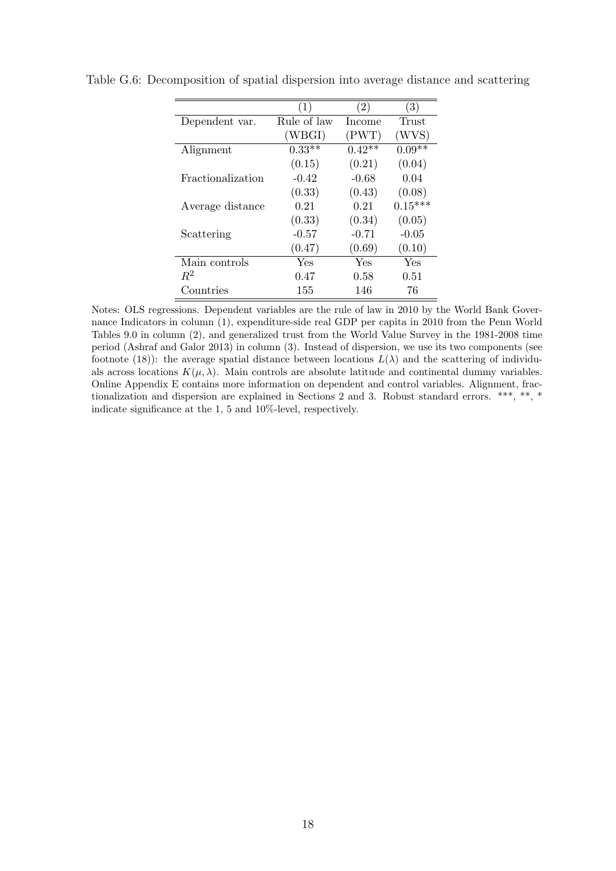|                   | $\left(1\right)$ | $\left( 2\right)$ | (3)       |
|-------------------|------------------|-------------------|-----------|
| Dependent var.    | Rule of law      | Income            | Trust     |
|                   | (WBGI)           | (PWT)             | (WVS)     |
| Alignment         | $0.33**$         | $0.42**$          | $0.09**$  |
|                   | (0.15)           | (0.21)            | (0.04)    |
| Fractionalization | $-0.42$          | $-0.68$           | 0.04      |
|                   | (0.33)           | (0.43)            | (0.08)    |
| Average distance  | 0.21             | 0.21              | $0.15***$ |
|                   | (0.33)           | (0.34)            | (0.05)    |
| Scattering        | $-0.57$          | $-0.71$           | $-0.05$   |
|                   | (0.47)           | (0.69)            | (0.10)    |
| Main controls     | Yes              | Yes               | Yes       |
| $R^2$             | 0.47             | 0.58              | 0.51      |
| Countries         | 155              | 146               | 76        |

Table G.6: Decomposition of spatial dispersion into average distance and scattering

Notes: OLS regressions. Dependent variables are the rule of law in 2010 by the World Bank Governance Indicators in column (1), expenditure-side real GDP per capita in 2010 from the Penn World Tables 9.0 in column (2), and generalized trust from the World Value Survey in the 1981-2008 time period (Ashraf and Galor 2013) in column (3). Instead of dispersion, we use its two components (see footnote (18)): the average spatial distance between locations  $L(\lambda)$  and the scattering of individuals across locations  $K(\mu, \lambda)$ . Main controls are absolute latitude and continental dummy variables. Online Appendix E contains more information on dependent and control variables. Alignment, fractionalization and dispersion are explained in Sections 2 and 3. Robust standard errors. \*\*\*, \*\*, \* indicate significance at the 1, 5 and 10%-level, respectively.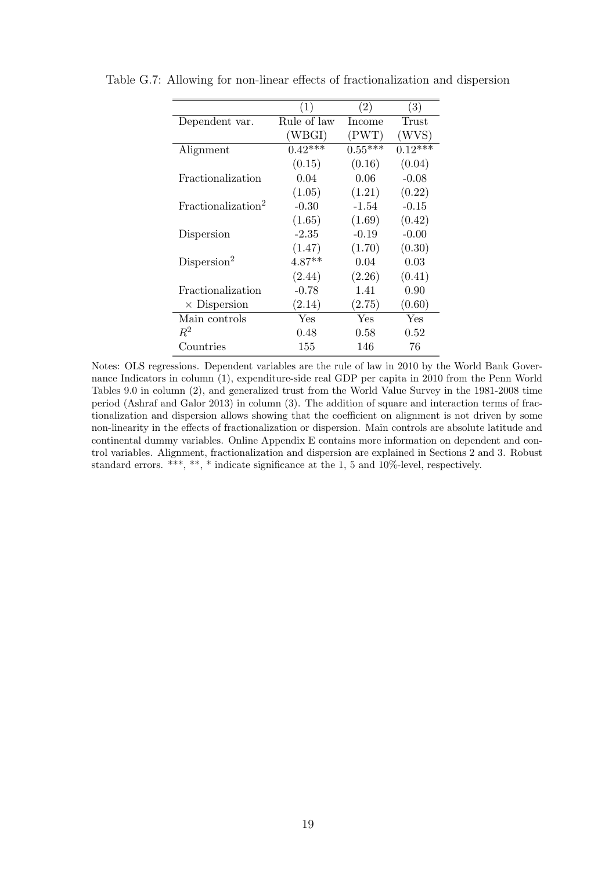|                                | (1)         | (2)       | (3)       |
|--------------------------------|-------------|-----------|-----------|
| Dependent var.                 | Rule of law | Income    | Trust     |
|                                | (WBGI)      | (PWT)     | WVS)      |
| Alignment                      | $0.42***$   | $0.55***$ | $0.12***$ |
|                                | (0.15)      | (0.16)    | (0.04)    |
| Fractionalization              | 0.04        | 0.06      | $-0.08$   |
|                                | (1.05)      | (1.21)    | (0.22)    |
| Fractionalization <sup>2</sup> | $-0.30$     | $-1.54$   | $-0.15$   |
|                                | (1.65)      | (1.69)    | (0.42)    |
| Dispersion                     | $-2.35$     | $-0.19$   | $-0.00$   |
|                                | (1.47)      | (1.70)    | (0.30)    |
| Disperson <sup>2</sup>         | $4.87**$    | 0.04      | 0.03      |
|                                | (2.44)      | (2.26)    | (0.41)    |
| Fractionalization              | $-0.78$     | 1.41      | 0.90      |
| $\times$ Dispersion            | (2.14)      | (2.75)    | (0.60)    |
| Main controls                  | Yes         | Yes       | Yes       |
| $R^2$                          | 0.48        | 0.58      | 0.52      |
| Countries                      | 155         | 146       | 76        |

Table G.7: Allowing for non-linear effects of fractionalization and dispersion

Notes: OLS regressions. Dependent variables are the rule of law in 2010 by the World Bank Governance Indicators in column (1), expenditure-side real GDP per capita in 2010 from the Penn World Tables 9.0 in column (2), and generalized trust from the World Value Survey in the 1981-2008 time period (Ashraf and Galor 2013) in column (3). The addition of square and interaction terms of fractionalization and dispersion allows showing that the coefficient on alignment is not driven by some non-linearity in the effects of fractionalization or dispersion. Main controls are absolute latitude and continental dummy variables. Online Appendix E contains more information on dependent and control variables. Alignment, fractionalization and dispersion are explained in Sections 2 and 3. Robust standard errors. \*\*\*, \*\*, \* indicate significance at the 1, 5 and 10%-level, respectively.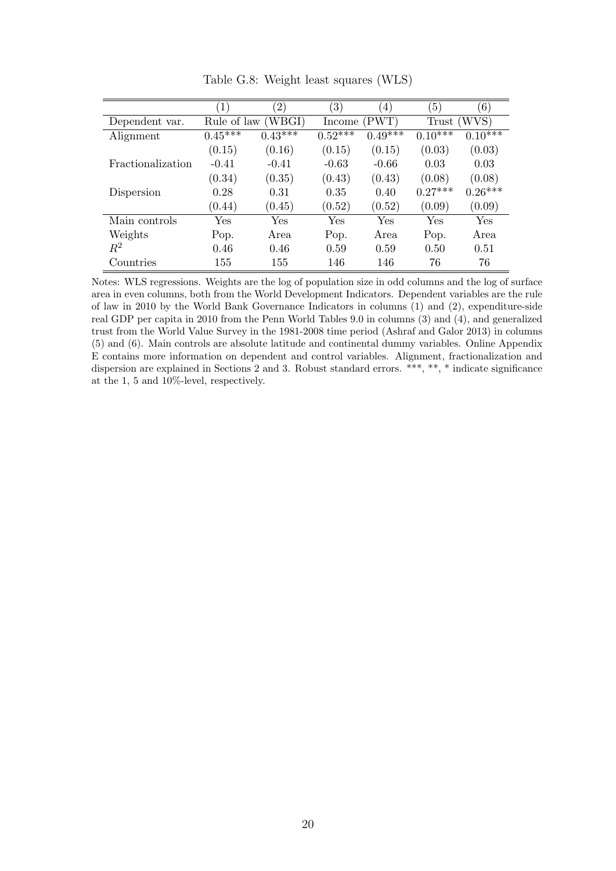|                   | $\left(1\right)$ | $\left( 2\right)$ | $\left(3\right)$        | $\left(4\right)$ | $\left(5\right)$ | (6)                  |
|-------------------|------------------|-------------------|-------------------------|------------------|------------------|----------------------|
| Dependent var.    | Rule of law      | (WBGI)            | Income                  | (PWT)            | Trust            | WVS)                 |
| Alignment         | $0.45***$        | $0.43***$         | $0.52^{\overline{***}}$ | $0.49***$        | $0.10^{***}$     | $0.10^{***}$         |
|                   | (0.15)           | (0.16)            | (0.15)                  | (0.15)           | (0.03)           | (0.03)               |
| Fractionalization | $-0.41$          | $-0.41$           | $-0.63$                 | $-0.66$          | 0.03             | 0.03                 |
|                   | (0.34)           | (0.35)            | (0.43)                  | (0.43)           | (0.08)           | (0.08)               |
| Dispersion        | 0.28             | 0.31              | 0.35                    | 0.40             | $0.27***$        | $0.26***$            |
|                   | (0.44)           | (0.45)            | (0.52)                  | (0.52)           | (0.09)           | (0.09)               |
| Main controls     | Yes              | Yes               | $\operatorname{Yes}$    | Yes              | Yes              | $\operatorname{Yes}$ |
| Weights           | Pop.             | Area              | Pop.                    | Area             | Pop.             | Area                 |
| $R^2$             | 0.46             | 0.46              | 0.59                    | 0.59             | 0.50             | 0.51                 |
| Countries         | 155              | 155               | 146                     | 146              | 76               | 76                   |

Table G.8: Weight least squares (WLS)

Notes: WLS regressions. Weights are the log of population size in odd columns and the log of surface area in even columns, both from the World Development Indicators. Dependent variables are the rule of law in 2010 by the World Bank Governance Indicators in columns (1) and (2), expenditure-side real GDP per capita in 2010 from the Penn World Tables 9.0 in columns (3) and (4), and generalized trust from the World Value Survey in the 1981-2008 time period (Ashraf and Galor 2013) in columns (5) and (6). Main controls are absolute latitude and continental dummy variables. Online Appendix E contains more information on dependent and control variables. Alignment, fractionalization and dispersion are explained in Sections 2 and 3. Robust standard errors. \*\*\*, \*\*, \* indicate significance at the 1, 5 and 10%-level, respectively.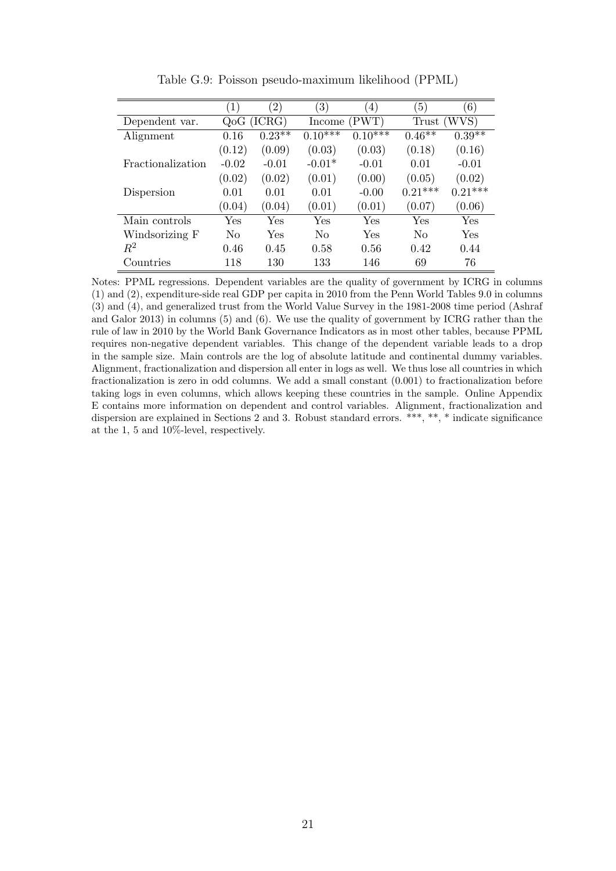|                   | $\left(1\right)$ | $\left(2\right)$ | $\left(3\right)$ | $\left(4\right)$ | (5)       | (6)       |
|-------------------|------------------|------------------|------------------|------------------|-----------|-----------|
| Dependent var.    | QoG              | (ICRG)           | Income           | (PWT             | Trust     | (WVS)     |
| Alignment         | 0.16             | $0.23**$         | $0.10^{***}$     | $0.10^{***}$     | $0.46**$  | $0.39**$  |
|                   | (0.12)           | (0.09)           | (0.03)           | (0.03)           | (0.18)    | (0.16)    |
| Fractionalization | $-0.02$          | $-0.01$          | $-0.01*$         | $-0.01$          | 0.01      | $-0.01$   |
|                   | (0.02)           | (0.02)           | (0.01)           | (0.00)           | (0.05)    | (0.02)    |
| Dispersion        | 0.01             | 0.01             | 0.01             | $-0.00$          | $0.21***$ | $0.21***$ |
|                   | (0.04)           | (0.04)           | (0.01)           | (0.01)           | (0.07)    | (0.06)    |
| Main controls     | Yes              | Yes              | Yes              | Yes              | Yes       | Yes       |
| Windsorizing F    | No               | Yes              | No               | Yes              | No        | Yes       |
| $R^2$             | 0.46             | 0.45             | 0.58             | 0.56             | 0.42      | 0.44      |
| Countries         | 118              | 130              | 133              | 146              | 69        | 76        |

Table G.9: Poisson pseudo-maximum likelihood (PPML)

Notes: PPML regressions. Dependent variables are the quality of government by ICRG in columns (1) and (2), expenditure-side real GDP per capita in 2010 from the Penn World Tables 9.0 in columns (3) and (4), and generalized trust from the World Value Survey in the 1981-2008 time period (Ashraf and Galor 2013) in columns (5) and (6). We use the quality of government by ICRG rather than the rule of law in 2010 by the World Bank Governance Indicators as in most other tables, because PPML requires non-negative dependent variables. This change of the dependent variable leads to a drop in the sample size. Main controls are the log of absolute latitude and continental dummy variables. Alignment, fractionalization and dispersion all enter in logs as well. We thus lose all countries in which fractionalization is zero in odd columns. We add a small constant (0.001) to fractionalization before taking logs in even columns, which allows keeping these countries in the sample. Online Appendix E contains more information on dependent and control variables. Alignment, fractionalization and dispersion are explained in Sections 2 and 3. Robust standard errors. \*\*\*, \*\*, \* indicate significance at the 1, 5 and 10%-level, respectively.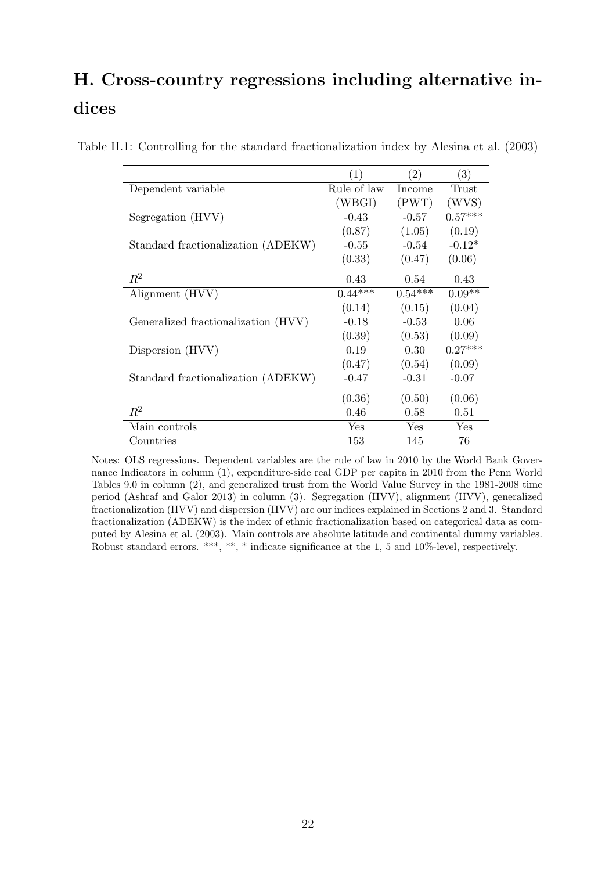# H. Cross-country regressions including alternative indices

|                                     | $\left(1\right)$ | $\left( 2\right)$ | $\left(3\right)$ |
|-------------------------------------|------------------|-------------------|------------------|
| Dependent variable                  | Rule of law      | Income            | Trust            |
|                                     | (WBGI)           | (PWT)             | (WVS)            |
| Segregation (HVV)                   | $-0.43$          | $-0.57$           | $0.57***$        |
|                                     | (0.87)           | (1.05)            | (0.19)           |
| Standard fractionalization (ADEKW)  | $-0.55$          | $-0.54$           | $-0.12*$         |
|                                     | (0.33)           | (0.47)            | (0.06)           |
| $R^2$                               | 0.43             | 0.54              | 0.43             |
| Alignment (HVV)                     | $0.44***$        | $0.54***$         | $0.09**$         |
|                                     | (0.14)           | (0.15)            | (0.04)           |
| Generalized fractionalization (HVV) | $-0.18$          | $-0.53$           | 0.06             |
|                                     | (0.39)           | (0.53)            | (0.09)           |
| Dispersion (HVV)                    | 0.19             | 0.30              | $0.27***$        |
|                                     | (0.47)           | (0.54)            | (0.09)           |
| Standard fractionalization (ADEKW)  | $-0.47$          | $-0.31$           | $-0.07$          |
|                                     | (0.36)           | (0.50)            | (0.06)           |
| $\,R^2$                             | 0.46             | 0.58              | 0.51             |
| Main controls                       | Yes              | Yes               | Yes              |
| Countries                           | 153              | 145               | 76               |

Table H.1: Controlling for the standard fractionalization index by Alesina et al. (2003)

Notes: OLS regressions. Dependent variables are the rule of law in 2010 by the World Bank Governance Indicators in column (1), expenditure-side real GDP per capita in 2010 from the Penn World Tables 9.0 in column (2), and generalized trust from the World Value Survey in the 1981-2008 time period (Ashraf and Galor 2013) in column (3). Segregation (HVV), alignment (HVV), generalized fractionalization (HVV) and dispersion (HVV) are our indices explained in Sections 2 and 3. Standard fractionalization (ADEKW) is the index of ethnic fractionalization based on categorical data as computed by Alesina et al. (2003). Main controls are absolute latitude and continental dummy variables. Robust standard errors. \*\*\*, \*\*, \* indicate significance at the 1, 5 and 10%-level, respectively.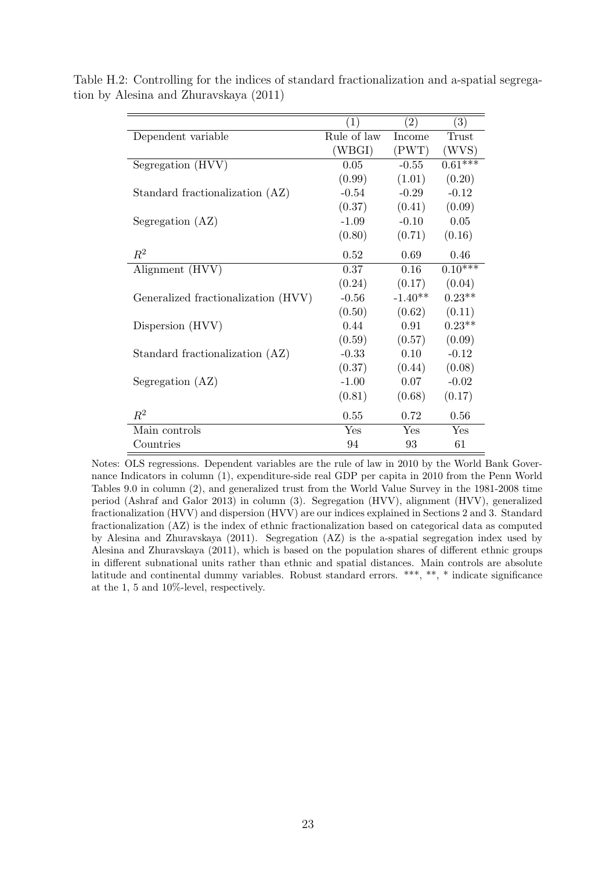|                                     | $\left( 1\right)$ | $\left( 2\right)$ | (3)          |
|-------------------------------------|-------------------|-------------------|--------------|
| Dependent variable                  | Rule of law       | Income            | <b>Trust</b> |
|                                     | (WBGI)            | (PWT)             | (WVS)        |
| Segregation (HVV)                   | 0.05              | $-0.55$           | $0.61***$    |
|                                     | (0.99)            | (1.01)            | (0.20)       |
| Standard fractionalization (AZ)     | $-0.54$           | $-0.29$           | $-0.12$      |
|                                     | (0.37)            | (0.41)            | (0.09)       |
| Segregation (AZ)                    | $-1.09$           | $-0.10$           | 0.05         |
|                                     | (0.80)            | (0.71)            | (0.16)       |
| $R^2$                               | 0.52              | 0.69              | 0.46         |
| Alignment (HVV)                     | 0.37              | 0.16              | $0.10***$    |
|                                     | (0.24)            | (0.17)            | (0.04)       |
| Generalized fractionalization (HVV) | $-0.56$           | $-1.40**$         | $0.23**$     |
|                                     | (0.50)            | (0.62)            | (0.11)       |
| Dispersion (HVV)                    | 0.44              | 0.91              | $0.23**$     |
|                                     | (0.59)            | (0.57)            | (0.09)       |
| Standard fractionalization (AZ)     | $-0.33$           | 0.10              | $-0.12$      |
|                                     | (0.37)            | (0.44)            | (0.08)       |
| Segregation (AZ)                    | $-1.00$           | 0.07              | $-0.02$      |
|                                     | (0.81)            | (0.68)            | (0.17)       |
| $R^2$                               | 0.55              | 0.72              | 0.56         |
| Main controls                       | Yes               | Yes               | Yes          |
| Countries                           | 94                | 93                | 61           |

Table H.2: Controlling for the indices of standard fractionalization and a-spatial segregation by Alesina and Zhuravskaya (2011)

Notes: OLS regressions. Dependent variables are the rule of law in 2010 by the World Bank Governance Indicators in column (1), expenditure-side real GDP per capita in 2010 from the Penn World Tables 9.0 in column (2), and generalized trust from the World Value Survey in the 1981-2008 time period (Ashraf and Galor 2013) in column (3). Segregation (HVV), alignment (HVV), generalized fractionalization (HVV) and dispersion (HVV) are our indices explained in Sections 2 and 3. Standard fractionalization (AZ) is the index of ethnic fractionalization based on categorical data as computed by Alesina and Zhuravskaya (2011). Segregation (AZ) is the a-spatial segregation index used by Alesina and Zhuravskaya (2011), which is based on the population shares of different ethnic groups in different subnational units rather than ethnic and spatial distances. Main controls are absolute latitude and continental dummy variables. Robust standard errors. \*\*\*, \*\*, \* indicate significance at the 1, 5 and 10%-level, respectively.